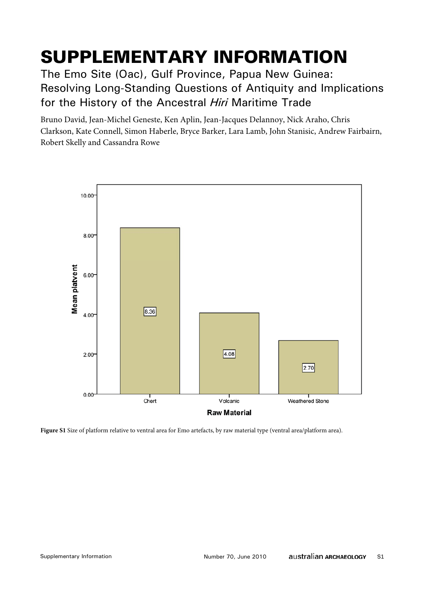# SUPPLEMENTARY INFORMATION

The Emo Site (Oac), Gulf Province, Papua New Guinea: Resolving Long-Standing Questions of Antiquity and Implications for the History of the Ancestral *Hiri* Maritime Trade

Bruno David, Jean-Michel Geneste, Ken Aplin, Jean-Jacques Delannoy, Nick Araho, Chris Clarkson, Kate Connell, Simon Haberle, Bryce Barker, Lara Lamb, John Stanisic, Andrew Fairbairn, Robert Skelly and Cassandra Rowe



**Figure S1** Size of platform relative to ventral area for Emo artefacts, by raw material type (ventral area/platform area).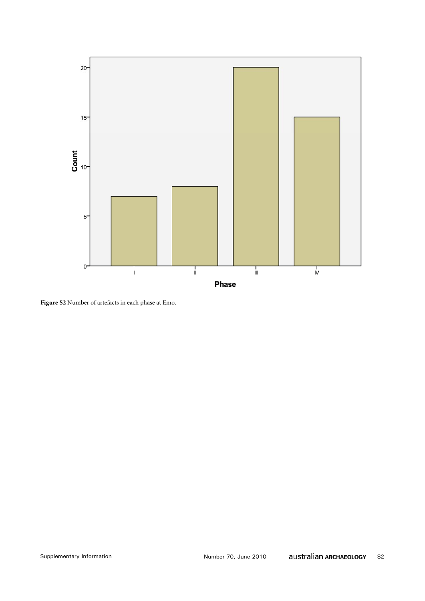

**Figure S2** Number of artefacts in each phase at Emo.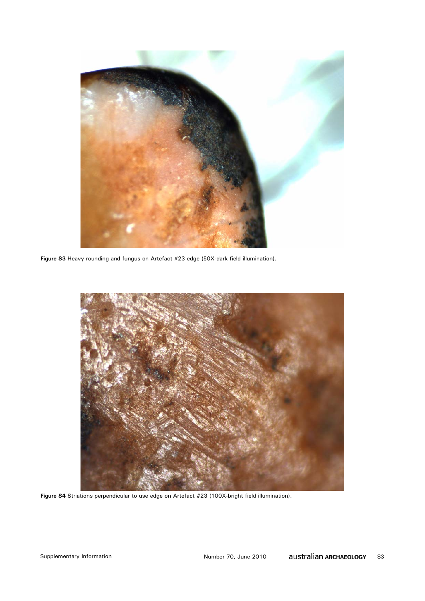

**Figure S3** Heavy rounding and fungus on Artefact #23 edge (50X-dark field illumination).



Figure S4 Striations perpendicular to use edge on Artefact #23 (100X-bright field illumination).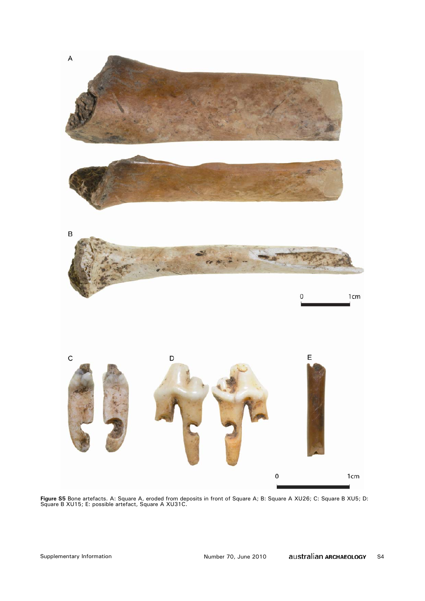

**Figure S5** Bone artefacts. A: Square A, eroded from deposits in front of Square A; B: Square A XU26; C: Square B XU5; D: Square B XU15; E: possible artefact, Square A XU31C.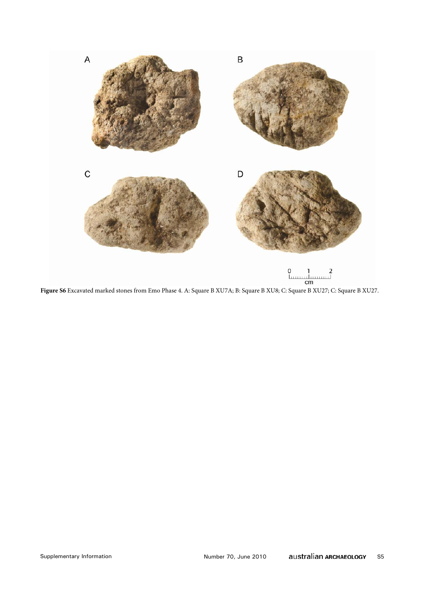

**Figure S6** Excavated marked stones from Emo Phase 4. A: Square B XU7A; B: Square B XU8; C: Square B XU27; C: Square B XU27.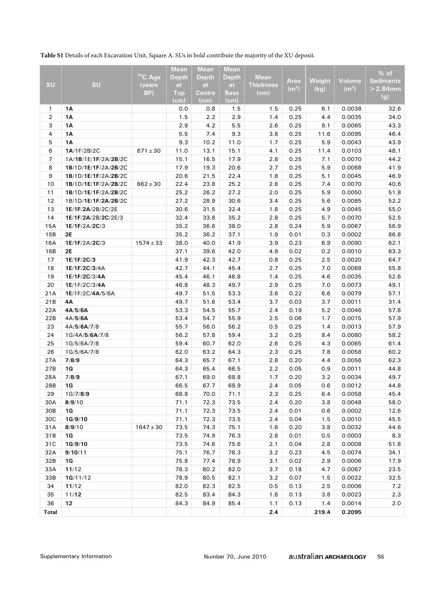**Table S1** Details of each Excavation Unit, Square A. SUs in bold contribute the majority of the XU deposit.

|                |                               |               | <b>Mean</b>  | <b>Mean</b>  | <b>Mean</b>  |                  |                   |            |                   |                  |
|----------------|-------------------------------|---------------|--------------|--------------|--------------|------------------|-------------------|------------|-------------------|------------------|
|                |                               | $14$ C Age    | <b>Depth</b> | <b>Depth</b> | <b>Depth</b> | <b>Mean</b>      |                   |            |                   | % of             |
| XU             | SU                            | (years        | at           | at           | at           | <b>Thickness</b> | Area              | Weight     | <b>Volume</b>     | <b>Sediments</b> |
|                |                               | BP)           | <b>Top</b>   | Centre       | Base         | (cm)             | (m <sup>2</sup> ) | (kg)       | (m <sup>3</sup> ) | $>2.84$ mm       |
|                |                               |               | (cm)         | (cm)         | (cm)         |                  |                   |            |                   | (g)              |
| 1              | 1Α                            |               | 0.0          | 0.8          | 1.5          | 1.5              | 0.25              | 6.1        | 0.0038            | 32.6             |
| $\overline{2}$ | <b>1A</b>                     |               | 1.5          | 2.2          | 2.9          | 1.4              | 0.25              | 4.4        | 0.0035            | 34.0             |
| 3              | <b>1A</b>                     |               | 2.9          | 4.2          | 5.5          | 2.6              | 0.25              | 9.1        | 0.0065            | 43.3             |
| 4              | 1Α                            |               | 5.5          | 7.4          | 9.3          | 3.8              | 0.25              | 11.6       | 0.0095            | 46.4             |
| 5              | 1A                            |               | 9.3          | 10.2         | 11.0         | 1.7              | 0.25              | 5.9        | 0.0043            | 43.9             |
| 6              | 1A/1F/2B/2C                   | $671 \pm 30$  | 11.0         | 13.1         | 15.1         | 4.1              | 0.25              | 11.4       | 0.0103            | 48.1             |
| $\overline{7}$ | 1A/1B/1E/1F/2A/2B/2C          |               | 15.1         | 16.5         | 17.9         | 2.8              | 0.25              | 7.1        | 0.0070            | 44.2             |
| 8              | 1B/1D/1E/1F/2A/2B/2C          |               | 17.9         | 19.3         | 20.6         | 2.7              | 0.25              | 5.9        | 0.0068            | 41.9             |
| 9              | 1B/1D/1E/1F/2A/2B/2C          |               | 20.6         | 21.5         | 22.4         | 1.8              | 0.25              | 5.1        | 0.0045            | 46.9             |
| 10             | 1B/1D/1E/1F/2A/2B/2C          | $662 \pm 30$  | 22.4         | 23.8         | 25.2         | 2.8              | 0.25              | 7.4        | 0.0070            | 40.6             |
| 11             | 1B/1D/1E/1F/2A/2B/2C          |               | 25.2         | 26.2         | 27.2         | 2.0              | 0.25              | 5.9        | 0.0050            | 51.8             |
| 12             | 1B/1D/1E/1F/2A/2B/2C          |               | 27.2         | 28.9         | 30.6         | 3.4              | 0.25              | 5.6        | 0.0085            | 52.2             |
| 13             | 1E/1F/2A/2B/2C/2E             |               | 30.6         | 31.5         | 32.4         | 1.8              | 0.25              | 4.9        | 0.0045            | 55.0             |
| 14             | 1E/1F/2A/2B/2C/2E/3           |               | 32.4         | 33.8         | 35.2         | 2.8              | 0.25              | 5.7        | 0.0070            | 52.5             |
| 15A            | 1E/1F/2A/2C/3                 |               | 35.2         | 36.6         | 38.0         | 2.8              | 0.24              | 5.9        | 0.0067            | 56.9             |
| 15B            | <b>2E</b>                     |               | 35.2         | 36.2         | 37.1         | 1.9              | 0.01              | 0.3        | 0.0002            | 86.8             |
| 16A            | 1E/1F/2A/2C/3                 | $1574 \pm 33$ | 38.0         | 40.0         | 41.9         | 3.9              | 0.23              | 6.9        | 0.0090            | 62.1             |
| 16B            | 2Е                            |               | 37.1         | 39.6         | 42.0         | 4.9              | 0.02              | 0.2        | 0.0010            | 63.3             |
| 17             | 1E/1F/2C/3                    |               | 41.9         | 42.3         | 42.7         | 0.8              | 0.25              | 2.5        | 0.0020            | 64.7             |
| 18             | 1E/1F/2C/3/4A                 |               | 42.7         | 44.1         | 45.4         | 2.7              | 0.25              | 7.0        | 0.0068            | 55.8             |
| 19             | 1E/1F/2C/3/4A                 |               | 45.4         | 46.1         | 46.8         | 1.4              | 0.25              | 4.6        | 0.0035            | 52.6             |
| 20             | 1E/1F/2C/3/4A                 |               | 46.8         | 48.3         | 49.7         | 2.9              | 0.25              | 7.0        | 0.0073            | 49.1             |
| 21A            | 1E/1F/2C/4A/5/6A              |               | 49.7         | 51.5         | 53.3         | 3.6              | 0.22              | 6.6        | 0.0079            | 57.1             |
| 21B            | 4Α                            |               | 49.7         | 51.6         | 53.4         | 3.7              | 0.03              | 3.7        | 0.0011            | 31.4             |
| 22A            | 4A/5/6A                       |               | 53.3         | 54.5         | 55.7         | 2.4              | 0.19              | 5.2        | 0.0046            | 57.8             |
| 22B            | 4A/5/6A                       |               | 53.4         | 54.7         | 55.9         | 2.5              | 0.06              | 1.7        | 0.0015            | 57.9             |
| 23             | 4A/5/6A/7/8<br>1G/4A/5/6A/7/8 |               | 55.7         | 56.0         | 56.2         | 0.5              | 0.25              | 1.4        | 0.0013            | 57.9             |
| 24             |                               |               | 56.2         | 57.8         | 59.4         | 3.2              | 0.25              | 8.4        | 0.0080<br>0.0065  | 58.2             |
| 25             | 1G/5/6A/7/8                   |               | 59.4         | 60.7         | 62.0         | 2.6              | 0.25              | 4.3        |                   | 61.4             |
| 26<br>27A      | 1G/5/6A/7/8<br>7/8/9          |               | 62.0<br>64.3 | 63.2<br>65.7 | 64.3<br>67.1 | 2.3<br>2.8       | 0.25<br>0.20      | 7.8<br>4.4 | 0.0058<br>0.0056  | 60.2<br>62.3     |
|                |                               |               |              |              |              |                  |                   |            |                   |                  |
| 27B<br>28A     | 1G<br>7/8/9                   |               | 64.3<br>67.1 | 65.4<br>69.0 | 66.5<br>68.8 | 2.2<br>1.7       | 0.05<br>0.20      | 0.9<br>3.2 | 0.0011<br>0.0034  | 44.8<br>49.7     |
| 28B            | 1G                            |               | 66.5         | 67.7         | 68.9         | 2.4              | 0.05              | 0.6        | 0.0012            | 44.8             |
| 29             |                               |               | 68.8         | 70.0         | 71.1         | 2.3              | 0.25              | 6.4        | 0.0058            | 45.4             |
| 30A            | 1G/7/8/9<br>8/9/10            |               | 71.1         | 72.3         | 73.5         | 2.4              | 0.20              | 3.8        | 0.0048            | 58.0             |
| 30B            | 1G                            |               | 71.1         | 72.3         | 73.5         | 2.4              | 0.01              | 0.6        | 0.0002            | 12.6             |
| 30C            | 1G/9/10                       |               | 71.1         | 72.3         | 73.5         | 2.4              | 0.04              | 1.5        | 0.0010            | 45.5             |
| 31A            | 8/9/10                        | $1647 \pm 30$ | 73.5         | 74.3         | 75.1         | 1.6              | 0.20              | 3.8        | 0.0032            | 44.6             |
| 31B            | 1G                            |               | 73.5         | 74.9         | 76.3         | 2.8              | 0.01              | 0.5        | 0.0003            | 8.3              |
| 31C            | 1G/9/10                       |               | 73.5         | 74.6         | 75.6         | 2.1              | 0.04              | 2.8        | 0.0008            | 51.8             |
| 32A            | 9/10/11                       |               | 75.1         | 76.7         | 78.3         | 3.2              | 0.23              | 4.5        | 0.0074            | 34.1             |
| 32B            | 1G                            |               | 75.8         | 77.4         | 78.9         | 3.1              | 0.02              | 2.9        | 0.0006            | 17.9             |
| 33A            | 11/12                         |               | 78.3         | 80.2         | 82.0         | 3.7              | 0.18              | 4.7        | 0.0067            | 23.5             |
| 33B            | 1G/11/12                      |               | 78.9         | 80.5         | 82.1         | 3.2              | 0.07              | 1.5        | 0.0022            | 32.5             |
| 34             | 11/12                         |               | 82.0         | 82.3         | 82.5         | 0.5              | 0.13              | 2.5        | 0.0006            | 7.2              |
| 35             | 11/12                         |               | 82.5         | 83.4         | 84.3         | 1.8              | 0.13              | 3.8        | 0.0023            | 2.3              |
| 36             | 12                            |               | 84.3         | 84.9         | 85.4         | 1.1              | 0.13              | 1.4        | 0.0014            | 2.0              |
| <b>Total</b>   |                               |               |              |              |              | 2.4              |                   | 219.4      | 0.2095            |                  |
|                |                               |               |              |              |              |                  |                   |            |                   |                  |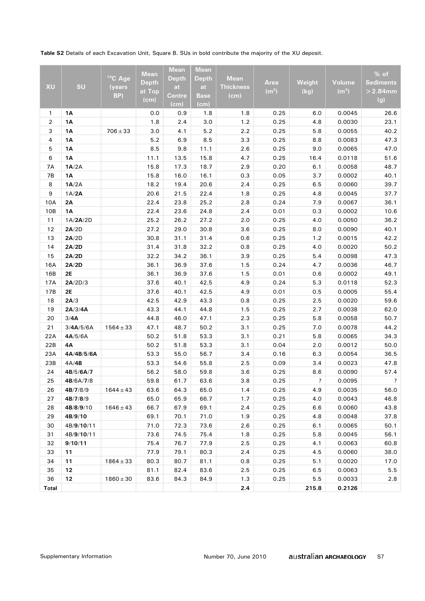**Table S2** Details of each Excavation Unit, Square B. SUs in bold contribute the majority of the XU deposit.

| <b>XU</b>    | SU         | <sup>14</sup> C Age<br>(years) | <b>Mean</b><br><b>Depth</b><br>at Top | <b>Mean</b><br><b>Depth</b><br>at | <b>Mean</b><br><b>Depth</b><br>at | <b>Mean</b><br><b>Thickness</b> | Area<br>(m <sup>2</sup> ) | Weight<br>(kg)     | Volume<br>(m <sup>3</sup> ) | % of<br><b>Sediments</b><br>$>2.84$ mm |
|--------------|------------|--------------------------------|---------------------------------------|-----------------------------------|-----------------------------------|---------------------------------|---------------------------|--------------------|-----------------------------|----------------------------------------|
|              |            | BP)                            | (cm)                                  | Centre<br>(cm)                    | <b>Base</b><br>(cm)               | (cm)                            |                           |                    |                             | (g)                                    |
| $\mathbf{1}$ | 1Α         |                                | 0.0                                   | 0.9                               | 1.8                               | 1.8                             | 0.25                      | 6.0                | 0.0045                      | 26.6                                   |
| 2            | <b>1A</b>  |                                | 1.8                                   | 2.4                               | 3.0                               | 1.2                             | 0.25                      | 4.8                | 0.0030                      | 23.1                                   |
| 3            | 1Α         | $706 \pm 33$                   | 3.0                                   | 4.1                               | 5.2                               | 2.2                             | 0.25                      | 5.8                | 0.0055                      | 40.2                                   |
| 4            | 1A         |                                | 5.2                                   | 6.9                               | 8.5                               | 3.3                             | 0.25                      | 8.8                | 0.0083                      | 47.3                                   |
| 5            | 1A         |                                | 8.5                                   | 9.8                               | 11.1                              | 2.6                             | 0.25                      | 9.0                | 0.0065                      | 47.0                                   |
| 6            | <b>1A</b>  |                                | 11.1                                  | 13.5                              | 15.8                              | 4.7                             | 0.25                      | 16.4               | 0.0118                      | 51.6                                   |
| 7A           | 1A/2A      |                                | 15.8                                  | 17.3                              | 18.7                              | 2.9                             | 0.20                      | 6.1                | 0.0058                      | 48.7                                   |
| <b>7B</b>    | 1A         |                                | 15.8                                  | 16.0                              | 16.1                              | 0.3                             | 0.05                      | 3.7                | 0.0002                      | 40.1                                   |
| 8            | 1A/2A      |                                | 18.2                                  | 19.4                              | 20.6                              | 2.4                             | 0.25                      | 6.5                | 0.0060                      | 39.7                                   |
| 9            | 1A/2A      |                                | 20.6                                  | 21.5                              | 22.4                              | 1.8                             | 0.25                      | 4.8                | 0.0045                      | 37.7                                   |
| 10A          | 2A         |                                | 22.4                                  | 23.8                              | 25.2                              | 2.8                             | 0.24                      | 7.9                | 0.0067                      | 36.1                                   |
| 10B          | <b>1A</b>  |                                | 22.4                                  | 23.6                              | 24.8                              | 2.4                             | 0.01                      | 0.3                | 0.0002                      | 10.6                                   |
| 11           | 1A/2A/2D   |                                | 25.2                                  | 26.2                              | 27.2                              | 2.0                             | 0.25                      | 4.0                | 0.0050                      | 36.2                                   |
| 12           | 2A/2D      |                                | 27.2                                  | 29.0                              | 30.8                              | 3.6                             | 0.25                      | 8.0                | 0.0090                      | 40.1                                   |
| 13           | 2A/2D      |                                | 30.8                                  | 31.1                              | 31.4                              | 0.6                             | 0.25                      | 1.2                | 0.0015                      | 42.2                                   |
| 14           | 2A/2D      |                                | 31.4                                  | 31.8                              | 32.2                              | 0.8                             | 0.25                      | 4.0                | 0.0020                      | 50.2                                   |
| 15           | 2A/2D      |                                | 32.2                                  | 34.2                              | 36.1                              | 3.9                             | 0.25                      | 5.4                | 0.0098                      | 47.3                                   |
| 16A          | 2A/2D      |                                | 36.1                                  | 36.9                              | 37.6                              | 1.5                             | 0.24                      | 4.7                | 0.0036                      | 46.7                                   |
| 16B          | <b>2E</b>  |                                | 36.1                                  | 36.9                              | 37.6                              | 1.5                             | 0.01                      | 0.6                | 0.0002                      | 49.1                                   |
| 17A          | 2A/2D/3    |                                | 37.6                                  | 40.1                              | 42.5                              | 4.9                             | 0.24                      | 5.3                | 0.0118                      | 52.3                                   |
| 17B          | 2E         |                                | 37.6                                  | 40.1                              | 42.5                              | 4.9                             | 0.01                      | 0.5                | 0.0005                      | 55.4                                   |
| 18           | 2A/3       |                                | 42.5                                  | 42.9                              | 43.3                              | 0.8                             | 0.25                      | 2.5                | 0.0020                      | 59.6                                   |
| 19           | 2A/3/4A    |                                | 43.3                                  | 44.1                              | 44.8                              | 1.5                             | 0.25                      | 2.7                | 0.0038                      | 62.0                                   |
| 20           | 3/4A       |                                | 44.8                                  | 46.0                              | 47.1                              | 2.3                             | 0.25                      | 5.8                | 0.0058                      | 50.7                                   |
| 21           | 3/4A/5/6A  | $1564 \pm 33$                  | 47.1                                  | 48.7                              | 50.2                              | 3.1                             | 0.25                      | 7.0                | 0.0078                      | 44.2                                   |
| 22A          | 4A/5/6A    |                                | 50.2                                  | 51.8                              | 53.3                              | 3.1                             | 0.21                      | 5.8                | 0.0065                      | 34.3                                   |
| 22B          | 4Α         |                                | 50.2                                  | 51.8                              | 53.3                              | 3.1                             | 0.04                      | 2.0                | 0.0012                      | 50.0                                   |
| 23A          | 4A/4B/5/6A |                                | 53.3                                  | 55.0                              | 56.7                              | 3.4                             | 0.16                      | 6.3                | 0.0054                      | 36.5                                   |
| 23B          | 4A/4B      |                                | 53.3                                  | 54.6                              | 55.8                              | 2.5                             | 0.09                      | 3.4                | 0.0023                      | 47.8                                   |
| 24           | 4B/5/6A/7  |                                | 56.2                                  | 58.0                              | 59.8                              | 3.6                             | 0.25                      | 8.6                | 0.0090                      | 57.4                                   |
| 25           | 4B/6A/7/8  |                                | 59.8                                  | 61.7                              | 63.6                              | 3.8                             | 0.25                      | $\overline{\cdot}$ | 0.0095                      | $\cdot$                                |
| 26           | 4B/7/8/9   | $1644 \pm 43$                  | 63.6                                  | 64.3                              | 65.0                              | 1.4                             | 0.25                      | 4.9                | 0.0035                      | 56.0                                   |
| 27           | 4B/7/8/9   |                                | 65.0                                  | 65.9                              | 66.7                              | 1.7                             | 0.25                      | 4.0                | 0.0043                      | 46.8                                   |
| 28           | 4B/8/9/10  | $1646 \pm 43$                  | 66.7                                  | 67.9                              | 69.1                              | 2.4                             | 0.25                      | 6.6                | 0.0060                      | 43.8                                   |
| 29           | 4B/9/10    |                                | 69.1                                  | 70.1                              | 71.0                              | 1.9                             | 0.25                      | 4.8                | 0.0048                      | 37.8                                   |
| 30           | 4B/9/10/11 |                                | 71.0                                  | 72.3                              | 73.6                              | 2.6                             | 0.25                      | 6.1                | 0.0065                      | 50.1                                   |
| 31           | 4B/9/10/11 |                                | 73.6                                  | 74.5                              | 75.4                              | 1.8                             | 0.25                      | 5.8                | 0.0045                      | 56.1                                   |
| 32           | 9/10/11    |                                | 75.4                                  | 76.7                              | 77.9                              | 2.5                             | 0.25                      | 4.1                | 0.0063                      | 60.8                                   |
| 33           | 11         |                                | 77.9                                  | 79.1                              | 80.3                              | 2.4                             | 0.25                      | 4.5                | 0.0060                      | 38.0                                   |
| 34           | 11         | $1864 \pm 33$                  | 80.3                                  | 80.7                              | 81.1                              | 0.8                             | 0.25                      | 5.1                | 0.0020                      | 17.0                                   |
| 35           | 12         |                                | 81.1                                  | 82.4                              | 83.6                              | 2.5                             | 0.25                      | 6.5                | 0.0063                      | $5.5$                                  |
| 36           | 12         | $1860 \pm 30$                  | 83.6                                  | 84.3                              | 84.9                              | 1.3                             | 0.25                      | 5.5                | 0.0033                      | 2.8                                    |
| <b>Total</b> |            |                                |                                       |                                   |                                   | 2.4                             |                           | 215.8              | 0.2126                      |                                        |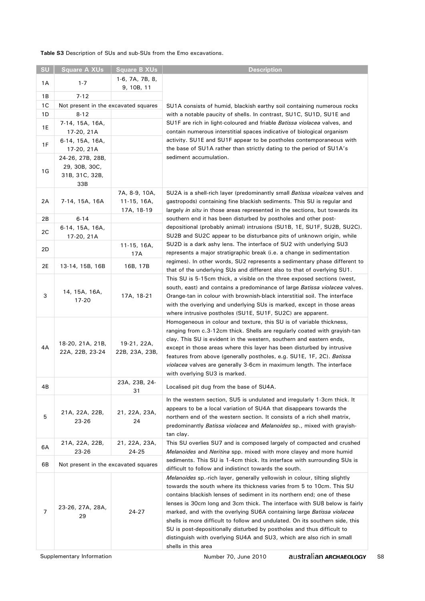**Table S3** Description of SUs and sub-SUs from the Emo excavations.

| SU             | Square A XUs                                               | <b>Square B XUs</b>                          | <b>Description</b>                                                                                                                                                                                                                                                                                                                                                                                                                                                                                                                                                                                                                           |
|----------------|------------------------------------------------------------|----------------------------------------------|----------------------------------------------------------------------------------------------------------------------------------------------------------------------------------------------------------------------------------------------------------------------------------------------------------------------------------------------------------------------------------------------------------------------------------------------------------------------------------------------------------------------------------------------------------------------------------------------------------------------------------------------|
| 1A             | $1 - 7$                                                    | 1-6, 7A, 7B, 8,<br>9, 10B, 11                |                                                                                                                                                                                                                                                                                                                                                                                                                                                                                                                                                                                                                                              |
| 1B             | $7 - 12$                                                   |                                              |                                                                                                                                                                                                                                                                                                                                                                                                                                                                                                                                                                                                                                              |
| 1C             | Not present in the excavated squares                       |                                              | SU1A consists of humid, blackish earthy soil containing numerous rocks                                                                                                                                                                                                                                                                                                                                                                                                                                                                                                                                                                       |
| 1 D            | $8 - 12$                                                   |                                              | with a notable paucity of shells. In contrast, SU1C, SU1D, SU1E and                                                                                                                                                                                                                                                                                                                                                                                                                                                                                                                                                                          |
| 1E             | 7-14, 15A, 16A,<br>17-20, 21A                              |                                              | SU1F are rich in light-coloured and friable <i>Batissa violacea</i> valves, and<br>contain numerous interstitial spaces indicative of biological organism                                                                                                                                                                                                                                                                                                                                                                                                                                                                                    |
|                | 6-14, 15A, 16A,                                            |                                              | activity. SU1E and SU1F appear to be postholes contemporaneous with                                                                                                                                                                                                                                                                                                                                                                                                                                                                                                                                                                          |
| 1F             | 17-20, 21A                                                 |                                              | the base of SU1A rather than strictly dating to the period of SU1A's                                                                                                                                                                                                                                                                                                                                                                                                                                                                                                                                                                         |
| 1G             | 24-26, 27B, 28B,<br>29, 30B, 30C,<br>31B, 31C, 32B,<br>33B |                                              | sediment accumulation.                                                                                                                                                                                                                                                                                                                                                                                                                                                                                                                                                                                                                       |
| 2A             | 7-14, 15A, 16A                                             | 7A, 8-9, 10A,<br>$11-15, 16A,$<br>17A, 18-19 | SU2A is a shell-rich layer (predominantly small <i>Batissa vioalcea</i> valves and<br>gastropods) containing fine blackish sediments. This SU is regular and<br>largely in situ in those areas represented in the sections, but towards its                                                                                                                                                                                                                                                                                                                                                                                                  |
| 2B             | $6 - 14$                                                   |                                              | southern end it has been disturbed by postholes and other post-                                                                                                                                                                                                                                                                                                                                                                                                                                                                                                                                                                              |
| 2C             | 6-14, 15A, 16A,<br>17-20, 21A                              |                                              | depositional (probably animal) intrusions (SU1B, 1E, SU1F, SU2B, SU2C).<br>SU2B and SU2C appear to be disturbance pits of unknown origin, while                                                                                                                                                                                                                                                                                                                                                                                                                                                                                              |
| 2D             |                                                            | 11-15, 16A,<br>17A                           | SU2D is a dark ashy lens. The interface of SU2 with underlying SU3<br>represents a major stratigraphic break (i.e. a change in sedimentation                                                                                                                                                                                                                                                                                                                                                                                                                                                                                                 |
| 2E             | 13-14, 15B, 16B                                            | 16B, 17B                                     | regimes). In other words, SU2 represents a sedimentary phase different to<br>that of the underlying SUs and different also to that of overlying SU1.                                                                                                                                                                                                                                                                                                                                                                                                                                                                                         |
| 3              | 14, 15A, 16A,<br>17-20                                     | 17A, 18-21                                   | This SU is 5-15cm thick, a visible on the three exposed sections (west,<br>south, east) and contains a predominance of large Batissa violacea valves.<br>Orange-tan in colour with brownish-black interstitial soil. The interface<br>with the overlying and underlying SUs is marked, except in those areas<br>where intrusive postholes (SU1E, SU1F, SU2C) are apparent.                                                                                                                                                                                                                                                                   |
| 4A             | 18-20, 21A, 21B,<br>22A, 22B, 23-24                        | 19-21, 22A,<br>22B, 23A, 23B,                | Homogeneous in colour and texture, this SU is of variable thickness,<br>ranging from c.3-12cm thick. Shells are regularly coated with grayish-tan<br>clay. This SU is evident in the western, southern and eastern ends,<br>except in those areas where this layer has been disturbed by intrusive<br>features from above (generally postholes, e.g. SU1E, 1F, 2C). Batissa<br>violacea valves are generally 3-6cm in maximum length. The interface<br>with overlying SU3 is marked.                                                                                                                                                         |
| 4B             |                                                            | 23A, 23B, 24-<br>31                          | Localised pit dug from the base of SU4A.                                                                                                                                                                                                                                                                                                                                                                                                                                                                                                                                                                                                     |
| 5              | 21A, 22A, 22B,<br>23-26                                    | 21, 22A, 23A,<br>24                          | In the western section, SU5 is undulated and irregularly 1-3cm thick. It<br>appears to be a local variation of SU4A that disappears towards the<br>northern end of the western section. It consists of a rich shell matrix,<br>predominantly Batissa violacea and Melanoides sp., mixed with grayish-<br>tan clay.                                                                                                                                                                                                                                                                                                                           |
| 6A             | 21A, 22A, 22B,<br>23-26                                    | 21, 22A, 23A,<br>24-25                       | This SU overlies SU7 and is composed largely of compacted and crushed<br><i>Melanoides</i> and <i>Neritina</i> spp. mixed with more clayey and more humid                                                                                                                                                                                                                                                                                                                                                                                                                                                                                    |
| 6В             | Not present in the excavated squares                       |                                              | sediments. This SU is 1-4cm thick. Its interface with surrounding SUs is<br>difficult to follow and indistinct towards the south.                                                                                                                                                                                                                                                                                                                                                                                                                                                                                                            |
| $\overline{7}$ | 23-26, 27A, 28A,<br>29                                     | 24-27                                        | Melanoides sp.-rich layer, generally yellowish in colour, tilting slightly<br>towards the south where its thickness varies from 5 to 10cm. This SU<br>contains blackish lenses of sediment in its northern end; one of these<br>lenses is 30cm long and 3cm thick. The interface with SU8 below is fairly<br>marked, and with the overlying SU6A containing large Batissa violacea<br>shells is more difficult to follow and undulated. On its southern side, this<br>SU is post-depositionally disturbed by postholes and thus difficult to<br>distinguish with overlying SU4A and SU3, which are also rich in small<br>shells in this area |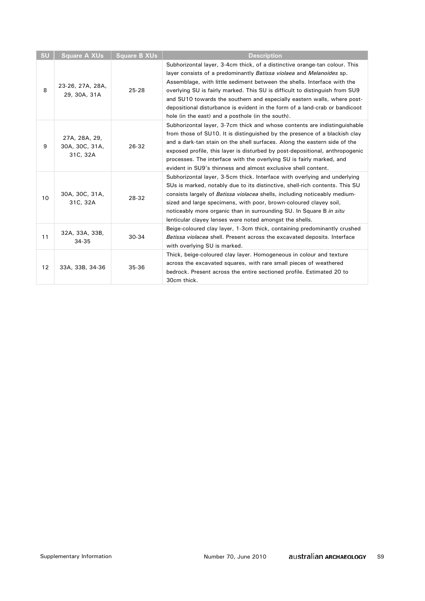| SU | <b>Square A XUs</b>                         | <b>Square B XUs</b> | <b>Description</b>                                                                                                                                                                                                                                                                                                                                                                                                                                                                                                          |
|----|---------------------------------------------|---------------------|-----------------------------------------------------------------------------------------------------------------------------------------------------------------------------------------------------------------------------------------------------------------------------------------------------------------------------------------------------------------------------------------------------------------------------------------------------------------------------------------------------------------------------|
| 8  | 23-26, 27A, 28A,<br>29, 30A, 31A            | $25 - 28$           | Subhorizontal layer, 3-4cm thick, of a distinctive orange-tan colour. This<br>layer consists of a predominantly Batissa violaea and Melanoides sp.<br>Assemblage, with little sediment between the shells. Interface with the<br>overlying SU is fairly marked. This SU is difficult to distinguish from SU9<br>and SU10 towards the southern and especially eastern walls, where post-<br>depositional disturbance is evident in the form of a land-crab or bandicoot<br>hole (in the east) and a posthole (in the south). |
| 9  | 27A, 28A, 29,<br>30A, 30C, 31A,<br>31C, 32A | 26-32               | Subhorizontal layer, 3-7cm thick and whose contents are indistinguishable<br>from those of SU10. It is distinguished by the presence of a blackish clay<br>and a dark-tan stain on the shell surfaces. Along the eastern side of the<br>exposed profile, this layer is disturbed by post-depositional, anthropogenic<br>processes. The interface with the overlying SU is fairly marked, and<br>evident in SU9's thinness and almost exclusive shell content.                                                               |
| 10 | 30A, 30C, 31A,<br>31C, 32A                  | 28-32               | Subhorizontal layer, 3-5cm thick. Interface with overlying and underlying<br>SUs is marked, notably due to its distinctive, shell-rich contents. This SU<br>consists largely of <i>Batissa violacea</i> shells, including noticeably medium-<br>sized and large specimens, with poor, brown-coloured clayey soil,<br>noticeably more organic than in surrounding SU. In Square B in situ<br>lenticular clayey lenses were noted amongst the shells.                                                                         |
| 11 | 32A, 33A, 33B,<br>34-35                     | $30 - 34$           | Beige-coloured clay layer, 1-3cm thick, containing predominantly crushed<br>Batissa violacea shell. Present across the excavated deposits. Interface<br>with overlying SU is marked.                                                                                                                                                                                                                                                                                                                                        |
| 12 | 33A, 33B, 34-36                             | 35-36               | Thick, beige-coloured clay layer. Homogeneous in colour and texture<br>across the excavated squares, with rare small pieces of weathered<br>bedrock. Present across the entire sectioned profile. Estimated 20 to<br>30cm thick.                                                                                                                                                                                                                                                                                            |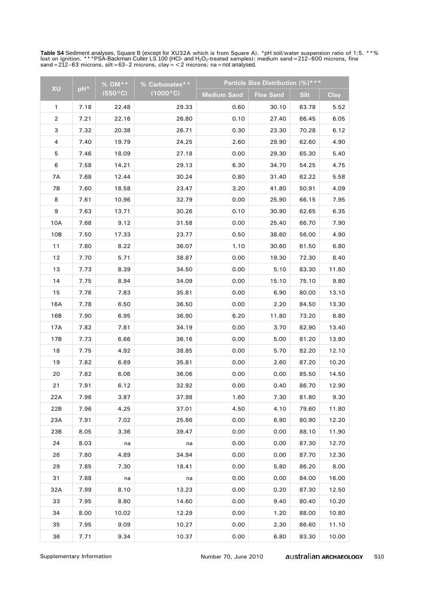**Table S4** Sediment analyses, Square B (except for XU32A which is from Square A). \*pH soil/water suspension ratio of 1:5. \*\*%<br>lost on ignition. \*\*\*PSA-Backman Culter LS 100 (HCl- and H<sub>2</sub>O<sub>2</sub>-treated samples): medium sand=

| <b>XU</b>      |      | % OM **          | % Carbonates**    |                    | <b>Particle Size Distribution (%)***</b> |             |             |
|----------------|------|------------------|-------------------|--------------------|------------------------------------------|-------------|-------------|
|                | pH*  | $(550^{\circ}C)$ | $(1000^{\circ}C)$ | <b>Medium Sand</b> | <b>Fine Sand</b>                         | <b>Silt</b> | <b>Clay</b> |
| 1              | 7.18 | 22.48            | 29.33             | 0.60               | 30.10                                    | 63.78       | 5.52        |
| $\overline{2}$ | 7.21 | 22.16            | 26.80             | 0.10               | 27.40                                    | 66.45       | 6.05        |
| 3              | 7.32 | 20.38            | 26.71             | 0.30               | 23.30                                    | 70.28       | 6.12        |
| 4              | 7.40 | 19.79            | 24.25             | 2.60               | 29.90                                    | 62.60       | 4.90        |
| 5              | 7.46 | 18.09            | 27.18             | 0.00               | 29.30                                    | 65.30       | 5.40        |
| 6              | 7.58 | 14.21            | 29.13             | 6.30               | 34.70                                    | 54.25       | 4.75        |
| 7A             | 7.68 | 12.44            | 30.24             | 0.80               | 31.40                                    | 62.22       | 5.58        |
| 7B             | 7.60 | 18.58            | 23.47             | 3.20               | 41.80                                    | 50.91       | 4.09        |
| 8              | 7.61 | 10.96            | 32.79             | 0.00               | 25.90                                    | 66.15       | 7.95        |
| 9              | 7.63 | 13.71            | 30.26             | 0.10               | 30.90                                    | 62.65       | 6.35        |
| 10A            | 7.68 | 9.12             | 31.58             | 0.00               | 25.40                                    | 66.70       | 7.90        |
| 10B            | 7.50 | 17.33            | 23.77             | 0.50               | 38.60                                    | 56.00       | 4.90        |
| 11             | 7.80 | 8.22             | 36.07             | 1.10               | 30.60                                    | 61.50       | 6.80        |
| 12             | 7.70 | 5.71             | 38.87             | 0.00               | 19.30                                    | 72.30       | 8.40        |
| 13             | 7.73 | 8.39             | 34.50             | 0.00               | 5.10                                     | 83.30       | 11.60       |
| 14             | 7.75 | 8.94             | 34.09             | 0.00               | 15.10                                    | 75.10       | 9.80        |
| 15             | 7.76 | 7.83             | 35.81             | 0.00               | 6.90                                     | 80.00       | 13.10       |
| 16A            | 7.78 | 6.50             | 36.50             | 0.00               | 2.20                                     | 84.50       | 13.30       |
| 16B            | 7.90 | 6.95             | 36.90             | 6.20               | 11.80                                    | 73.20       | 8.80        |
| 17A            | 7.82 | 7.81             | 34.19             | 0.00               | 3.70                                     | 82.90       | 13.40       |
| 17B            | 7.73 | 6.66             | 36.16             | 0.00               | 5.00                                     | 81.20       | 13.80       |
| 18             | 7.75 | 4.92             | 38.85             | 0.00               | 5.70                                     | 82.20       | 12.10       |
| 19             | 7.82 | 6.69             | 35.81             | 0.00               | 2.60                                     | 87.20       | 10.20       |
| 20             | 7.82 | 6.06             | 36.06             | 0.00               | 0.00                                     | 85.50       | 14.50       |
| 21             | 7.91 | 6.12             | 32.92             | 0.00               | 0.40                                     | 86.70       | 12.90       |
| 22A            | 7.96 | 3.87             | 37.98             | 1.60               | 7.30                                     | 81.80       | 9.30        |
| 22B            | 7.96 | 4.25             | 37.01             | 4.50               | 4.10                                     | 79.60       | 11.80       |
| 23A            | 7.91 | 7.02             | 25.86             | 0.00               | 6.90                                     | 80.90       | 12.20       |
| 23B            | 8.05 | 3.36             | 39.47             | 0.00               | 0.00                                     | 88.10       | 11.90       |
| 24             | 8.03 | na               | na                | 0.00               | 0.00                                     | 87.30       | 12.70       |
| 26             | 7.80 | 4.89             | 34.94             | 0.00               | 0.00                                     | 87.70       | 12.30       |
| 29             | 7.85 | 7.30             | 18.41             | 0.00               | 5.80                                     | 86.20       | 8.00        |
| 31             | 7.88 | na               | na                | 0.00               | 0.00                                     | 84.00       | 16.00       |
| 32A            | 7.99 | 8.10             | 13.23             | 0.00               | 0.20                                     | 87.30       | 12.50       |
| 33             | 7.95 | 8.80             | 14.60             | 0.00               | 9.40                                     | 80.40       | 10.20       |
| 34             | 8.00 | 10.02            | 12.29             | 0.00               | 1.20                                     | 88.00       | 10.80       |
| 35             | 7.95 | 9.09             | 10.27             | 0.00               | 2.30                                     | 86.60       | 11.10       |
| 36             | 7.71 | 9.34             | 10.37             | 0.00               | 6.80                                     | 83.30       | 10.00       |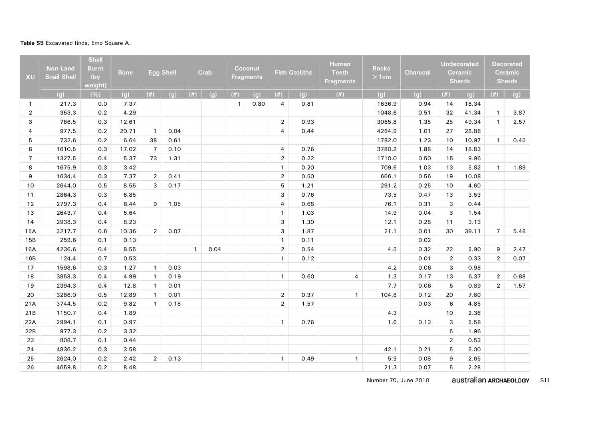#### **Table S5** Excavated finds, Emo Square A.

| <b>XU</b>      | Non-Land<br><b>Snail Shell</b> | <b>Shell</b><br><b>Burnt</b><br>(by<br>weight) | <b>Bone</b> |                | Egg Shell |              | Crab |              | Coconut<br><b>Fragments</b> |                | <b>Fish Otoliths</b> | <b>Human</b><br><b>Teeth</b><br><b>Fragments</b> | <b>Rocks</b><br>$>1$ cm | <b>Charcoal</b> |                | <b>Undecorated</b><br><b>Ceramic</b><br><b>Sherds</b> |                | <b>Decorated</b><br><b>Ceramic</b><br><b>Sherds</b> |
|----------------|--------------------------------|------------------------------------------------|-------------|----------------|-----------|--------------|------|--------------|-----------------------------|----------------|----------------------|--------------------------------------------------|-------------------------|-----------------|----------------|-------------------------------------------------------|----------------|-----------------------------------------------------|
|                | (g)                            | (%)                                            | (g)         | (#)            | (g)       | (#)          | (g)  | (#)          | (g)                         | (#)            | (g)                  | (#)                                              | (g)                     | (g)             | (#)            | (g)                                                   | $(\#)$         | (g)                                                 |
| $\mathbf{1}$   | 217.3                          | 0.0                                            | 7.37        |                |           |              |      | $\mathbf{1}$ | 0.80                        | $\overline{4}$ | 0.81                 |                                                  | 1636.9                  | 0.94            | 14             | 18.34                                                 |                |                                                     |
| $\overline{2}$ | 353.3                          | 0.2                                            | 4.29        |                |           |              |      |              |                             |                |                      |                                                  | 1048.6                  | 0.51            | 32             | 41.34                                                 | $\mathbf{1}$   | 3.87                                                |
| 3              | 766.5                          | 0.3                                            | 12.61       |                |           |              |      |              |                             | $\overline{2}$ | 0.93                 |                                                  | 3065.8                  | 1.35            | 25             | 49.34                                                 | $\mathbf{1}$   | 2.57                                                |
| $\overline{4}$ | 977.5                          | 0.2                                            | 20.71       | $\overline{1}$ | 0.04      |              |      |              |                             | $\overline{4}$ | 0.44                 |                                                  | 4264.9                  | 1.01            | 27             | 28.88                                                 |                |                                                     |
| 5              | 732.6                          | 0.2                                            | 6.64        | 38             | 0.61      |              |      |              |                             |                |                      |                                                  | 1782.0                  | 1.23            | 10             | 10.97                                                 | $\mathbf{1}$   | 0.45                                                |
| 6              | 1610.5                         | 0.3                                            | 17.02       | $\overline{7}$ | 0.10      |              |      |              |                             | $\overline{4}$ | 0.76                 |                                                  | 3780.2                  | 1.88            | 14             | 18.83                                                 |                |                                                     |
| $\overline{7}$ | 1327.5                         | 0.4                                            | 5.37        | 73             | 1.31      |              |      |              |                             | $\overline{2}$ | 0.22                 |                                                  | 1710.0                  | 0.50            | 15             | 9.96                                                  |                |                                                     |
| 8              | 1675.9                         | 0.3                                            | 3.42        |                |           |              |      |              |                             | $\mathbf{1}$   | 0.20                 |                                                  | 709.6                   | 1.03            | 13             | 5.82                                                  | $\mathbf{1}$   | 1.89                                                |
| 9              | 1634.4                         | 0.3                                            | 7.37        | $\overline{2}$ | 0.41      |              |      |              |                             | $\overline{2}$ | 0.50                 |                                                  | 666.1                   | 0.56            | 19             | 10.08                                                 |                |                                                     |
| 10             | 2644.0                         | 0.5                                            | 8.55        | 3              | 0.17      |              |      |              |                             | 5              | 1.21                 |                                                  | 291.2                   | 0.25            | 10             | 4.60                                                  |                |                                                     |
| 11             | 2864.3                         | 0.3                                            | 6.85        |                |           |              |      |              |                             | 3              | 0.76                 |                                                  | 73.5                    | 0.47            | 13             | 3.53                                                  |                |                                                     |
| 12             | 2797.3                         | 0.4                                            | 8.44        | 9              | 1.05      |              |      |              |                             | 4              | 0.68                 |                                                  | 76.1                    | 0.31            | 3              | 0.44                                                  |                |                                                     |
| 13             | 2643.7                         | 0.4                                            | 5.64        |                |           |              |      |              |                             | $\mathbf{1}$   | 1.03                 |                                                  | 14.9                    | 0.04            | 3              | 1.54                                                  |                |                                                     |
| 14             | 2938.3                         | 0.4                                            | 8.23        |                |           |              |      |              |                             | 3              | 1.30                 |                                                  | 12.1                    | 0.28            | 11             | 3.13                                                  |                |                                                     |
| 15A            | 3217.7                         | 0.6                                            | 10.36       | $\overline{2}$ | 0.07      |              |      |              |                             | 3              | 1.87                 |                                                  | 21.1                    | 0.01            | 30             | 39.11                                                 | $\overline{7}$ | 5.48                                                |
| 15B            | 259.6                          | 0.1                                            | 0.13        |                |           |              |      |              |                             | $\mathbf{1}$   | 0.11                 |                                                  |                         | 0.02            |                |                                                       |                |                                                     |
| 16A            | 4236.6                         | 0.4                                            | 8.55        |                |           | $\mathbf{1}$ | 0.04 |              |                             | $\overline{2}$ | 0.54                 |                                                  | 4.5                     | 0.32            | 22             | 5.90                                                  | 9              | 2.47                                                |
| 16B            | 124.4                          | 0.7                                            | 0.53        |                |           |              |      |              |                             | $\mathbf{1}$   | 0.12                 |                                                  |                         | 0.01            | $\overline{2}$ | 0.33                                                  | $\overline{2}$ | 0.07                                                |
| 17             | 1598.6                         | 0.3                                            | 1.27        | $\mathbf{1}$   | 0.03      |              |      |              |                             |                |                      |                                                  | 4.2                     | 0.06            | 3              | 0.98                                                  |                |                                                     |
| 18             | 3858.3                         | 0.4                                            | 4.99        | $\mathbf{1}$   | 0.19      |              |      |              |                             | $\mathbf{1}$   | 0.60                 | $\overline{4}$                                   | 1.3                     | 0.17            | 13             | 6.37                                                  | $\overline{2}$ | 0.88                                                |
| 19             | 2394.3                         | 0.4                                            | 12.8        | $\mathbf{1}$   | 0.01      |              |      |              |                             |                |                      |                                                  | 7.7                     | 0.06            | 5              | 0.89                                                  | $\overline{2}$ | 1.57                                                |
| 20             | 3286.0                         | 0.5                                            | 12.89       | $\mathbf{1}$   | 0.01      |              |      |              |                             | $\overline{2}$ | 0.37                 | $\mathbf{1}$                                     | 104.8                   | 0.12            | 20             | 7.60                                                  |                |                                                     |
| 21A            | 3744.5                         | 0.2                                            | 9.82        | $\mathbf{1}$   | 0.18      |              |      |              |                             | $\overline{2}$ | 1.57                 |                                                  |                         | 0.03            | 6              | 4.85                                                  |                |                                                     |
| 21B            | 1150.7                         | 0.4                                            | 1.89        |                |           |              |      |              |                             |                |                      |                                                  | 4.3                     |                 | 10             | 2.36                                                  |                |                                                     |
| 22A            | 2994.1                         | 0.1                                            | 0.97        |                |           |              |      |              |                             | $\mathbf{1}$   | 0.76                 |                                                  | 1.6                     | 0.13            | 3              | 5.58                                                  |                |                                                     |
| 22B            | 977.3                          | 0.2                                            | 3.32        |                |           |              |      |              |                             |                |                      |                                                  |                         |                 | 5              | 1.96                                                  |                |                                                     |
| 23             | 808.7                          | 0.1                                            | 0.44        |                |           |              |      |              |                             |                |                      |                                                  |                         |                 | $\overline{2}$ | 0.53                                                  |                |                                                     |
| 24             | 4836.2                         | 0.3                                            | 3.58        |                |           |              |      |              |                             |                |                      |                                                  | 42.1                    | 0.21            | 5              | 5.00                                                  |                |                                                     |
| 25             | 2624.0                         | 0.2                                            | 2.42        | $\overline{2}$ | 0.13      |              |      |              |                             | $\mathbf{1}$   | 0.49                 | $\mathbf{1}$                                     | 5.9                     | 0.08            | 9              | 2.65                                                  |                |                                                     |
| 26             | 4659.8                         | 0.2                                            | 8.48        |                |           |              |      |              |                             |                |                      |                                                  | 21.3                    | 0.07            | 5              | 2.28                                                  |                |                                                     |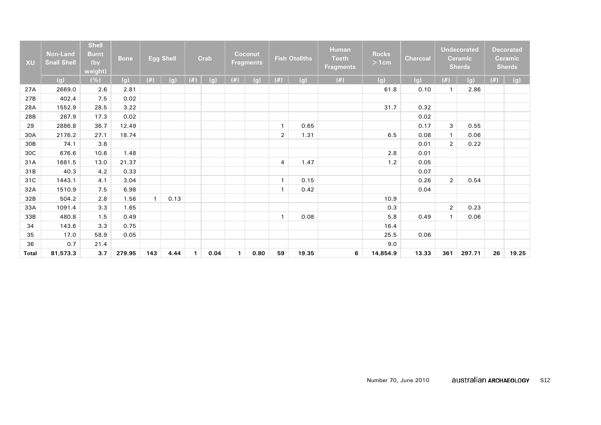| <b>XU</b>    | <b>Non-Land</b><br><b>Snail Shell</b> | <b>Shell</b><br><b>Burnt</b><br>(by<br>weight) | <b>Bone</b> |     | <b>Egg Shell</b> |     | Crab |              | Coconut<br><b>Fragments</b> |                | <b>Fish Otoliths</b> | <b>Human</b><br><b>Teeth</b><br><b>Fragments</b> | <b>Rocks</b><br>>1cm | <b>Charcoal</b> |                | <b>Undecorated</b><br><b>Ceramic</b><br><b>Sherds</b> |     | <b>Decorated</b><br><b>Ceramic</b><br><b>Sherds</b> |
|--------------|---------------------------------------|------------------------------------------------|-------------|-----|------------------|-----|------|--------------|-----------------------------|----------------|----------------------|--------------------------------------------------|----------------------|-----------------|----------------|-------------------------------------------------------|-----|-----------------------------------------------------|
|              | (g)                                   | (%)                                            | (g)         | (#) | (g)              | (#) | (g)  | (#)          | (g)                         | (#)            | (g)                  | (#)                                              | (g)                  | (g)             | (#)            | (g)                                                   | (#) | (g)                                                 |
| 27A          | 2669.0                                | 2.6                                            | 2.81        |     |                  |     |      |              |                             |                |                      |                                                  | 61.8                 | 0.10            | $\mathbf{1}$   | 2.86                                                  |     |                                                     |
| 27B          | 402.4                                 | 7.5                                            | 0.02        |     |                  |     |      |              |                             |                |                      |                                                  |                      |                 |                |                                                       |     |                                                     |
| 28A          | 1552.9                                | 28.5                                           | 3.22        |     |                  |     |      |              |                             |                |                      |                                                  | 31.7                 | 0.32            |                |                                                       |     |                                                     |
| 28B          | 267.9                                 | 17.3                                           | 0.02        |     |                  |     |      |              |                             |                |                      |                                                  |                      | 0.02            |                |                                                       |     |                                                     |
| 29           | 2886.8                                | 36.7                                           | 12.49       |     |                  |     |      |              |                             | $\mathbf{1}$   | 0.65                 |                                                  |                      | 0.17            | 3              | 0.55                                                  |     |                                                     |
| 30A          | 2176.2                                | 27.1                                           | 18.74       |     |                  |     |      |              |                             | $\overline{2}$ | 1.31                 |                                                  | 6.5                  | 0.08            | $\mathbf{1}$   | 0.06                                                  |     |                                                     |
| 30B          | 74.1                                  | 3.8                                            |             |     |                  |     |      |              |                             |                |                      |                                                  |                      | 0.01            | $\overline{2}$ | 0.22                                                  |     |                                                     |
| 30C          | 676.6                                 | 10.6                                           | 1.48        |     |                  |     |      |              |                             |                |                      |                                                  | 2.8                  | 0.01            |                |                                                       |     |                                                     |
| 31A          | 1681.5                                | 13.0                                           | 21.37       |     |                  |     |      |              |                             | 4              | 1.47                 |                                                  | 1.2                  | 0.05            |                |                                                       |     |                                                     |
| 31B          | 40.3                                  | 4.2                                            | 0.33        |     |                  |     |      |              |                             |                |                      |                                                  |                      | 0.07            |                |                                                       |     |                                                     |
| 31C          | 1443.1                                | 4.1                                            | 3.04        |     |                  |     |      |              |                             | $\mathbf{1}$   | 0.15                 |                                                  |                      | 0.26            | $\overline{2}$ | 0.54                                                  |     |                                                     |
| 32A          | 1510.9                                | 7.5                                            | 6.98        |     |                  |     |      |              |                             | $\mathbf{1}$   | 0.42                 |                                                  |                      | 0.04            |                |                                                       |     |                                                     |
| 32B          | 504.2                                 | 2.8                                            | 1.56        |     | 0.13             |     |      |              |                             |                |                      |                                                  | 10.9                 |                 |                |                                                       |     |                                                     |
| 33A          | 1091.4                                | 3.3                                            | 1.65        |     |                  |     |      |              |                             |                |                      |                                                  | 0.3                  |                 | $\overline{2}$ | 0.23                                                  |     |                                                     |
| 33B          | 480.8                                 | 1.5                                            | 0.49        |     |                  |     |      |              |                             | $\mathbf{1}$   | 0.08                 |                                                  | 5.8                  | 0.49            | $\mathbf{1}$   | 0.06                                                  |     |                                                     |
| 34           | 143.6                                 | 3.3                                            | 0.75        |     |                  |     |      |              |                             |                |                      |                                                  | 16.4                 |                 |                |                                                       |     |                                                     |
| 35           | 17.0                                  | 58.9                                           | 0.05        |     |                  |     |      |              |                             |                |                      |                                                  | 25.5                 | 0.06            |                |                                                       |     |                                                     |
| 36           | 0.7                                   | 21.4                                           |             |     |                  |     |      |              |                             |                |                      |                                                  | 9.0                  |                 |                |                                                       |     |                                                     |
| <b>Total</b> | 81,573.3                              | 3.7                                            | 279.95      | 143 | 4.44             | 1   | 0.04 | $\mathbf{1}$ | 0.80                        | 59             | 19.35                | 6                                                | 14,854.9             | 13.33           | 361            | 297.71                                                | 26  | 19.25                                               |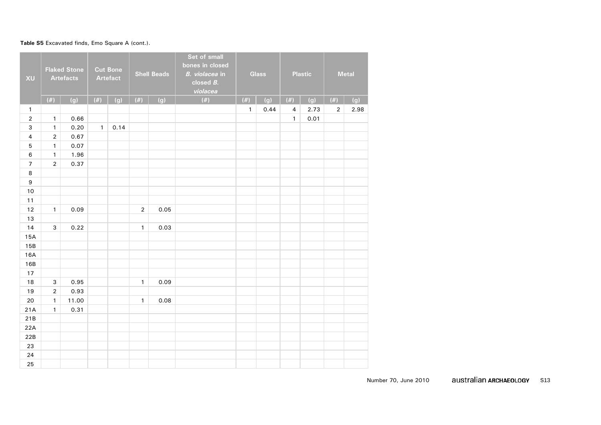#### Table S5 Excavated finds, Emo Square A (cont.).

| XU               |                | <b>Flaked Stone</b><br><b>Artefacts</b> |              | <b>Cut Bone</b><br><b>Artefact</b> |              | <b>Shell Beads</b> | Set of small<br>bones in closed<br>B. violacea in<br>closed $B$ .<br>violacea |              | Glass |                | <b>Plastic</b> |                | <b>Metal</b> |
|------------------|----------------|-----------------------------------------|--------------|------------------------------------|--------------|--------------------|-------------------------------------------------------------------------------|--------------|-------|----------------|----------------|----------------|--------------|
|                  | $(\#)$         | (g)                                     | (#)          | (g)                                | $(\#)$       | (g)                | $(\#)$                                                                        | $(\#)$       | (g)   | $(\#)$         | (g)            | (#)            | (g)          |
| $\mathbf{1}$     |                |                                         |              |                                    |              |                    |                                                                               | $\mathbf{1}$ | 0.44  | $\overline{4}$ | 2.73           | $\overline{2}$ | 2.98         |
| $\mathbf 2$      | $\mathbf{1}$   | 0.66                                    |              |                                    |              |                    |                                                                               |              |       | $\mathbf{1}$   | 0.01           |                |              |
| 3                | $\mathbf{1}$   | 0.20                                    | $\mathbf{1}$ | 0.14                               |              |                    |                                                                               |              |       |                |                |                |              |
| $\overline{4}$   | $\overline{2}$ | 0.67                                    |              |                                    |              |                    |                                                                               |              |       |                |                |                |              |
| $\sqrt{5}$       | $\mathbf{1}$   | 0.07                                    |              |                                    |              |                    |                                                                               |              |       |                |                |                |              |
| $\,6\,$          | $\mathbf{1}$   | 1.96                                    |              |                                    |              |                    |                                                                               |              |       |                |                |                |              |
| $\overline{7}$   | $\overline{2}$ | 0.37                                    |              |                                    |              |                    |                                                                               |              |       |                |                |                |              |
| $\,8\,$          |                |                                         |              |                                    |              |                    |                                                                               |              |       |                |                |                |              |
| $\boldsymbol{9}$ |                |                                         |              |                                    |              |                    |                                                                               |              |       |                |                |                |              |
| $10$             |                |                                         |              |                                    |              |                    |                                                                               |              |       |                |                |                |              |
| 11               |                |                                         |              |                                    |              |                    |                                                                               |              |       |                |                |                |              |
| 12               | $\mathbf{1}$   | 0.09                                    |              |                                    | $\mathbf 2$  | 0.05               |                                                                               |              |       |                |                |                |              |
| 13               |                |                                         |              |                                    |              |                    |                                                                               |              |       |                |                |                |              |
| 14               | 3              | 0.22                                    |              |                                    | $\mathbf{1}$ | 0.03               |                                                                               |              |       |                |                |                |              |
| 15A              |                |                                         |              |                                    |              |                    |                                                                               |              |       |                |                |                |              |
| 15B              |                |                                         |              |                                    |              |                    |                                                                               |              |       |                |                |                |              |
| 16A              |                |                                         |              |                                    |              |                    |                                                                               |              |       |                |                |                |              |
| 16B              |                |                                         |              |                                    |              |                    |                                                                               |              |       |                |                |                |              |
| 17               |                |                                         |              |                                    |              |                    |                                                                               |              |       |                |                |                |              |
| 18               | 3              | 0.95                                    |              |                                    | $\mathbf{1}$ | 0.09               |                                                                               |              |       |                |                |                |              |
| 19               | $\mathbf 2$    | 0.93                                    |              |                                    |              |                    |                                                                               |              |       |                |                |                |              |
| 20               | $\mathbf{1}$   | 11.00                                   |              |                                    | $\mathbf{1}$ | 0.08               |                                                                               |              |       |                |                |                |              |
| 21A              | $\mathbf{1}$   | 0.31                                    |              |                                    |              |                    |                                                                               |              |       |                |                |                |              |
| 21B              |                |                                         |              |                                    |              |                    |                                                                               |              |       |                |                |                |              |
| 22A              |                |                                         |              |                                    |              |                    |                                                                               |              |       |                |                |                |              |
| 22B              |                |                                         |              |                                    |              |                    |                                                                               |              |       |                |                |                |              |
| 23               |                |                                         |              |                                    |              |                    |                                                                               |              |       |                |                |                |              |
| 24               |                |                                         |              |                                    |              |                    |                                                                               |              |       |                |                |                |              |
| 25               |                |                                         |              |                                    |              |                    |                                                                               |              |       |                |                |                |              |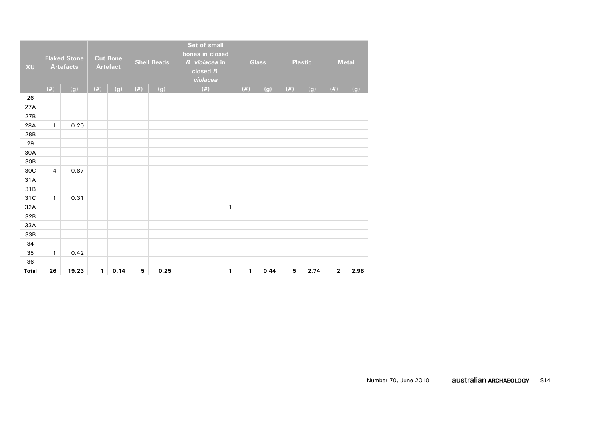| XU           |                | <b>Flaked Stone</b><br><b>Artefacts</b> |              | <b>Cut Bone</b><br><b>Artefact</b> |        | <b>Shell Beads</b> | Set of small<br>bones in closed<br>B. violacea in<br>closed $B$ .<br>violacea |              | Glass |        | <b>Plastic</b> |                | <b>Metal</b> |
|--------------|----------------|-----------------------------------------|--------------|------------------------------------|--------|--------------------|-------------------------------------------------------------------------------|--------------|-------|--------|----------------|----------------|--------------|
|              | $(\#)$         | (g)                                     | $(\#)$       | (g)                                | $(\#)$ | (g)                | $(\#)$                                                                        | $(\#)$       | (g)   | $(\#)$ | (g)            | (#)            | (g)          |
| 26           |                |                                         |              |                                    |        |                    |                                                                               |              |       |        |                |                |              |
| 27A          |                |                                         |              |                                    |        |                    |                                                                               |              |       |        |                |                |              |
| 27B          |                |                                         |              |                                    |        |                    |                                                                               |              |       |        |                |                |              |
| 28A          | $\mathbf{1}$   | 0.20                                    |              |                                    |        |                    |                                                                               |              |       |        |                |                |              |
| 28B          |                |                                         |              |                                    |        |                    |                                                                               |              |       |        |                |                |              |
| 29           |                |                                         |              |                                    |        |                    |                                                                               |              |       |        |                |                |              |
| 30A          |                |                                         |              |                                    |        |                    |                                                                               |              |       |        |                |                |              |
| 30B          |                |                                         |              |                                    |        |                    |                                                                               |              |       |        |                |                |              |
| 30C          | $\overline{4}$ | 0.87                                    |              |                                    |        |                    |                                                                               |              |       |        |                |                |              |
| 31A          |                |                                         |              |                                    |        |                    |                                                                               |              |       |        |                |                |              |
| 31B          |                |                                         |              |                                    |        |                    |                                                                               |              |       |        |                |                |              |
| 31C          | $\mathbf{1}$   | 0.31                                    |              |                                    |        |                    |                                                                               |              |       |        |                |                |              |
| 32A          |                |                                         |              |                                    |        |                    | $\mathbf{1}$                                                                  |              |       |        |                |                |              |
| 32B          |                |                                         |              |                                    |        |                    |                                                                               |              |       |        |                |                |              |
| 33A          |                |                                         |              |                                    |        |                    |                                                                               |              |       |        |                |                |              |
| 33B          |                |                                         |              |                                    |        |                    |                                                                               |              |       |        |                |                |              |
| 34           |                |                                         |              |                                    |        |                    |                                                                               |              |       |        |                |                |              |
| 35           | $\mathbf{1}$   | 0.42                                    |              |                                    |        |                    |                                                                               |              |       |        |                |                |              |
| 36           |                |                                         |              |                                    |        |                    |                                                                               |              |       |        |                |                |              |
| <b>Total</b> | 26             | 19.23                                   | $\mathbf{1}$ | 0.14                               | 5      | 0.25               | $\mathbf{1}$                                                                  | $\mathbf{1}$ | 0.44  | 5      | 2.74           | $\overline{2}$ | 2.98         |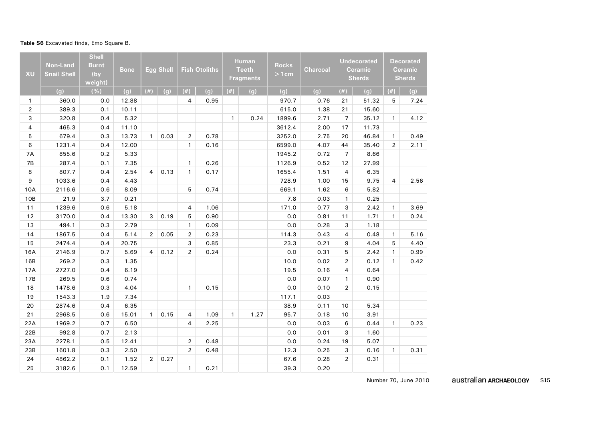#### **Table S6** Excavated finds, Emo Square B.

| <b>XU</b>      | <b>Non-Land</b><br><b>Snail Shell</b> | <b>Shell</b><br><b>Burnt</b><br>(by<br>weight) | <b>Bone</b> |                | <b>Egg Shell</b> |                | <b>Fish Otoliths</b> |              | <b>Human</b><br><b>Teeth</b><br><b>Fragments</b> | <b>Rocks</b><br>>1cm | Charcoal |                | <b>Undecorated</b><br><b>Ceramic</b><br><b>Sherds</b> |                | <b>Decorated</b><br>Ceramic<br><b>Sherds</b> |
|----------------|---------------------------------------|------------------------------------------------|-------------|----------------|------------------|----------------|----------------------|--------------|--------------------------------------------------|----------------------|----------|----------------|-------------------------------------------------------|----------------|----------------------------------------------|
|                | (q)                                   | (% )                                           | (g)         | (#)            | (g)              | (#)            | (q)                  | (#)          | (q)                                              | (q)                  | (q)      | (#)            | (q)                                                   | $(\#)$         | (q)                                          |
| $\mathbf{1}$   | 360.0                                 | 0.0                                            | 12.88       |                |                  | $\overline{4}$ | 0.95                 |              |                                                  | 970.7                | 0.76     | 21             | 51.32                                                 | 5              | 7.24                                         |
| $\overline{2}$ | 389.3                                 | 0.1                                            | 10.11       |                |                  |                |                      |              |                                                  | 615.0                | 1.38     | 21             | 15.60                                                 |                |                                              |
| 3              | 320.8                                 | 0.4                                            | 5.32        |                |                  |                |                      | $\mathbf{1}$ | 0.24                                             | 1899.6               | 2.71     | $\overline{7}$ | 35.12                                                 | $\mathbf{1}$   | 4.12                                         |
| 4              | 465.3                                 | 0.4                                            | 11.10       |                |                  |                |                      |              |                                                  | 3612.4               | 2.00     | 17             | 11.73                                                 |                |                                              |
| 5              | 679.4                                 | 0.3                                            | 13.73       | $\mathbf{1}$   | 0.03             | $\overline{2}$ | 0.78                 |              |                                                  | 3252.0               | 2.75     | 20             | 46.84                                                 | $\mathbf{1}$   | 0.49                                         |
| 6              | 1231.4                                | 0.4                                            | 12.00       |                |                  | $\mathbf{1}$   | 0.16                 |              |                                                  | 6599.0               | 4.07     | 44             | 35.40                                                 | $\overline{2}$ | 2.11                                         |
| <b>7A</b>      | 855.6                                 | 0.2                                            | 5.33        |                |                  |                |                      |              |                                                  | 1945.2               | 0.72     | 7              | 8.66                                                  |                |                                              |
| 7B             | 287.4                                 | 0.1                                            | 7.35        |                |                  | $\mathbf{1}$   | 0.26                 |              |                                                  | 1126.9               | 0.52     | 12             | 27.99                                                 |                |                                              |
| 8              | 807.7                                 | 0.4                                            | 2.54        | $\overline{4}$ | 0.13             | $\mathbf{1}$   | 0.17                 |              |                                                  | 1655.4               | 1.51     | $\overline{4}$ | 6.35                                                  |                |                                              |
| 9              | 1033.6                                | 0.4                                            | 4.43        |                |                  |                |                      |              |                                                  | 728.9                | 1.00     | 15             | 9.75                                                  | 4              | 2.56                                         |
| 10A            | 2116.6                                | 0.6                                            | 8.09        |                |                  | 5              | 0.74                 |              |                                                  | 669.1                | 1.62     | 6              | 5.82                                                  |                |                                              |
| 10B            | 21.9                                  | 3.7                                            | 0.21        |                |                  |                |                      |              |                                                  | 7.8                  | 0.03     | $\mathbf{1}$   | 0.25                                                  |                |                                              |
| 11             | 1239.6                                | 0.6                                            | 5.18        |                |                  | 4              | 1.06                 |              |                                                  | 171.0                | 0.77     | 3              | 2.42                                                  | $\mathbf{1}$   | 3.69                                         |
| 12             | 3170.0                                | 0.4                                            | 13.30       | 3              | 0.19             | 5              | 0.90                 |              |                                                  | 0.0                  | 0.81     | 11             | 1.71                                                  | $\mathbf{1}$   | 0.24                                         |
| 13             | 494.1                                 | 0.3                                            | 2.79        |                |                  | $\mathbf{1}$   | 0.09                 |              |                                                  | 0.0                  | 0.28     | 3              | 1.18                                                  |                |                                              |
| 14             | 1867.5                                | 0.4                                            | 5.14        | $\overline{2}$ | 0.05             | $\overline{2}$ | 0.23                 |              |                                                  | 114.3                | 0.43     | 4              | 0.48                                                  | $\mathbf{1}$   | 5.16                                         |
| 15             | 2474.4                                | 0.4                                            | 20.75       |                |                  | 3              | 0.85                 |              |                                                  | 23.3                 | 0.21     | 9              | 4.04                                                  | 5              | 4.40                                         |
| 16A            | 2146.9                                | 0.7                                            | 5.69        | $\overline{4}$ | 0.12             | $\overline{2}$ | 0.24                 |              |                                                  | 0.0                  | 0.31     | 5              | 2.42                                                  | $\mathbf{1}$   | 0.99                                         |
| 16B            | 269.2                                 | 0.3                                            | 1.35        |                |                  |                |                      |              |                                                  | 10.0                 | 0.02     | $\overline{2}$ | 0.12                                                  | $\mathbf{1}$   | 0.42                                         |
| 17A            | 2727.0                                | 0.4                                            | 6.19        |                |                  |                |                      |              |                                                  | 19.5                 | 0.16     | 4              | 0.64                                                  |                |                                              |
| 17B            | 269.5                                 | 0.6                                            | 0.74        |                |                  |                |                      |              |                                                  | 0.0                  | 0.07     | $\mathbf{1}$   | 0.90                                                  |                |                                              |
| 18             | 1478.6                                | 0.3                                            | 4.04        |                |                  | $\mathbf{1}$   | 0.15                 |              |                                                  | 0.0                  | 0.10     | $\overline{2}$ | 0.15                                                  |                |                                              |
| 19             | 1543.3                                | 1.9                                            | 7.34        |                |                  |                |                      |              |                                                  | 117.1                | 0.03     |                |                                                       |                |                                              |
| 20             | 2874.6                                | 0.4                                            | 6.35        |                |                  |                |                      |              |                                                  | 38.9                 | 0.11     | 10             | 5.34                                                  |                |                                              |
| 21             | 2968.5                                | 0.6                                            | 15.01       | $\mathbf{1}$   | 0.15             | 4              | 1.09                 | $\mathbf{1}$ | 1.27                                             | 95.7                 | 0.18     | 10             | 3.91                                                  |                |                                              |
| 22A            | 1969.2                                | 0.7                                            | 6.50        |                |                  | 4              | 2.25                 |              |                                                  | 0.0                  | 0.03     | 6              | 0.44                                                  | $\mathbf{1}$   | 0.23                                         |
| 22B            | 992.8                                 | 0.7                                            | 2.13        |                |                  |                |                      |              |                                                  | 0.0                  | 0.01     | 3              | 1.60                                                  |                |                                              |
| 23A            | 2278.1                                | 0.5                                            | 12.41       |                |                  | $\overline{2}$ | 0.48                 |              |                                                  | 0.0                  | 0.24     | 19             | 5.07                                                  |                |                                              |
| 23B            | 1601.8                                | 0.3                                            | 2.50        |                |                  | $\overline{2}$ | 0.48                 |              |                                                  | 12.3                 | 0.25     | 3              | 0.16                                                  | $\mathbf{1}$   | 0.31                                         |
| 24             | 4862.2                                | 0.1                                            | 1.52        | $\overline{2}$ | 0.27             |                |                      |              |                                                  | 67.6                 | 0.28     | $\overline{2}$ | 0.31                                                  |                |                                              |
| 25             | 3182.6                                | 0.1                                            | 12.59       |                |                  | $\mathbf{1}$   | 0.21                 |              |                                                  | 39.3                 | 0.20     |                |                                                       |                |                                              |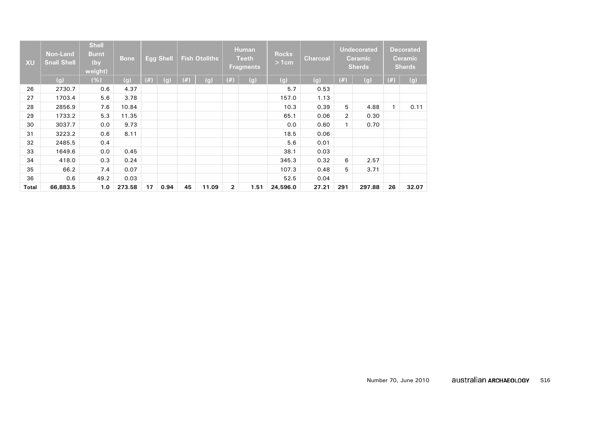| XU    | <b>Non-Land</b><br><b>Snail Shell</b> | <b>Shell</b><br><b>Burnt</b><br>(by<br>weight) | <b>Bone</b> |     | <b>Egg Shell</b> |      | <b>Fish Otoliths</b> |                | <b>Human</b><br><b>Teeth</b><br><b>Fragments</b> | <b>Rocks</b><br>>1cm | <b>Charcoal</b> |                | <b>Undecorated</b><br><b>Ceramic</b><br><b>Sherds</b> |                | <b>Decorated</b><br><b>Ceramic</b><br><b>Sherds</b> |
|-------|---------------------------------------|------------------------------------------------|-------------|-----|------------------|------|----------------------|----------------|--------------------------------------------------|----------------------|-----------------|----------------|-------------------------------------------------------|----------------|-----------------------------------------------------|
|       | (g)                                   | (%)                                            | (g)         | (#) | (g)              | (# ) | (g)                  | $(\#)$         | (g)                                              | (g)                  | (g)             | $(\#)$         | (g)                                                   | (#)            | (g)                                                 |
| 26    | 2730.7                                | 0.6                                            | 4.37        |     |                  |      |                      |                |                                                  | 5.7                  | 0.53            |                |                                                       |                |                                                     |
| 27    | 1703.4                                | 5.6                                            | 3.78        |     |                  |      |                      |                |                                                  | 157.0                | 1.13            |                |                                                       |                |                                                     |
| 28    | 2856.9                                | 7.6                                            | 10.84       |     |                  |      |                      |                |                                                  | 10.3                 | 0.39            | 5              | 4.88                                                  | $\overline{1}$ | 0.11                                                |
| 29    | 1733.2                                | 5.3                                            | 11.35       |     |                  |      |                      |                |                                                  | 65.1                 | 0.06            | $\overline{2}$ | 0.30                                                  |                |                                                     |
| 30    | 3037.7                                | 0.0                                            | 9.73        |     |                  |      |                      |                |                                                  | 0.0                  | 0.60            | $\mathbf{1}$   | 0.70                                                  |                |                                                     |
| 31    | 3223.2                                | 0.6                                            | 8.11        |     |                  |      |                      |                |                                                  | 18.5                 | 0.06            |                |                                                       |                |                                                     |
| 32    | 2485.5                                | 0.4                                            |             |     |                  |      |                      |                |                                                  | 5.6                  | 0.01            |                |                                                       |                |                                                     |
| 33    | 1649.6                                | 0.0                                            | 0.45        |     |                  |      |                      |                |                                                  | 38.1                 | 0.03            |                |                                                       |                |                                                     |
| 34    | 418.0                                 | 0.3                                            | 0.24        |     |                  |      |                      |                |                                                  | 345.3                | 0.32            | 6              | 2.57                                                  |                |                                                     |
| 35    | 66.2                                  | 7.4                                            | 0.07        |     |                  |      |                      |                |                                                  | 107.3                | 0.48            | 5              | 3.71                                                  |                |                                                     |
| 36    | 0.6                                   | 49.2                                           | 0.03        |     |                  |      |                      |                |                                                  | 52.5                 | 0.04            |                |                                                       |                |                                                     |
| Total | 66,883.5                              | 1.0                                            | 273.58      | 17  | 0.94             | 45   | 11.09                | $\overline{2}$ | 1.51                                             | 24,596.0             | 27.21           | 291            | 297.88                                                | 26             | 32.07                                               |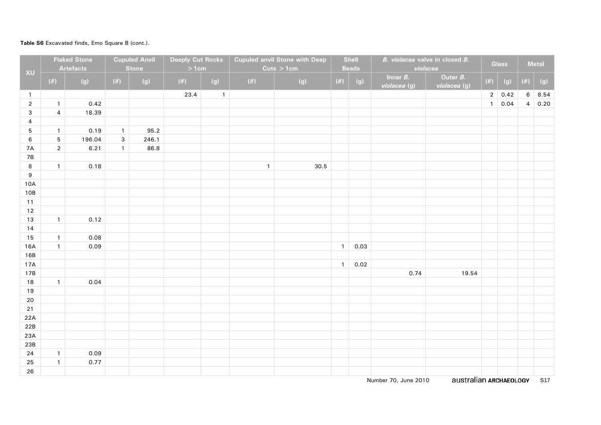### **Table S6** Excavated finds, Emo Square B (cont.).

|                  |                | <b>Flaked Stone</b> |              | <b>Cupuled Anvil</b> | <b>Deeply Cut Rocks</b> |              |              | <b>Cupuled anvil Stone with Deep</b> |              | <b>Shell</b> |                             | B. violacea valve in closed B. |                | <b>Glass</b> |                | <b>Metal</b> |
|------------------|----------------|---------------------|--------------|----------------------|-------------------------|--------------|--------------|--------------------------------------|--------------|--------------|-----------------------------|--------------------------------|----------------|--------------|----------------|--------------|
| XU               |                | <b>Artefacts</b>    |              | <b>Stone</b>         | >1cm                    |              |              | Cuts > 1cm                           |              | <b>Beads</b> |                             | violacea                       |                |              |                |              |
|                  | $(\#)$         | (g)                 | (#)          | (g)                  | $(\#)$                  | (g)          | $(\#)$       | (g)                                  | $(\#)$       | (g)          | Inner $B$ .<br>violacea (g) | Outer B.<br>violacea (g)       | $(\#)$         | (g)          | $(\#)$         | (g)          |
| $\overline{1}$   |                |                     |              |                      | 23.4                    | $\mathbf{1}$ |              |                                      |              |              |                             |                                | $\overline{2}$ | 0.42         | $6\phantom{.}$ | 8.54         |
| $\overline{2}$   | $\mathbf{1}$   | 0.42                |              |                      |                         |              |              |                                      |              |              |                             |                                | $\mathbf{1}$   | 0.04         | $\overline{4}$ | 0.20         |
| $\mathsf 3$      | $\overline{4}$ | 18.39               |              |                      |                         |              |              |                                      |              |              |                             |                                |                |              |                |              |
| $\overline{4}$   |                |                     |              |                      |                         |              |              |                                      |              |              |                             |                                |                |              |                |              |
| $\mathbf 5$      | $\mathbf{1}$   | 0.19                | $\mathbf{1}$ | 95.2                 |                         |              |              |                                      |              |              |                             |                                |                |              |                |              |
| $\,6$            | $\sqrt{5}$     | 196.04              | 3            | 246.1                |                         |              |              |                                      |              |              |                             |                                |                |              |                |              |
| 7A               | $\sqrt{2}$     | 6.21                | $\mathbf{1}$ | 86.8                 |                         |              |              |                                      |              |              |                             |                                |                |              |                |              |
| $7B$             |                |                     |              |                      |                         |              |              |                                      |              |              |                             |                                |                |              |                |              |
| $\bf 8$          | $\mathbf{1}$   | 0.18                |              |                      |                         |              | $\mathbf{1}$ | 30.5                                 |              |              |                             |                                |                |              |                |              |
| $\boldsymbol{9}$ |                |                     |              |                      |                         |              |              |                                      |              |              |                             |                                |                |              |                |              |
| 10A              |                |                     |              |                      |                         |              |              |                                      |              |              |                             |                                |                |              |                |              |
| 10B              |                |                     |              |                      |                         |              |              |                                      |              |              |                             |                                |                |              |                |              |
| 11               |                |                     |              |                      |                         |              |              |                                      |              |              |                             |                                |                |              |                |              |
| 12               |                |                     |              |                      |                         |              |              |                                      |              |              |                             |                                |                |              |                |              |
| $13$             | $\mathbf{1}$   | 0.12                |              |                      |                         |              |              |                                      |              |              |                             |                                |                |              |                |              |
| 14               |                |                     |              |                      |                         |              |              |                                      |              |              |                             |                                |                |              |                |              |
| 15               | $\mathbf{1}$   | 0.08                |              |                      |                         |              |              |                                      |              |              |                             |                                |                |              |                |              |
| 16A              | $\mathbf{1}$   | 0.09                |              |                      |                         |              |              |                                      | $\mathbf{1}$ | 0.03         |                             |                                |                |              |                |              |
| 16B              |                |                     |              |                      |                         |              |              |                                      |              | 0.02         |                             |                                |                |              |                |              |
| 17A<br>17B       |                |                     |              |                      |                         |              |              |                                      | $\mathbf{1}$ |              | 0.74                        | 19.54                          |                |              |                |              |
| $18\,$           | $\mathbf{1}$   | 0.04                |              |                      |                         |              |              |                                      |              |              |                             |                                |                |              |                |              |
| $19$             |                |                     |              |                      |                         |              |              |                                      |              |              |                             |                                |                |              |                |              |
| 20               |                |                     |              |                      |                         |              |              |                                      |              |              |                             |                                |                |              |                |              |
| 21               |                |                     |              |                      |                         |              |              |                                      |              |              |                             |                                |                |              |                |              |
| 22A              |                |                     |              |                      |                         |              |              |                                      |              |              |                             |                                |                |              |                |              |
| 22B              |                |                     |              |                      |                         |              |              |                                      |              |              |                             |                                |                |              |                |              |
| 23A              |                |                     |              |                      |                         |              |              |                                      |              |              |                             |                                |                |              |                |              |
| 23B              |                |                     |              |                      |                         |              |              |                                      |              |              |                             |                                |                |              |                |              |
| 24               | $\mathbf{1}$   | 0.09                |              |                      |                         |              |              |                                      |              |              |                             |                                |                |              |                |              |
| 25               | $\mathbf{1}$   | 0.77                |              |                      |                         |              |              |                                      |              |              |                             |                                |                |              |                |              |
| 26               |                |                     |              |                      |                         |              |              |                                      |              |              |                             |                                |                |              |                |              |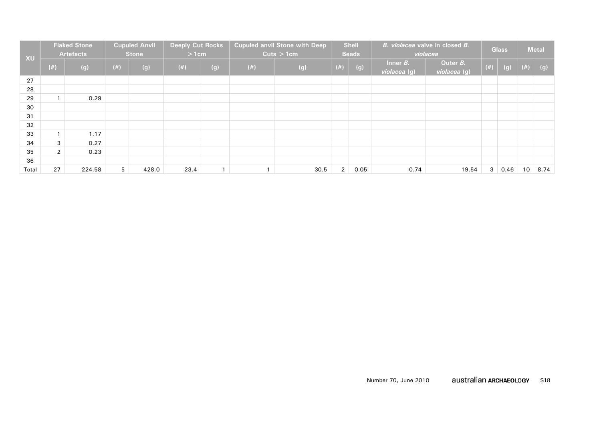|       |                | <b>Flaked Stone</b><br><b>Artefacts</b> |     | <b>Cupuled Anvil</b><br><b>Stone</b> | <b>Deeply Cut Rocks</b><br>$>1$ cm |              |           | <b>Cupuled anvil Stone with Deep</b><br>Cuts > 1cm |                | <b>Shell</b><br><b>Beads</b> |                             | B. violacea valve in closed B.<br>violacea |                | <b>Glass</b> |        | <b>Metal</b> |
|-------|----------------|-----------------------------------------|-----|--------------------------------------|------------------------------------|--------------|-----------|----------------------------------------------------|----------------|------------------------------|-----------------------------|--------------------------------------------|----------------|--------------|--------|--------------|
| XU    | $(\#)$         | (g)                                     | (#) | (g)                                  | (#)                                | (g)          | $($ # $)$ | (g)                                                | $(\#)$         | (g)                          | Inner $B$ .<br>violacea (g) | Outer B.<br>violacea (g)                   | $(\#)$         | (g)          | $(\#)$ | (g)          |
| 27    |                |                                         |     |                                      |                                    |              |           |                                                    |                |                              |                             |                                            |                |              |        |              |
| 28    |                |                                         |     |                                      |                                    |              |           |                                                    |                |                              |                             |                                            |                |              |        |              |
| 29    |                | 0.29                                    |     |                                      |                                    |              |           |                                                    |                |                              |                             |                                            |                |              |        |              |
| 30    |                |                                         |     |                                      |                                    |              |           |                                                    |                |                              |                             |                                            |                |              |        |              |
| 31    |                |                                         |     |                                      |                                    |              |           |                                                    |                |                              |                             |                                            |                |              |        |              |
| 32    |                |                                         |     |                                      |                                    |              |           |                                                    |                |                              |                             |                                            |                |              |        |              |
| 33    |                | 1.17                                    |     |                                      |                                    |              |           |                                                    |                |                              |                             |                                            |                |              |        |              |
| 34    | 3              | 0.27                                    |     |                                      |                                    |              |           |                                                    |                |                              |                             |                                            |                |              |        |              |
| 35    | $\overline{2}$ | 0.23                                    |     |                                      |                                    |              |           |                                                    |                |                              |                             |                                            |                |              |        |              |
| 36    |                |                                         |     |                                      |                                    |              |           |                                                    |                |                              |                             |                                            |                |              |        |              |
| Total | 27             | 224.58                                  | 5   | 428.0                                | 23.4                               | $\mathbf{1}$ |           | 30.5                                               | $\overline{2}$ | 0.05                         | 0.74                        | 19.54                                      | 3 <sup>1</sup> | 0.46         | 10     | 8.74         |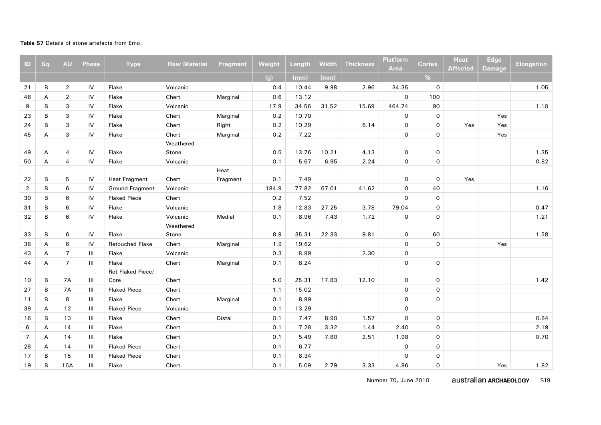#### **Table S7** Details of stone artefacts from Emo.

| $\mathbf{D}$   | Sq. | XU             | <b>Phase</b> | <b>Type</b>            | <b>Raw Material</b> | <b>Fragment</b> | Weight | Length | Width | <b>Thickness</b> | <b>Platform</b><br>Area | <b>Cortex</b> | <b>Heat</b><br><b>Affected</b> | <b>Edge</b><br><b>Damage</b> | <b>Elongation</b> |
|----------------|-----|----------------|--------------|------------------------|---------------------|-----------------|--------|--------|-------|------------------|-------------------------|---------------|--------------------------------|------------------------------|-------------------|
|                |     |                |              |                        |                     |                 | (g)    | (mm)   | (mm)  |                  |                         | %             |                                |                              |                   |
| 21             | В   | $\overline{2}$ | IV           | Flake                  | Volcanic            |                 | 0.4    | 10.44  | 9.98  | 2.96             | 34.35                   | $\circ$       |                                |                              | 1.05              |
| 46             | А   | $\overline{2}$ | IV           | Flake                  | Chert               | Marginal        | 0.6    | 13.12  |       |                  | $\mathsf{o}$            | 100           |                                |                              |                   |
| 9              | B   | 3              | IV           | Flake                  | Volcanic            |                 | 17.9   | 34.56  | 31.52 | 15.69            | 464.74                  | 90            |                                |                              | 1.10              |
| 23             | B   | 3              | IV           | Flake                  | Chert               | Marginal        | 0.2    | 10.70  |       |                  | 0                       | $\mathsf O$   |                                | Yes                          |                   |
| 24             | B   | 3              | IV           | Flake                  | Chert               | Right           | 0.2    | 10.29  |       | 6.14             | $\mathsf{o}$            | $\mathbf 0$   | Yes                            | Yes                          |                   |
| 45             | Α   | 3              | IV           | Flake                  | Chert               | Marginal        | 0.2    | 7.22   |       |                  | 0                       | $\mathbf 0$   |                                | Yes                          |                   |
|                |     |                |              |                        | Weathered           |                 |        |        |       |                  |                         |               |                                |                              |                   |
| 49             | А   | $\overline{4}$ | IV           | Flake                  | Stone               |                 | 0.5    | 13.76  | 10.21 | 4.13             | 0                       | $\mathsf O$   |                                |                              | 1.35              |
| 50             | A   | $\overline{4}$ | IV           | Flake                  | Volcanic            |                 | 0.1    | 5.67   | 6.95  | 2.24             | 0                       | $\mathbf 0$   |                                |                              | 0.82              |
|                |     |                |              |                        |                     | Heat            |        |        |       |                  |                         |               |                                |                              |                   |
| 22             | B   | 5              | IV           | <b>Heat Fragment</b>   | Chert               | Fragment        | 0.1    | 7.49   |       |                  | 0                       | $\mathsf{o}$  | Yes                            |                              |                   |
| $\overline{2}$ | B   | 6              | IV           | <b>Ground Fragment</b> | Volcanic            |                 | 184.9  | 77.82  | 67.01 | 41.62            | 0                       | 40            |                                |                              | 1.16              |
| 30             | B   | 6              | IV           | <b>Flaked Piece</b>    | Chert               |                 | 0.2    | 7.52   |       |                  | $\mathsf{o}$            | $\mathsf{o}$  |                                |                              |                   |
| 31             | B   | 6              | IV           | Flake                  | Volcanic            |                 | 1.8    | 12.83  | 27.25 | 3.78             | 79.04                   | $\mathsf O$   |                                |                              | 0.47              |
| 32             | B   | 6              | IV           | Flake                  | Volcanic            | Medial          | 0.1    | 8.96   | 7.43  | 1.72             | 0                       | $\mathsf O$   |                                |                              | 1.21              |
|                |     |                |              |                        | Weathered           |                 |        |        |       |                  |                         |               |                                |                              |                   |
| 33             | B   | 6              | IV           | Flake                  | Stone               |                 | 8.9    | 35.31  | 22.33 | 9.81             | 0                       | 60            |                                |                              | 1.58              |
| 38             | А   | 6              | IV           | <b>Retouched Flake</b> | Chert               | Marginal        | 1.9    | 19.62  |       |                  | 0                       | $\mathbf 0$   |                                | Yes                          |                   |
| 43             | А   | $\overline{7}$ | Ш            | Flake                  | Volcanic            |                 | 0.3    | 8.99   |       | 2.30             | 0                       |               |                                |                              |                   |
| 44             | A   | $\overline{7}$ | III          | Flake                  | Chert               | Marginal        | 0.1    | 8.24   |       |                  | 0                       | $\mathbf 0$   |                                |                              |                   |
|                |     |                |              | Ret Flaked Piece/      |                     |                 |        |        |       |                  |                         |               |                                |                              |                   |
| 10             | B   | <b>7A</b>      | III          | Core                   | Chert               |                 | 5.0    | 25.31  | 17.83 | 12.10            | 0                       | 0             |                                |                              | 1.42              |
| 27             | B   | 7A             | III          | <b>Flaked Piece</b>    | Chert               |                 | 1.1    | 15.02  |       |                  | 0                       | $\mathsf O$   |                                |                              |                   |
| 11             | B   | 8              | Ш            | Flake                  | Chert               | Marginal        | 0.1    | 8.99   |       |                  | 0                       | $\mathbf 0$   |                                |                              |                   |
| 39             | A   | 12             | Ш            | <b>Flaked Piece</b>    | Volcanic            |                 | 0.1    | 13.29  |       |                  | 0                       |               |                                |                              |                   |
| 16             | В   | 13             | Ш            | Flake                  | Chert               | Distal          | 0.1    | 7.47   | 8.90  | 1.57             | 0                       | $\mathsf O$   |                                |                              | 0.84              |
| 6              | А   | 14             | Ш            | Flake                  | Chert               |                 | 0.1    | 7.28   | 3.32  | 1.44             | 2.40                    | $\mathsf O$   |                                |                              | 2.19              |
| $\overline{7}$ | A   | 14             | III          | Flake                  | Chert               |                 | 0.1    | 5.49   | 7.80  | 2.51             | 1.98                    | $\mathsf O$   |                                |                              | 0.70              |
| 28             | A   | 14             | III          | <b>Flaked Piece</b>    | Chert               |                 | 0.1    | 6.77   |       |                  | 0                       | $\mathbf 0$   |                                |                              |                   |
| 17             | B   | 15             | Ш            | <b>Flaked Piece</b>    | Chert               |                 | 0.1    | 8.34   |       |                  | 0                       | $\mathsf O$   |                                |                              |                   |
| 19             | В   | 16A            | Ш            | Flake                  | Chert               |                 | 0.1    | 5.09   | 2.79  | 3.33             | 4.86                    | $\mathsf O$   |                                | Yes                          | 1.82              |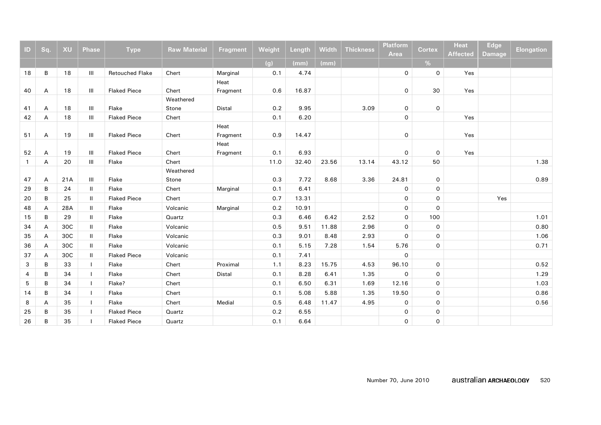| ID           | Sq. | <b>XU</b> | <b>Phase</b> | <b>Type</b>            | <b>Raw Material</b> | <b>Fragment</b> | Weight | <b>Length</b> | <b>Width</b> | <b>Thickness</b> | <b>Platform</b> | <b>Cortex</b>       | <b>Heat</b>     | <b>Edge</b>   | <b>Elongation</b> |
|--------------|-----|-----------|--------------|------------------------|---------------------|-----------------|--------|---------------|--------------|------------------|-----------------|---------------------|-----------------|---------------|-------------------|
|              |     |           |              |                        |                     |                 |        |               |              |                  | <b>Area</b>     |                     | <b>Affected</b> | <b>Damage</b> |                   |
|              |     |           |              |                        |                     |                 | (g)    | (mm)          | (mm)         |                  |                 | %                   |                 |               |                   |
| 18           | В   | 18        | Ш            | <b>Retouched Flake</b> | Chert               | Marginal        | 0.1    | 4.74          |              |                  | 0               | $\mathsf{o}$        | Yes             |               |                   |
|              |     |           |              |                        |                     | Heat            |        |               |              |                  |                 |                     |                 |               |                   |
| 40           | А   | 18        | Ш            | <b>Flaked Piece</b>    | Chert               | Fragment        | 0.6    | 16.87         |              |                  | 0               | 30                  | Yes             |               |                   |
|              |     |           |              |                        | Weathered           |                 |        |               |              |                  |                 |                     |                 |               |                   |
| 41           | А   | 18        | Ш            | Flake                  | Stone               | Distal          | 0.2    | 9.95          |              | 3.09             | 0               | $\mathsf{O}$        |                 |               |                   |
| 42           | А   | 18        | Ш            | <b>Flaked Piece</b>    | Chert               |                 | 0.1    | 6.20          |              |                  | 0               |                     | Yes             |               |                   |
|              |     |           |              |                        |                     | Heat            |        |               |              |                  |                 |                     |                 |               |                   |
| 51           | A   | 19        | III          | <b>Flaked Piece</b>    | Chert               | Fragment        | 0.9    | 14.47         |              |                  | 0               |                     | Yes             |               |                   |
|              |     |           |              |                        |                     | Heat            |        |               |              |                  |                 |                     |                 |               |                   |
| 52           | A   | 19        | III          | <b>Flaked Piece</b>    | Chert               | Fragment        | 0.1    | 6.93          |              |                  | 0               | $\mathbf 0$         | Yes             |               |                   |
| $\mathbf{1}$ | А   | 20        | Ш            | Flake                  | Chert               |                 | 11.0   | 32.40         | 23.56        | 13.14            | 43.12           | 50                  |                 |               | 1.38              |
|              |     |           |              |                        | Weathered           |                 |        |               |              |                  |                 |                     |                 |               |                   |
| 47           | Α   | 21A       | Ш            | Flake                  | Stone               |                 | 0.3    | 7.72          | 8.68         | 3.36             | 24.81           | $\mathsf{o}$        |                 |               | 0.89              |
| 29           | B   | 24        | $\mathbf{H}$ | Flake                  | Chert               | Marginal        | 0.1    | 6.41          |              |                  | 0               | $\mathbf 0$         |                 |               |                   |
| 20           | B   | 25        | $\mathbf{H}$ | <b>Flaked Piece</b>    | Chert               |                 | 0.7    | 13.31         |              |                  | $\mathsf{o}$    | $\mathsf{O}\xspace$ |                 | Yes           |                   |
| 48           | A   | 28A       | $\mathbf{H}$ | Flake                  | Volcanic            | Marginal        | 0.2    | 10.91         |              |                  | $\mathsf{O}$    | $\mathbf 0$         |                 |               |                   |
| 15           | B   | 29        | $\mathbf{H}$ | Flake                  | Quartz              |                 | 0.3    | 6.46          | 6.42         | 2.52             | $\mathsf O$     | 100                 |                 |               | 1.01              |
| 34           | А   | 30C       | $\mathbf{H}$ | Flake                  | Volcanic            |                 | 0.5    | 9.51          | 11.88        | 2.96             | 0               | $\mathsf O$         |                 |               | 0.80              |
| 35           | А   | 30C       | $\mathbf{H}$ | Flake                  | Volcanic            |                 | 0.3    | 9.01          | 8.48         | 2.93             | 0               | $\mathbf 0$         |                 |               | 1.06              |
| 36           | А   | 30C       | $\mathbf{H}$ | Flake                  | Volcanic            |                 | 0.1    | 5.15          | 7.28         | 1.54             | 5.76            | $\mathbf 0$         |                 |               | 0.71              |
| 37           | A   | 30C       | $\mathbf{H}$ | <b>Flaked Piece</b>    | Volcanic            |                 | 0.1    | 7.41          |              |                  | $\mathsf{O}$    |                     |                 |               |                   |
| 3            | B   | 33        | $\mathbf{I}$ | Flake                  | Chert               | Proximal        | 1.1    | 8.23          | 15.75        | 4.53             | 96.10           | $\mathbf 0$         |                 |               | 0.52              |
| 4            | B   | 34        | $\mathbf{I}$ | Flake                  | Chert               | Distal          | 0.1    | 8.28          | 6.41         | 1.35             | 0               | $\mathsf O$         |                 |               | 1.29              |
| 5            | B   | 34        | T            | Flake?                 | Chert               |                 | 0.1    | 6.50          | 6.31         | 1.69             | 12.16           | $\mathbf 0$         |                 |               | 1.03              |
| 14           | B   | 34        |              | Flake                  | Chert               |                 | 0.1    | 5.08          | 5.88         | 1.35             | 19.50           | $\mathsf{o}$        |                 |               | 0.86              |
| 8            | A   | 35        |              | Flake                  | Chert               | Medial          | 0.5    | 6.48          | 11.47        | 4.95             | 0               | $\mathbf 0$         |                 |               | 0.56              |
| 25           | B   | 35        | $\mathbf{I}$ | <b>Flaked Piece</b>    | Quartz              |                 | 0.2    | 6.55          |              |                  | 0               | $\mathsf{o}$        |                 |               |                   |
| 26           | B   | 35        |              | <b>Flaked Piece</b>    | Quartz              |                 | 0.1    | 6.64          |              |                  | $\mathsf{O}$    | $\mathsf{o}$        |                 |               |                   |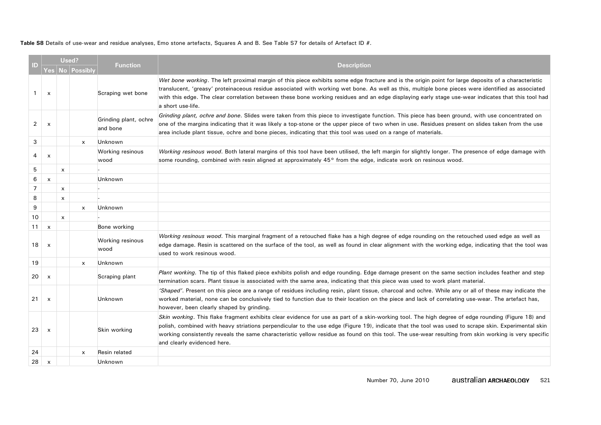**Table S8** Details of use-wear and residue analyses, Emo stone artefacts, Squares A and B. See Table S7 for details of Artefact ID #.

| ID)            |                           | Used?        | Yes   No   Possibly       | <b>Function</b>                   | <b>Description</b>                                                                                                                                                                                                                                                                                                                                                                                                                                                                               |
|----------------|---------------------------|--------------|---------------------------|-----------------------------------|--------------------------------------------------------------------------------------------------------------------------------------------------------------------------------------------------------------------------------------------------------------------------------------------------------------------------------------------------------------------------------------------------------------------------------------------------------------------------------------------------|
| 1              | $\boldsymbol{\mathsf{x}}$ |              |                           | Scraping wet bone                 | Wet bone working. The left proximal margin of this piece exhibits some edge fracture and is the origin point for large deposits of a characteristic<br>translucent, 'greasy' proteinaceous residue associated with working wet bone. As well as this, multiple bone pieces were identified as associated<br>with this edge. The clear correlation between these bone working residues and an edge displaying early stage use-wear indicates that this tool had<br>a short use-life.              |
| $\overline{2}$ | $\boldsymbol{\mathsf{x}}$ |              |                           | Grinding plant, ochre<br>and bone | Grinding plant, ochre and bone. Slides were taken from this piece to investigate function. This piece has been ground, with use concentrated on<br>one of the margins indicating that it was likely a top-stone or the upper piece of two when in use. Residues present on slides taken from the use<br>area include plant tissue, ochre and bone pieces, indicating that this tool was used on a range of materials.                                                                            |
| 3              |                           |              | $\mathsf{x}$              | Unknown                           |                                                                                                                                                                                                                                                                                                                                                                                                                                                                                                  |
| 4              | x                         |              |                           | Working resinous<br>wood          | Working resinous wood. Both lateral margins of this tool have been utilised, the left margin for slightly longer. The presence of edge damage with<br>some rounding, combined with resin aligned at approximately 45 <sup>o</sup> from the edge, indicate work on resinous wood.                                                                                                                                                                                                                 |
| 5              |                           | x            |                           |                                   |                                                                                                                                                                                                                                                                                                                                                                                                                                                                                                  |
| 6              | $\pmb{\times}$            |              |                           | Unknown                           |                                                                                                                                                                                                                                                                                                                                                                                                                                                                                                  |
| $\overline{7}$ |                           | x            |                           |                                   |                                                                                                                                                                                                                                                                                                                                                                                                                                                                                                  |
| 8              |                           | x            |                           |                                   |                                                                                                                                                                                                                                                                                                                                                                                                                                                                                                  |
| 9              |                           |              | $\mathsf{x}$              | Unknown                           |                                                                                                                                                                                                                                                                                                                                                                                                                                                                                                  |
| 10             |                           | $\mathsf{x}$ |                           |                                   |                                                                                                                                                                                                                                                                                                                                                                                                                                                                                                  |
| 11             | $\times$                  |              |                           | Bone working                      |                                                                                                                                                                                                                                                                                                                                                                                                                                                                                                  |
| 18             | $\boldsymbol{\mathsf{x}}$ |              |                           | Working resinous<br>wood          | Working resinous wood. This marginal fragment of a retouched flake has a high degree of edge rounding on the retouched used edge as well as<br>edge damage. Resin is scattered on the surface of the tool, as well as found in clear alignment with the working edge, indicating that the tool was<br>used to work resinous wood.                                                                                                                                                                |
| 19             |                           |              | $\boldsymbol{\mathsf{x}}$ | Unknown                           |                                                                                                                                                                                                                                                                                                                                                                                                                                                                                                  |
| 20             | $\boldsymbol{\mathsf{x}}$ |              |                           | Scraping plant                    | Plant working. The tip of this flaked piece exhibits polish and edge rounding. Edge damage present on the same section includes feather and step<br>termination scars. Plant tissue is associated with the same area, indicating that this piece was used to work plant material.                                                                                                                                                                                                                |
| 21             | $\boldsymbol{\mathsf{x}}$ |              |                           | Unknown                           | 'Shaped'. Present on this piece are a range of residues including resin, plant tissue, charcoal and ochre. While any or all of these may indicate the<br>worked material, none can be conclusively tied to function due to their location on the piece and lack of correlating use-wear. The artefact has,<br>however, been clearly shaped by grinding.                                                                                                                                          |
| 23             | $\boldsymbol{\mathsf{x}}$ |              |                           | Skin working                      | Skin working. This flake fragment exhibits clear evidence for use as part of a skin-working tool. The high degree of edge rounding (Figure 18) and<br>polish, combined with heavy striations perpendicular to the use edge (Figure 19), indicate that the tool was used to scrape skin. Experimental skin<br>working consistently reveals the same characteristic yellow residue as found on this tool. The use-wear resulting from skin working is very specific<br>and clearly evidenced here. |
| 24             |                           |              | x                         | Resin related                     |                                                                                                                                                                                                                                                                                                                                                                                                                                                                                                  |
| 28             | $\boldsymbol{\mathsf{x}}$ |              |                           | Unknown                           |                                                                                                                                                                                                                                                                                                                                                                                                                                                                                                  |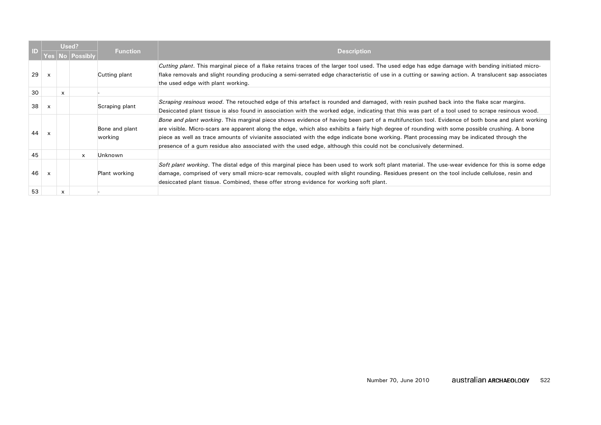| ID) |                           |              |              | Function                  | <b>Description</b>                                                                                                                                                                                                                                                                                                                                                                                                                                                                                                                                                  |
|-----|---------------------------|--------------|--------------|---------------------------|---------------------------------------------------------------------------------------------------------------------------------------------------------------------------------------------------------------------------------------------------------------------------------------------------------------------------------------------------------------------------------------------------------------------------------------------------------------------------------------------------------------------------------------------------------------------|
|     |                           |              | No Possibly  |                           |                                                                                                                                                                                                                                                                                                                                                                                                                                                                                                                                                                     |
| 29  | x                         |              |              | Cutting plant             | Cutting plant. This marginal piece of a flake retains traces of the larger tool used. The used edge has edge damage with bending initiated micro-<br>flake removals and slight rounding producing a semi-serrated edge characteristic of use in a cutting or sawing action. A translucent sap associates<br>the used edge with plant working.                                                                                                                                                                                                                       |
| 30  |                           | $\mathsf{x}$ |              |                           |                                                                                                                                                                                                                                                                                                                                                                                                                                                                                                                                                                     |
| 38  | $\boldsymbol{\mathsf{x}}$ |              |              | Scraping plant            | Scraping resinous wood. The retouched edge of this artefact is rounded and damaged, with resin pushed back into the flake scar margins.<br>Desiccated plant tissue is also found in association with the worked edge, indicating that this was part of a tool used to scrape resinous wood.                                                                                                                                                                                                                                                                         |
| 44  | $\boldsymbol{\mathsf{x}}$ |              |              | Bone and plant<br>working | Bone and plant working. This marginal piece shows evidence of having been part of a multifunction tool. Evidence of both bone and plant working<br>are visible. Micro-scars are apparent along the edge, which also exhibits a fairly high degree of rounding with some possible crushing. A bone<br>piece as well as trace amounts of vivianite associated with the edge indicate bone working. Plant processing may be indicated through the<br>presence of a gum residue also associated with the used edge, although this could not be conclusively determined. |
| 45  |                           |              | $\mathsf{x}$ | Unknown                   |                                                                                                                                                                                                                                                                                                                                                                                                                                                                                                                                                                     |
| 46  | x                         |              |              | Plant working             | Soft plant working. The distal edge of this marginal piece has been used to work soft plant material. The use-wear evidence for this is some edge<br>damage, comprised of very small micro-scar removals, coupled with slight rounding. Residues present on the tool include cellulose, resin and<br>desiccated plant tissue. Combined, these offer strong evidence for working soft plant.                                                                                                                                                                         |
| 53  |                           | x            |              |                           |                                                                                                                                                                                                                                                                                                                                                                                                                                                                                                                                                                     |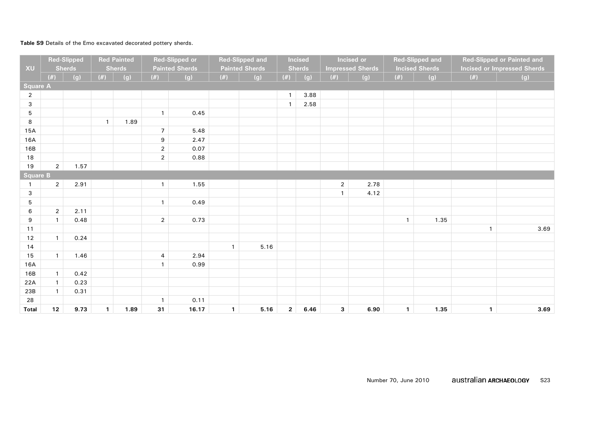### **Table S9** Details of the Emo excavated decorated pottery sherds.

| XU              |                | <b>Red-Slipped</b><br><b>Sherds</b> |              | <b>Red Painted</b><br><b>Sherds</b> |                  | <b>Red-Slipped or</b><br><b>Painted Sherds</b> |              | <b>Red-Slipped and</b><br><b>Painted Sherds</b> |              | <b>Incised</b><br><b>Sherds</b> |                | Incised or<br><b>Impressed Sherds</b> |              | <b>Red-Slipped and</b><br><b>Incised Sherds</b> |              | Red-Slipped or Painted and<br><b>Incised or Impressed Sherds</b> |
|-----------------|----------------|-------------------------------------|--------------|-------------------------------------|------------------|------------------------------------------------|--------------|-------------------------------------------------|--------------|---------------------------------|----------------|---------------------------------------|--------------|-------------------------------------------------|--------------|------------------------------------------------------------------|
|                 | (#)            | (g)                                 | $(\#)$       | (g)                                 | $(\#)$           | (g)                                            | $(\#)$       | (g)                                             | $(\#)$       | (g)                             | $(\#)$         | (g)                                   | $(\#)$       | (g)                                             | $(\#)$       | (g)                                                              |
| <b>Square A</b> |                |                                     |              |                                     |                  |                                                |              |                                                 |              |                                 |                |                                       |              |                                                 |              |                                                                  |
| $\overline{2}$  |                |                                     |              |                                     |                  |                                                |              |                                                 | $\mathbf{1}$ | 3.88                            |                |                                       |              |                                                 |              |                                                                  |
| $\mathsf 3$     |                |                                     |              |                                     |                  |                                                |              |                                                 | $\mathbf{1}$ | 2.58                            |                |                                       |              |                                                 |              |                                                                  |
| 5               |                |                                     |              |                                     | $\mathbf{1}$     | 0.45                                           |              |                                                 |              |                                 |                |                                       |              |                                                 |              |                                                                  |
| 8               |                |                                     | $\mathbf{1}$ | 1.89                                |                  |                                                |              |                                                 |              |                                 |                |                                       |              |                                                 |              |                                                                  |
| 15A             |                |                                     |              |                                     | $\overline{7}$   | 5.48                                           |              |                                                 |              |                                 |                |                                       |              |                                                 |              |                                                                  |
| 16A             |                |                                     |              |                                     | $\boldsymbol{9}$ | 2.47                                           |              |                                                 |              |                                 |                |                                       |              |                                                 |              |                                                                  |
| 16B             |                |                                     |              |                                     | $\sqrt{2}$       | 0.07                                           |              |                                                 |              |                                 |                |                                       |              |                                                 |              |                                                                  |
| 18              |                |                                     |              |                                     | $\overline{2}$   | 0.88                                           |              |                                                 |              |                                 |                |                                       |              |                                                 |              |                                                                  |
| 19              | $\overline{2}$ | 1.57                                |              |                                     |                  |                                                |              |                                                 |              |                                 |                |                                       |              |                                                 |              |                                                                  |
| <b>Square B</b> |                |                                     |              |                                     |                  |                                                |              |                                                 |              |                                 |                |                                       |              |                                                 |              |                                                                  |
|                 | $\overline{2}$ | 2.91                                |              |                                     | $\mathbf{1}$     | 1.55                                           |              |                                                 |              |                                 | $\overline{2}$ | 2.78                                  |              |                                                 |              |                                                                  |
| $\mathbf{3}$    |                |                                     |              |                                     |                  |                                                |              |                                                 |              |                                 | $\mathbf{1}$   | 4.12                                  |              |                                                 |              |                                                                  |
| $\mathbf 5$     |                |                                     |              |                                     | $\mathbf{1}$     | 0.49                                           |              |                                                 |              |                                 |                |                                       |              |                                                 |              |                                                                  |
| 6               | $\overline{2}$ | 2.11                                |              |                                     |                  |                                                |              |                                                 |              |                                 |                |                                       |              |                                                 |              |                                                                  |
| 9               | $\mathbf{1}$   | 0.48                                |              |                                     | $\overline{2}$   | 0.73                                           |              |                                                 |              |                                 |                |                                       | $\mathbf{1}$ | 1.35                                            |              |                                                                  |
| 11              |                |                                     |              |                                     |                  |                                                |              |                                                 |              |                                 |                |                                       |              |                                                 | $\mathbf{1}$ | 3.69                                                             |
| 12              | $\mathbf{1}$   | 0.24                                |              |                                     |                  |                                                |              |                                                 |              |                                 |                |                                       |              |                                                 |              |                                                                  |
| 14              |                |                                     |              |                                     |                  |                                                | $\mathbf{1}$ | 5.16                                            |              |                                 |                |                                       |              |                                                 |              |                                                                  |
| 15              | $\mathbf{1}$   | 1.46                                |              |                                     | $\overline{4}$   | 2.94                                           |              |                                                 |              |                                 |                |                                       |              |                                                 |              |                                                                  |
| 16A             |                |                                     |              |                                     | $\mathbf{1}$     | 0.99                                           |              |                                                 |              |                                 |                |                                       |              |                                                 |              |                                                                  |
| 16B             | $\mathbf{1}$   | 0.42                                |              |                                     |                  |                                                |              |                                                 |              |                                 |                |                                       |              |                                                 |              |                                                                  |
| 22A             | $\mathbf{1}$   | 0.23                                |              |                                     |                  |                                                |              |                                                 |              |                                 |                |                                       |              |                                                 |              |                                                                  |
| 23B             | $\mathbf{1}$   | 0.31                                |              |                                     |                  |                                                |              |                                                 |              |                                 |                |                                       |              |                                                 |              |                                                                  |
| 28              |                |                                     |              |                                     | $\mathbf{1}$     | 0.11                                           |              |                                                 |              |                                 |                |                                       |              |                                                 |              |                                                                  |
| <b>Total</b>    | 12             | 9.73                                | $\mathbf{1}$ | 1.89                                | 31               | 16.17                                          | $\mathbf{1}$ | 5.16                                            | $\mathbf{2}$ | 6.46                            | $\mathbf{3}$   | 6.90                                  | $\mathbf{1}$ | 1.35                                            | $\mathbf{1}$ | 3.69                                                             |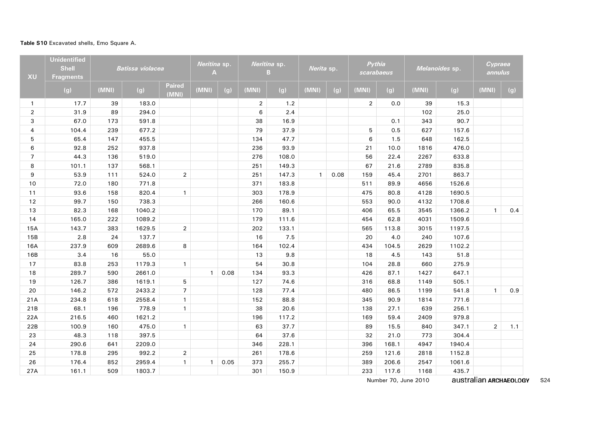#### **Table S10** Excavated shells, Emo Square A.

| XU             | <b>Unidentified</b><br><b>Shell</b><br><b>Fragments</b> |       | <b>Batissa violacea</b> |                 | Neritina sp.<br>A |      |                | Neritina sp.<br>B | Nerita sp.   |      |                | Pythia<br>scarabaeus |       | Melanoides sp. | Cypraea<br>annulus |     |
|----------------|---------------------------------------------------------|-------|-------------------------|-----------------|-------------------|------|----------------|-------------------|--------------|------|----------------|----------------------|-------|----------------|--------------------|-----|
|                | (g)                                                     | (MNI) | (g)                     | Paired<br>(MNI) | (MNI)             | (g)  | (MNI)          | (g)               | (MNI)        | (g)  | (MNI)          | (g)                  | (MNI) | (g)            | (MNI)              | (g) |
| $\mathbf{1}$   | 17.7                                                    | 39    | 183.0                   |                 |                   |      | $\overline{2}$ | 1.2               |              |      | $\overline{2}$ | 0.0                  | 39    | 15.3           |                    |     |
| $\overline{2}$ | 31.9                                                    | 89    | 294.0                   |                 |                   |      | 6              | 2.4               |              |      |                |                      | 102   | 25.0           |                    |     |
| 3              | 67.0                                                    | 173   | 591.8                   |                 |                   |      | 38             | 16.9              |              |      |                | 0.1                  | 343   | 90.7           |                    |     |
| 4              | 104.4                                                   | 239   | 677.2                   |                 |                   |      | 79             | 37.9              |              |      | 5              | 0.5                  | 627   | 157.6          |                    |     |
| 5              | 65.4                                                    | 147   | 455.5                   |                 |                   |      | 134            | 47.7              |              |      | 6              | 1.5                  | 648   | 162.5          |                    |     |
| 6              | 92.8                                                    | 252   | 937.8                   |                 |                   |      | 236            | 93.9              |              |      | 21             | 10.0                 | 1816  | 476.0          |                    |     |
| $\overline{7}$ | 44.3                                                    | 136   | 519.0                   |                 |                   |      | 276            | 108.0             |              |      | 56             | 22.4                 | 2267  | 633.8          |                    |     |
| 8              | 101.1                                                   | 137   | 568.1                   |                 |                   |      | 251            | 149.3             |              |      | 67             | 21.6                 | 2789  | 835.8          |                    |     |
| 9              | 53.9                                                    | 111   | 524.0                   | $\overline{2}$  |                   |      | 251            | 147.3             | $\mathbf{1}$ | 0.08 | 159            | 45.4                 | 2701  | 863.7          |                    |     |
| 10             | 72.0                                                    | 180   | 771.8                   |                 |                   |      | 371            | 183.8             |              |      | 511            | 89.9                 | 4656  | 1526.6         |                    |     |
| 11             | 93.6                                                    | 158   | 820.4                   | $\mathbf{1}$    |                   |      | 303            | 178.9             |              |      | 475            | 80.8                 | 4128  | 1690.5         |                    |     |
| 12             | 99.7                                                    | 150   | 738.3                   |                 |                   |      | 266            | 160.6             |              |      | 553            | 90.0                 | 4132  | 1708.6         |                    |     |
| 13             | 82.3                                                    | 168   | 1040.2                  |                 |                   |      | 170            | 89.1              |              |      | 406            | 65.5                 | 3545  | 1366.2         | $\mathbf{1}$       | 0.4 |
| 14             | 165.0                                                   | 222   | 1089.2                  |                 |                   |      | 179            | 111.6             |              |      | 454            | 62.8                 | 4031  | 1509.6         |                    |     |
| 15A            | 143.7                                                   | 383   | 1629.5                  | $\overline{2}$  |                   |      | 202            | 133.1             |              |      | 565            | 113.8                | 3015  | 1197.5         |                    |     |
| 15B            | 2.8                                                     | 24    | 137.7                   |                 |                   |      | 16             | 7.5               |              |      | 20             | 4.0                  | 240   | 107.6          |                    |     |
| 16A            | 237.9                                                   | 609   | 2689.6                  | 8               |                   |      | 164            | 102.4             |              |      | 434            | 104.5                | 2629  | 1102.2         |                    |     |
| 16B            | 3.4                                                     | 16    | 55.0                    |                 |                   |      | 13             | 9.8               |              |      | 18             | 4.5                  | 143   | 51.8           |                    |     |
| 17             | 83.8                                                    | 253   | 1179.3                  | $\mathbf{1}$    |                   |      | 54             | 30.8              |              |      | 104            | 28.8                 | 660   | 275.9          |                    |     |
| 18             | 289.7                                                   | 590   | 2661.0                  |                 | $\mathbf{1}$      | 0.08 | 134            | 93.3              |              |      | 426            | 87.1                 | 1427  | 647.1          |                    |     |
| 19             | 126.7                                                   | 386   | 1619.1                  | 5               |                   |      | 127            | 74.6              |              |      | 316            | 68.8                 | 1149  | 505.1          |                    |     |
| 20             | 146.2                                                   | 572   | 2433.2                  | $\overline{7}$  |                   |      | 128            | 77.4              |              |      | 480            | 86.5                 | 1199  | 541.8          | $\mathbf{1}$       | 0.9 |
| 21A            | 234.8                                                   | 618   | 2558.4                  | $\mathbf{1}$    |                   |      | 152            | 88.8              |              |      | 345            | 90.9                 | 1814  | 771.6          |                    |     |
| 21B            | 68.1                                                    | 196   | 778.9                   | $\mathbf{1}$    |                   |      | 38             | 20.6              |              |      | 138            | 27.1                 | 639   | 256.1          |                    |     |
| 22A            | 216.5                                                   | 460   | 1621.2                  |                 |                   |      | 196            | 117.2             |              |      | 169            | 59.4                 | 2409  | 979.8          |                    |     |
| 22B            | 100.9                                                   | 160   | 475.0                   | $\mathbf{1}$    |                   |      | 63             | 37.7              |              |      | 89             | 15.5                 | 840   | 347.1          | $\overline{2}$     | 1.1 |
| 23             | 48.3                                                    | 118   | 397.5                   |                 |                   |      | 64             | 37.6              |              |      | 32             | 21.0                 | 773   | 304.4          |                    |     |
| 24             | 290.6                                                   | 641   | 2209.0                  |                 |                   |      | 346            | 228.1             |              |      | 396            | 168.1                | 4947  | 1940.4         |                    |     |
| 25             | 178.8                                                   | 295   | 992.2                   | $\overline{2}$  |                   |      | 261            | 178.6             |              |      | 259            | 121.6                | 2818  | 1152.8         |                    |     |
| 26             | 176.4                                                   | 852   | 2959.4                  | $\mathbf{1}$    | $\mathbf{1}$      | 0.05 | 373            | 255.7             |              |      | 389            | 206.6                | 2547  | 1061.6         |                    |     |
| 27A            | 161.1                                                   | 509   | 1803.7                  |                 |                   |      | 301            | 150.9             |              |      | 233            | 117.6                | 1168  | 435.7          |                    |     |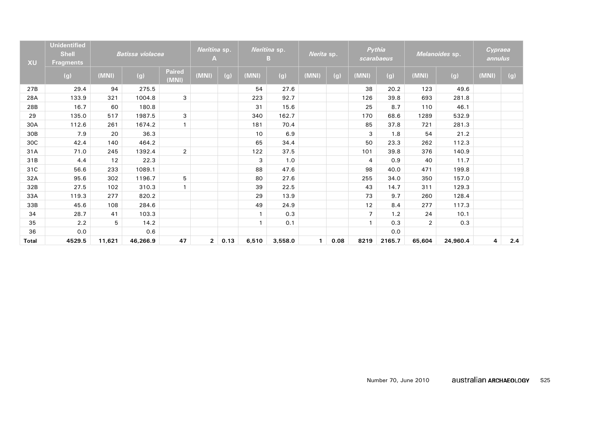| XU           | <b>Unidentified</b><br><b>Shell</b><br><b>Fragments</b> |        | <b>Batissa violacea</b> |                        | Neritina sp.<br>А |      |              | Neritina sp.<br>в | Nerita sp.   |      |                | Pythia<br>scarabaeus |                | Melanoides sp. | Cypraea<br>annulus |     |
|--------------|---------------------------------------------------------|--------|-------------------------|------------------------|-------------------|------|--------------|-------------------|--------------|------|----------------|----------------------|----------------|----------------|--------------------|-----|
|              | (g)                                                     | (MNI)  | (g)                     | <b>Paired</b><br>(MNI) | (MNI)             | (g)  | (MNI)        | (g)               | (MNI)        | (g)  | (MNI)          | (g)                  | (MNI)          | (g)            | (MNI)              | (g) |
| 27B          | 29.4                                                    | 94     | 275.5                   |                        |                   |      | 54           | 27.6              |              |      | 38             | 20.2                 | 123            | 49.6           |                    |     |
| 28A          | 133.9                                                   | 321    | 1004.8                  | 3                      |                   |      | 223          | 92.7              |              |      | 126            | 39.8                 | 693            | 281.8          |                    |     |
| 28B          | 16.7                                                    | 60     | 180.8                   |                        |                   |      | 31           | 15.6              |              |      | 25             | 8.7                  | 110            | 46.1           |                    |     |
| 29           | 135.0                                                   | 517    | 1987.5                  | 3                      |                   |      | 340          | 162.7             |              |      | 170            | 68.6                 | 1289           | 532.9          |                    |     |
| 30A          | 112.6                                                   | 261    | 1674.2                  | $\mathbf{1}$           |                   |      | 181          | 70.4              |              |      | 85             | 37.8                 | 721            | 281.3          |                    |     |
| 30B          | 7.9                                                     | 20     | 36.3                    |                        |                   |      | 10           | 6.9               |              |      | 3              | 1.8                  | 54             | 21.2           |                    |     |
| 30C          | 42.4                                                    | 140    | 464.2                   |                        |                   |      | 65           | 34.4              |              |      | 50             | 23.3                 | 262            | 112.3          |                    |     |
| 31A          | 71.0                                                    | 245    | 1392.4                  | $\overline{2}$         |                   |      | 122          | 37.5              |              |      | 101            | 39.8                 | 376            | 140.9          |                    |     |
| 31B          | 4.4                                                     | 12     | 22.3                    |                        |                   |      | 3            | 1.0               |              |      | $\overline{4}$ | 0.9                  | 40             | 11.7           |                    |     |
| 31C          | 56.6                                                    | 233    | 1089.1                  |                        |                   |      | 88           | 47.6              |              |      | 98             | 40.0                 | 471            | 199.8          |                    |     |
| 32A          | 95.6                                                    | 302    | 1196.7                  | 5                      |                   |      | 80           | 27.6              |              |      | 255            | 34.0                 | 350            | 157.0          |                    |     |
| 32B          | 27.5                                                    | 102    | 310.3                   | $\mathbf{1}$           |                   |      | 39           | 22.5              |              |      | 43             | 14.7                 | 311            | 129.3          |                    |     |
| 33A          | 119.3                                                   | 277    | 820.2                   |                        |                   |      | 29           | 13.9              |              |      | 73             | 9.7                  | 260            | 128.4          |                    |     |
| 33B          | 45.6                                                    | 108    | 284.6                   |                        |                   |      | 49           | 24.9              |              |      | 12             | 8.4                  | 277            | 117.3          |                    |     |
| 34           | 28.7                                                    | 41     | 103.3                   |                        |                   |      |              | 0.3               |              |      | $\overline{7}$ | 1.2                  | 24             | 10.1           |                    |     |
| 35           | 2.2                                                     | 5      | 14.2                    |                        |                   |      | $\mathbf{1}$ | 0.1               |              |      | $\mathbf{1}$   | 0.3                  | $\overline{2}$ | 0.3            |                    |     |
| 36           | 0.0                                                     |        | 0.6                     |                        |                   |      |              |                   |              |      |                | 0.0                  |                |                |                    |     |
| <b>Total</b> | 4529.5                                                  | 11,621 | 46,266.9                | 47                     | $\overline{2}$    | 0.13 | 6,510        | 3,558.0           | $\mathbf{1}$ | 0.08 | 8219           | 2165.7               | 65,604         | 24,960.4       | 4                  | 2.4 |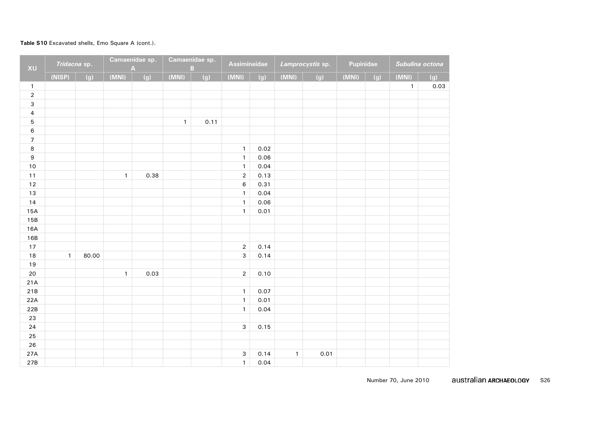#### **Table S10** Excavated shells, Emo Square A (cont.).

| XU                       | Tridacna sp. |       |              | Camaenidae sp.<br>A |              | Camaenidae sp.<br>$\overline{B}$ | <b>Assimineidae</b> |      |              | Lamprocystis sp. | Pupinidae |     | Subulina octona |      |
|--------------------------|--------------|-------|--------------|---------------------|--------------|----------------------------------|---------------------|------|--------------|------------------|-----------|-----|-----------------|------|
|                          | (NISP)       | (g)   | (MNI)        | (g)                 | (MNI)        | (g)                              | (MNI)               | (g)  | (MNI)        | (g)              | (MNI)     | (g) | (MNI)           | (g)  |
| $\mathbf{1}$             |              |       |              |                     |              |                                  |                     |      |              |                  |           |     | $\mathbf{1}$    | 0.03 |
| $\overline{2}$           |              |       |              |                     |              |                                  |                     |      |              |                  |           |     |                 |      |
| $\mathsf{3}$             |              |       |              |                     |              |                                  |                     |      |              |                  |           |     |                 |      |
| $\overline{\mathbf{4}}$  |              |       |              |                     |              |                                  |                     |      |              |                  |           |     |                 |      |
| $\mathbf 5$              |              |       |              |                     | $\mathbf{1}$ | 0.11                             |                     |      |              |                  |           |     |                 |      |
| $\boldsymbol{6}$         |              |       |              |                     |              |                                  |                     |      |              |                  |           |     |                 |      |
| $\overline{\mathcal{I}}$ |              |       |              |                     |              |                                  |                     |      |              |                  |           |     |                 |      |
| 8                        |              |       |              |                     |              |                                  | $\mathbf{1}$        | 0.02 |              |                  |           |     |                 |      |
| $\boldsymbol{9}$         |              |       |              |                     |              |                                  | $\mathbf{1}$        | 0.06 |              |                  |           |     |                 |      |
| $10$                     |              |       |              |                     |              |                                  | $\mathbf{1}$        | 0.04 |              |                  |           |     |                 |      |
| $11$                     |              |       | $\mathbf{1}$ | 0.38                |              |                                  | $\overline{2}$      | 0.13 |              |                  |           |     |                 |      |
| 12                       |              |       |              |                     |              |                                  | $\,6$               | 0.31 |              |                  |           |     |                 |      |
| 13                       |              |       |              |                     |              |                                  | $\mathbf{1}$        | 0.04 |              |                  |           |     |                 |      |
| 14                       |              |       |              |                     |              |                                  | $\mathbf{1}$        | 0.06 |              |                  |           |     |                 |      |
| 15A                      |              |       |              |                     |              |                                  | $\mathbf{1}$        | 0.01 |              |                  |           |     |                 |      |
| 15B                      |              |       |              |                     |              |                                  |                     |      |              |                  |           |     |                 |      |
| 16A                      |              |       |              |                     |              |                                  |                     |      |              |                  |           |     |                 |      |
| 16B                      |              |       |              |                     |              |                                  |                     |      |              |                  |           |     |                 |      |
| $17\,$                   |              |       |              |                     |              |                                  | $\overline{2}$      | 0.14 |              |                  |           |     |                 |      |
| 18                       | $\mathbf{1}$ | 80.00 |              |                     |              |                                  | $\mathbf{3}$        | 0.14 |              |                  |           |     |                 |      |
| 19                       |              |       |              |                     |              |                                  |                     |      |              |                  |           |     |                 |      |
| 20                       |              |       | $\mathbf{1}$ | 0.03                |              |                                  | $\overline{2}$      | 0.10 |              |                  |           |     |                 |      |
| 21A                      |              |       |              |                     |              |                                  |                     |      |              |                  |           |     |                 |      |
| 21B                      |              |       |              |                     |              |                                  | $\mathbf{1}$        | 0.07 |              |                  |           |     |                 |      |
| 22A                      |              |       |              |                     |              |                                  | $\mathbf{1}$        | 0.01 |              |                  |           |     |                 |      |
| 22B                      |              |       |              |                     |              |                                  | $\mathbf{1}$        | 0.04 |              |                  |           |     |                 |      |
| 23                       |              |       |              |                     |              |                                  |                     |      |              |                  |           |     |                 |      |
| 24                       |              |       |              |                     |              |                                  | 3                   | 0.15 |              |                  |           |     |                 |      |
| 25                       |              |       |              |                     |              |                                  |                     |      |              |                  |           |     |                 |      |
| 26                       |              |       |              |                     |              |                                  |                     |      |              |                  |           |     |                 |      |
| 27A                      |              |       |              |                     |              |                                  | $\mathbf{3}$        | 0.14 | $\mathbf{1}$ | 0.01             |           |     |                 |      |
| 27B                      |              |       |              |                     |              |                                  | $\mathbf{1}$        | 0.04 |              |                  |           |     |                 |      |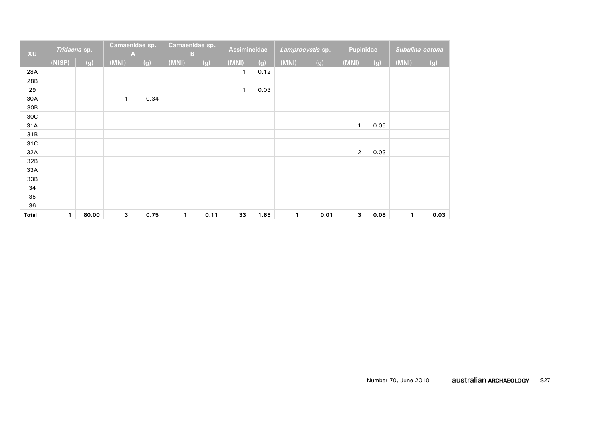| XU           | Tridacna sp. |       | Camaenidae sp. |      |              | Camaenidae sp.<br>B | <b>Assimineidae</b> |      |       | Lamprocystis sp. | Pupinidae      |      |       | Subulina octona |
|--------------|--------------|-------|----------------|------|--------------|---------------------|---------------------|------|-------|------------------|----------------|------|-------|-----------------|
|              | (NISP)       | (g)   | (MNI)          | (g)  | (MNI)        | (g)                 | (MNI)               | (g)  | (MNI) | (g)              | (MNI)          | (g)  | (MNI) | (g)             |
| 28A          |              |       |                |      |              |                     | $\mathbf{1}$        | 0.12 |       |                  |                |      |       |                 |
| 28B          |              |       |                |      |              |                     |                     |      |       |                  |                |      |       |                 |
| 29           |              |       |                |      |              |                     | $\mathbf{1}$        | 0.03 |       |                  |                |      |       |                 |
| 30A          |              |       | $\mathbf{1}$   | 0.34 |              |                     |                     |      |       |                  |                |      |       |                 |
| 30B          |              |       |                |      |              |                     |                     |      |       |                  |                |      |       |                 |
| 30C          |              |       |                |      |              |                     |                     |      |       |                  |                |      |       |                 |
| 31A          |              |       |                |      |              |                     |                     |      |       |                  | $\mathbf{1}$   | 0.05 |       |                 |
| 31B          |              |       |                |      |              |                     |                     |      |       |                  |                |      |       |                 |
| 31C          |              |       |                |      |              |                     |                     |      |       |                  |                |      |       |                 |
| 32A          |              |       |                |      |              |                     |                     |      |       |                  | $\overline{2}$ | 0.03 |       |                 |
| 32B          |              |       |                |      |              |                     |                     |      |       |                  |                |      |       |                 |
| 33A          |              |       |                |      |              |                     |                     |      |       |                  |                |      |       |                 |
| 33B          |              |       |                |      |              |                     |                     |      |       |                  |                |      |       |                 |
| 34           |              |       |                |      |              |                     |                     |      |       |                  |                |      |       |                 |
| 35           |              |       |                |      |              |                     |                     |      |       |                  |                |      |       |                 |
| 36           |              |       |                |      |              |                     |                     |      |       |                  |                |      |       |                 |
| <b>Total</b> | 1            | 80.00 | 3              | 0.75 | $\mathbf{1}$ | 0.11                | 33                  | 1.65 | 1     | 0.01             | 3              | 0.08 | 1     | 0.03            |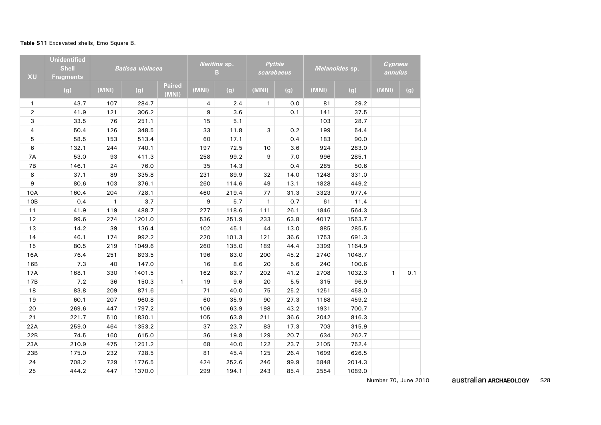# **Table S11** Excavated shells, Emo Square B.

| XU             | <b>Unidentified</b><br><b>Shell</b><br><b>Fragments</b> |              | <b>Batissa violacea</b> |                        |       | Neritina sp.<br>в | Pythia<br>scarabaeus |      |       | Melanoides sp. | Cypraea<br>annulus |     |
|----------------|---------------------------------------------------------|--------------|-------------------------|------------------------|-------|-------------------|----------------------|------|-------|----------------|--------------------|-----|
|                | (g)                                                     | (MNI)        | (g)                     | <b>Paired</b><br>(MNI) | (MNI) | (g)               | (MNI)                | (g)  | (MNI) | (g)            | (MNI)              | (g) |
| $\mathbf{1}$   | 43.7                                                    | 107          | 284.7                   |                        | 4     | 2.4               | $\mathbf{1}$         | 0.0  | 81    | 29.2           |                    |     |
| $\overline{2}$ | 41.9                                                    | 121          | 306.2                   |                        | 9     | 3.6               |                      | 0.1  | 141   | 37.5           |                    |     |
| 3              | 33.5                                                    | 76           | 251.1                   |                        | 15    | 5.1               |                      |      | 103   | 28.7           |                    |     |
| $\overline{4}$ | 50.4                                                    | 126          | 348.5                   |                        | 33    | 11.8              | 3                    | 0.2  | 199   | 54.4           |                    |     |
| 5              | 58.5                                                    | 153          | 513.4                   |                        | 60    | 17.1              |                      | 0.4  | 183   | 90.0           |                    |     |
| 6              | 132.1                                                   | 244          | 740.1                   |                        | 197   | 72.5              | 10                   | 3.6  | 924   | 283.0          |                    |     |
| 7A             | 53.0                                                    | 93           | 411.3                   |                        | 258   | 99.2              | 9                    | 7.0  | 996   | 285.1          |                    |     |
| <b>7B</b>      | 146.1                                                   | 24           | 76.0                    |                        | 35    | 14.3              |                      | 0.4  | 285   | 50.6           |                    |     |
| 8              | 37.1                                                    | 89           | 335.8                   |                        | 231   | 89.9              | 32                   | 14.0 | 1248  | 331.0          |                    |     |
| 9              | 80.6                                                    | 103          | 376.1                   |                        | 260   | 114.6             | 49                   | 13.1 | 1828  | 449.2          |                    |     |
| 10A            | 160.4                                                   | 204          | 728.1                   |                        | 460   | 219.4             | 77                   | 31.3 | 3323  | 977.4          |                    |     |
| 10B            | 0.4                                                     | $\mathbf{1}$ | 3.7                     |                        | 9     | 5.7               | $\mathbf{1}$         | 0.7  | 61    | 11.4           |                    |     |
| 11             | 41.9                                                    | 119          | 488.7                   |                        | 277   | 118.6             | 111                  | 26.1 | 1846  | 564.3          |                    |     |
| 12             | 99.6                                                    | 274          | 1201.0                  |                        | 536   | 251.9             | 233                  | 63.8 | 4017  | 1553.7         |                    |     |
| 13             | 14.2                                                    | 39           | 136.4                   |                        | 102   | 45.1              | 44                   | 13.0 | 885   | 285.5          |                    |     |
| 14             | 46.1                                                    | 174          | 992.2                   |                        | 220   | 101.3             | 121                  | 36.6 | 1753  | 691.3          |                    |     |
| 15             | 80.5                                                    | 219          | 1049.6                  |                        | 260   | 135.0             | 189                  | 44.4 | 3399  | 1164.9         |                    |     |
| 16A            | 76.4                                                    | 251          | 893.5                   |                        | 196   | 83.0              | 200                  | 45.2 | 2740  | 1048.7         |                    |     |
| 16B            | 7.3                                                     | 40           | 147.0                   |                        | 16    | 8.6               | 20                   | 5.6  | 240   | 100.6          |                    |     |
| 17A            | 168.1                                                   | 330          | 1401.5                  |                        | 162   | 83.7              | 202                  | 41.2 | 2708  | 1032.3         | $\mathbf{1}$       | 0.1 |
| 17B            | 7.2                                                     | 36           | 150.3                   | $\mathbf{1}$           | 19    | 9.6               | 20                   | 5.5  | 315   | 96.9           |                    |     |
| 18             | 83.8                                                    | 209          | 871.6                   |                        | 71    | 40.0              | 75                   | 25.2 | 1251  | 458.0          |                    |     |
| 19             | 60.1                                                    | 207          | 960.8                   |                        | 60    | 35.9              | 90                   | 27.3 | 1168  | 459.2          |                    |     |
| 20             | 269.6                                                   | 447          | 1797.2                  |                        | 106   | 63.9              | 198                  | 43.2 | 1931  | 700.7          |                    |     |
| 21             | 221.7                                                   | 510          | 1830.1                  |                        | 105   | 63.8              | 211                  | 36.6 | 2042  | 816.3          |                    |     |
| 22A            | 259.0                                                   | 464          | 1353.2                  |                        | 37    | 23.7              | 83                   | 17.3 | 703   | 315.9          |                    |     |
| 22B            | 74.5                                                    | 160          | 615.0                   |                        | 36    | 19.8              | 129                  | 20.7 | 634   | 262.7          |                    |     |
| 23A            | 210.9                                                   | 475          | 1251.2                  |                        | 68    | 40.0              | 122                  | 23.7 | 2105  | 752.4          |                    |     |
| 23B            | 175.0                                                   | 232          | 728.5                   |                        | 81    | 45.4              | 125                  | 26.4 | 1699  | 626.5          |                    |     |
| 24             | 708.2                                                   | 729          | 1776.5                  |                        | 424   | 252.6             | 246                  | 99.9 | 5848  | 2014.3         |                    |     |
| 25             | 444.2                                                   | 447          | 1370.0                  |                        | 299   | 194.1             | 243                  | 85.4 | 2554  | 1089.0         |                    |     |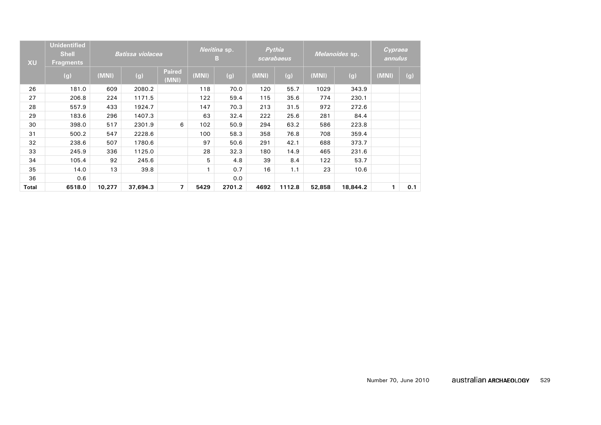| <b>XU</b> | <b>Unidentified</b><br><b>Shell</b><br><b>Fragments</b> |        | <b>Batissa violacea</b> |                        |       | Neritina sp.<br>B. |       | Pythia<br>scarabaeus |        | Melanoides sp. | Cypraea<br>annulus |     |
|-----------|---------------------------------------------------------|--------|-------------------------|------------------------|-------|--------------------|-------|----------------------|--------|----------------|--------------------|-----|
|           | (g)                                                     | (MNI)  | (g)                     | <b>Paired</b><br>(MNI) | (MNI) | (g)                | (MNI) | (g)                  | (MNI)  | (g)            | (MNI)              | (g) |
| 26        | 181.0                                                   | 609    | 2080.2                  |                        | 118   | 70.0               | 120   | 55.7                 | 1029   | 343.9          |                    |     |
| 27        | 206.8                                                   | 224    | 1171.5                  |                        | 122   | 59.4               | 115   | 35.6                 | 774    | 230.1          |                    |     |
| 28        | 557.9                                                   | 433    | 1924.7                  |                        | 147   | 70.3               | 213   | 31.5                 | 972    | 272.6          |                    |     |
| 29        | 183.6                                                   | 296    | 1407.3                  |                        | 63    | 32.4               | 222   | 25.6                 | 281    | 84.4           |                    |     |
| 30        | 398.0                                                   | 517    | 2301.9                  | 6                      | 102   | 50.9               | 294   | 63.2                 | 586    | 223.8          |                    |     |
| 31        | 500.2                                                   | 547    | 2228.6                  |                        | 100   | 58.3               | 358   | 76.8                 | 708    | 359.4          |                    |     |
| 32        | 238.6                                                   | 507    | 1780.6                  |                        | 97    | 50.6               | 291   | 42.1                 | 688    | 373.7          |                    |     |
| 33        | 245.9                                                   | 336    | 1125.0                  |                        | 28    | 32.3               | 180   | 14.9                 | 465    | 231.6          |                    |     |
| 34        | 105.4                                                   | 92     | 245.6                   |                        | 5     | 4.8                | 39    | 8.4                  | 122    | 53.7           |                    |     |
| 35        | 14.0                                                    | 13     | 39.8                    |                        |       | 0.7                | 16    | 1.1                  | 23     | 10.6           |                    |     |
| 36        | 0.6                                                     |        |                         |                        |       | 0.0                |       |                      |        |                |                    |     |
| Total     | 6518.0                                                  | 10,277 | 37,694.3                | $\overline{7}$         | 5429  | 2701.2             | 4692  | 1112.8               | 52,858 | 18,844.2       | 1                  | 0.1 |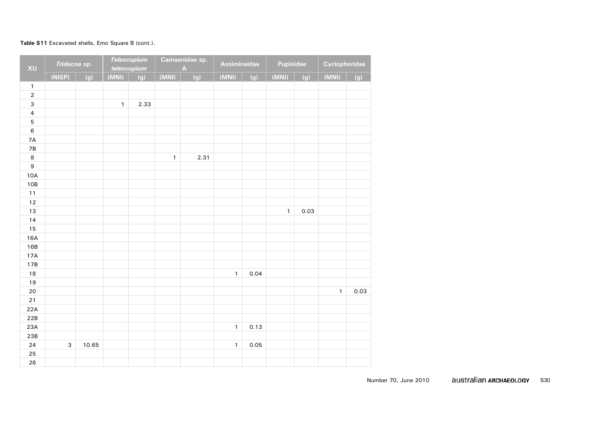#### **Table S11** Excavated shells, Emo Square B (cont.).

| XU                      | Tridacna sp. |       |              | <b>Telescopium</b><br>telescopium |              | Camaenidae sp.<br>$\overline{\mathsf{A}}$ | Assimineidae |      | Pupinidae    |      | Cyclophoridae |      |
|-------------------------|--------------|-------|--------------|-----------------------------------|--------------|-------------------------------------------|--------------|------|--------------|------|---------------|------|
|                         | (NISP)       | (g)   | (MNI)        | (g)                               | (MNI)        | (g)                                       | (MNI)        | (g)  | (MNI)        | (g)  | (MNI)         | (g)  |
| $\mathbf{1}$            |              |       |              |                                   |              |                                           |              |      |              |      |               |      |
| $\mathbf 2$             |              |       |              |                                   |              |                                           |              |      |              |      |               |      |
| 3                       |              |       | $\mathbf{1}$ | 2.33                              |              |                                           |              |      |              |      |               |      |
| $\overline{\mathbf{4}}$ |              |       |              |                                   |              |                                           |              |      |              |      |               |      |
| 5                       |              |       |              |                                   |              |                                           |              |      |              |      |               |      |
| $\,6\,$                 |              |       |              |                                   |              |                                           |              |      |              |      |               |      |
| $7A$                    |              |       |              |                                   |              |                                           |              |      |              |      |               |      |
| 7B                      |              |       |              |                                   |              |                                           |              |      |              |      |               |      |
| $\,8\,$                 |              |       |              |                                   | $\mathbf{1}$ | 2.31                                      |              |      |              |      |               |      |
| $\boldsymbol{9}$        |              |       |              |                                   |              |                                           |              |      |              |      |               |      |
| 10A                     |              |       |              |                                   |              |                                           |              |      |              |      |               |      |
| 10B                     |              |       |              |                                   |              |                                           |              |      |              |      |               |      |
| $11$                    |              |       |              |                                   |              |                                           |              |      |              |      |               |      |
| $12\,$                  |              |       |              |                                   |              |                                           |              |      |              |      |               |      |
| 13                      |              |       |              |                                   |              |                                           |              |      | $\mathbf{1}$ | 0.03 |               |      |
| 14                      |              |       |              |                                   |              |                                           |              |      |              |      |               |      |
| 15                      |              |       |              |                                   |              |                                           |              |      |              |      |               |      |
| 16A                     |              |       |              |                                   |              |                                           |              |      |              |      |               |      |
| 16B                     |              |       |              |                                   |              |                                           |              |      |              |      |               |      |
| 17A                     |              |       |              |                                   |              |                                           |              |      |              |      |               |      |
| 17B                     |              |       |              |                                   |              |                                           |              |      |              |      |               |      |
| 18                      |              |       |              |                                   |              |                                           | $\mathbf{1}$ | 0.04 |              |      |               |      |
| 19                      |              |       |              |                                   |              |                                           |              |      |              |      |               |      |
| 20                      |              |       |              |                                   |              |                                           |              |      |              |      | $\mathbf{1}$  | 0.03 |
| $21$                    |              |       |              |                                   |              |                                           |              |      |              |      |               |      |
| 22A                     |              |       |              |                                   |              |                                           |              |      |              |      |               |      |
| 22B                     |              |       |              |                                   |              |                                           |              |      |              |      |               |      |
| 23A                     |              |       |              |                                   |              |                                           | $\mathbf{1}$ | 0.13 |              |      |               |      |
| 23B                     |              |       |              |                                   |              |                                           |              |      |              |      |               |      |
| 24                      | $\mathsf 3$  | 10.65 |              |                                   |              |                                           | $\mathbf{1}$ | 0.05 |              |      |               |      |
| 25                      |              |       |              |                                   |              |                                           |              |      |              |      |               |      |
| 26                      |              |       |              |                                   |              |                                           |              |      |              |      |               |      |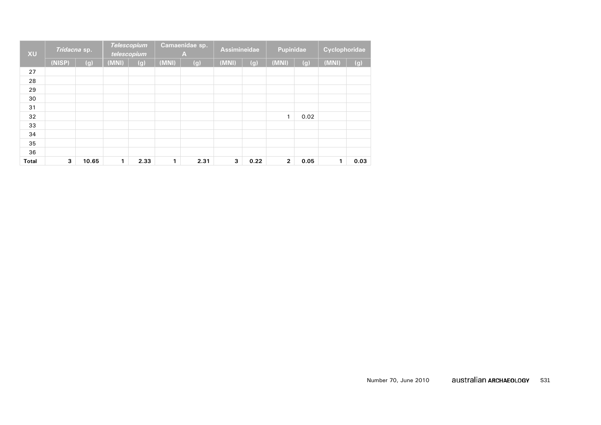| <b>XU</b>    | Tridacna sp. |       |       | <b>Telescopium</b><br>telescopium |              | Camaenidae sp.<br>А | <b>Assimineidae</b> |      | <b>Pupinidae</b> |      | Cyclophoridae |      |
|--------------|--------------|-------|-------|-----------------------------------|--------------|---------------------|---------------------|------|------------------|------|---------------|------|
|              | (NISP)       | (g)   | (MNI) | (g)                               | (MNI)        | (g)                 | (MNI)               | (g)  | (MNI)            | (g)  | (MNI)         | (g)  |
| 27           |              |       |       |                                   |              |                     |                     |      |                  |      |               |      |
| 28           |              |       |       |                                   |              |                     |                     |      |                  |      |               |      |
| 29           |              |       |       |                                   |              |                     |                     |      |                  |      |               |      |
| 30           |              |       |       |                                   |              |                     |                     |      |                  |      |               |      |
| 31           |              |       |       |                                   |              |                     |                     |      |                  |      |               |      |
| 32           |              |       |       |                                   |              |                     |                     |      | 1                | 0.02 |               |      |
| 33           |              |       |       |                                   |              |                     |                     |      |                  |      |               |      |
| 34           |              |       |       |                                   |              |                     |                     |      |                  |      |               |      |
| 35           |              |       |       |                                   |              |                     |                     |      |                  |      |               |      |
| 36           |              |       |       |                                   |              |                     |                     |      |                  |      |               |      |
| <b>Total</b> | 3            | 10.65 | 1     | 2.33                              | $\mathbf{1}$ | 2.31                | 3                   | 0.22 | $\overline{2}$   | 0.05 | 1             | 0.03 |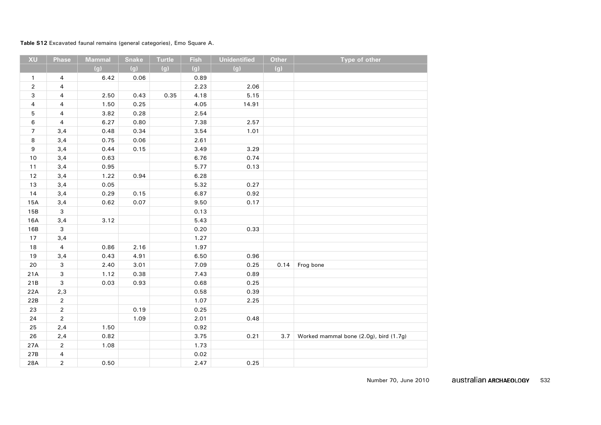# **Table S12** Excavated faunal remains (general categories), Emo Square A.

| XU             | Phase                   | <b>Mammal</b> | <b>Snake</b> | <b>Turtle</b> | <b>Fish</b> | <b>Unidentified</b> | <b>Other</b> | Type of other                          |
|----------------|-------------------------|---------------|--------------|---------------|-------------|---------------------|--------------|----------------------------------------|
|                |                         | (g)           | (g)          | (g)           | (g)         | (g)                 | (g)          |                                        |
| $\mathbf{1}$   | 4                       | 6.42          | 0.06         |               | 0.89        |                     |              |                                        |
| $\overline{2}$ | 4                       |               |              |               | 2.23        | 2.06                |              |                                        |
| 3              | 4                       | 2.50          | 0.43         | 0.35          | 4.18        | 5.15                |              |                                        |
| 4              | 4                       | 1.50          | 0.25         |               | 4.05        | 14.91               |              |                                        |
| 5              | $\overline{\mathbf{4}}$ | 3.82          | 0.28         |               | 2.54        |                     |              |                                        |
| 6              | 4                       | 6.27          | 0.80         |               | 7.38        | 2.57                |              |                                        |
| $\overline{7}$ | 3,4                     | 0.48          | 0.34         |               | 3.54        | 1.01                |              |                                        |
| 8              | 3,4                     | 0.75          | 0.06         |               | 2.61        |                     |              |                                        |
| 9              | 3,4                     | 0.44          | 0.15         |               | 3.49        | 3.29                |              |                                        |
| $10$           | 3,4                     | 0.63          |              |               | 6.76        | 0.74                |              |                                        |
| 11             | 3,4                     | 0.95          |              |               | 5.77        | 0.13                |              |                                        |
| 12             | 3,4                     | 1.22          | 0.94         |               | 6.28        |                     |              |                                        |
| 13             | 3,4                     | 0.05          |              |               | 5.32        | 0.27                |              |                                        |
| 14             | 3,4                     | 0.29          | 0.15         |               | 6.87        | 0.92                |              |                                        |
| 15A            | 3,4                     | 0.62          | 0.07         |               | 9.50        | 0.17                |              |                                        |
| 15B            | 3                       |               |              |               | 0.13        |                     |              |                                        |
| 16A            | 3,4                     | 3.12          |              |               | 5.43        |                     |              |                                        |
| 16B            | 3                       |               |              |               | 0.20        | 0.33                |              |                                        |
| 17             | 3,4                     |               |              |               | 1.27        |                     |              |                                        |
| 18             | $\overline{4}$          | 0.86          | 2.16         |               | 1.97        |                     |              |                                        |
| 19             | 3,4                     | 0.43          | 4.91         |               | 6.50        | 0.96                |              |                                        |
| 20             | $\mathbf{3}$            | 2.40          | 3.01         |               | 7.09        | 0.25                | 0.14         | Frog bone                              |
| 21A            | 3                       | 1.12          | 0.38         |               | 7.43        | 0.89                |              |                                        |
| 21B            | 3                       | 0.03          | 0.93         |               | 0.68        | 0.25                |              |                                        |
| 22A            | 2,3                     |               |              |               | 0.58        | 0.39                |              |                                        |
| 22B            | $\overline{a}$          |               |              |               | 1.07        | 2.25                |              |                                        |
| 23             | $\overline{2}$          |               | 0.19         |               | 0.25        |                     |              |                                        |
| 24             | $\overline{2}$          |               | 1.09         |               | 2.01        | 0.48                |              |                                        |
| 25             | 2,4                     | 1.50          |              |               | 0.92        |                     |              |                                        |
| 26             | 2,4                     | 0.82          |              |               | 3.75        | 0.21                | 3.7          | Worked mammal bone (2.0g), bird (1.7g) |
| 27A            | $\overline{2}$          | 1.08          |              |               | 1.73        |                     |              |                                        |
| 27B            | 4                       |               |              |               | 0.02        |                     |              |                                        |
| 28A            | $\overline{2}$          | 0.50          |              |               | 2.47        | 0.25                |              |                                        |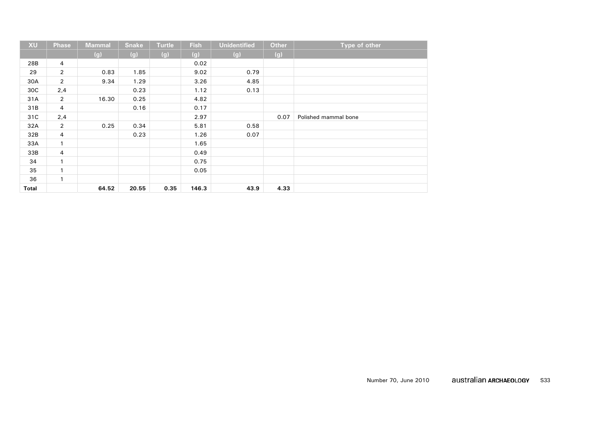| <b>XU</b> | <b>Phase</b>   | <b>Mammal</b> | <b>Snake</b> | <b>Turtle</b> | <b>Fish</b> | <b>Unidentified</b> | <b>Other</b> | Type of other        |
|-----------|----------------|---------------|--------------|---------------|-------------|---------------------|--------------|----------------------|
|           |                | (g)           | (g)          | (g)           | (g)         | (g)                 | (g)          |                      |
| 28B       | 4              |               |              |               | 0.02        |                     |              |                      |
| 29        | $\overline{2}$ | 0.83          | 1.85         |               | 9.02        | 0.79                |              |                      |
| 30A       | $\overline{2}$ | 9.34          | 1.29         |               | 3.26        | 4.85                |              |                      |
| 30C       | 2,4            |               | 0.23         |               | 1.12        | 0.13                |              |                      |
| 31A       | $\overline{2}$ | 16.30         | 0.25         |               | 4.82        |                     |              |                      |
| 31B       | $\overline{4}$ |               | 0.16         |               | 0.17        |                     |              |                      |
| 31C       | 2,4            |               |              |               | 2.97        |                     | 0.07         | Polished mammal bone |
| 32A       | $\overline{2}$ | 0.25          | 0.34         |               | 5.81        | 0.58                |              |                      |
| 32B       | $\overline{4}$ |               | 0.23         |               | 1.26        | 0.07                |              |                      |
| 33A       | $\mathbf{1}$   |               |              |               | 1.65        |                     |              |                      |
| 33B       | $\overline{4}$ |               |              |               | 0.49        |                     |              |                      |
| 34        | $\mathbf{1}$   |               |              |               | 0.75        |                     |              |                      |
| 35        | $\mathbf{1}$   |               |              |               | 0.05        |                     |              |                      |
| 36        | 1              |               |              |               |             |                     |              |                      |
| Total     |                | 64.52         | 20.55        | 0.35          | 146.3       | 43.9                | 4.33         |                      |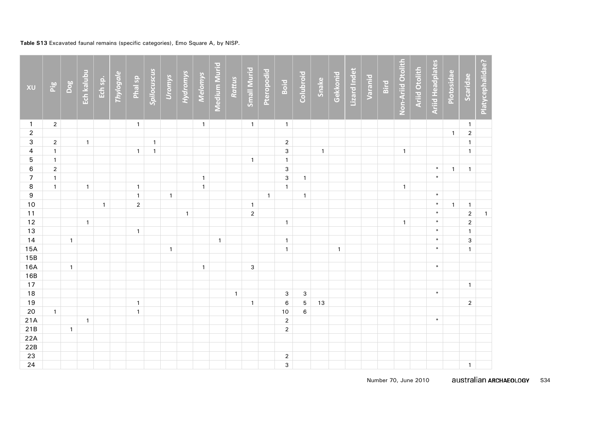# **Table S13** Excavated faunal remains (specific categories), Emo Square A, by NISP.

| XU                      | Pig            | Dog            | Ech kalubu   | Ech sp.      | Thylogale | Phal sp        | Spilocuscus  | <b>Uromys</b> | Hydromys     | Melomys      | Medium Murid | Rattus       | <b>Small Murid</b> | <b>Pteropodid</b> | Boid                    | Colubroid    | Snake        | Gekkonid     | Lizard Indet | Varanid | Bird | Non-Ariid Otolith | <b>Ariid Otolith</b> | <b>Ariid Headplates</b> | Plotosidae   | Scaridae                       | Platycephalidae? |
|-------------------------|----------------|----------------|--------------|--------------|-----------|----------------|--------------|---------------|--------------|--------------|--------------|--------------|--------------------|-------------------|-------------------------|--------------|--------------|--------------|--------------|---------|------|-------------------|----------------------|-------------------------|--------------|--------------------------------|------------------|
| $\mathbf{1}$            | $\sqrt{2}$     |                |              |              |           | $\mathbf{1}$   |              |               |              | $\mathbf{1}$ |              |              | $\mathbf{1}$       |                   | $\mathbf{1}$            |              |              |              |              |         |      |                   |                      |                         |              | $\mathbf{1}$                   |                  |
| $\boldsymbol{2}$        |                |                |              |              |           |                |              |               |              |              |              |              |                    |                   |                         |              |              |              |              |         |      |                   |                      |                         | $\mathbf{1}$ | $\overline{2}$                 |                  |
| 3                       | $\overline{2}$ |                | $\mathbf{1}$ |              |           |                | $\mathbf{1}$ |               |              |              |              |              |                    |                   | $\overline{2}$          |              |              |              |              |         |      |                   |                      |                         |              | $\mathbf{1}$                   |                  |
| $\overline{\mathbf{4}}$ | $\mathbf{1}$   |                |              |              |           | $\mathbf{1}$   | $\mathbf{1}$ |               |              |              |              |              |                    |                   | $\mathbf{3}$            |              | $\mathbf{1}$ |              |              |         |      | $\mathbf{1}$      |                      |                         |              | $\mathbf{1}$                   |                  |
| 5                       | $\mathbf{1}$   |                |              |              |           |                |              |               |              |              |              |              | $\mathbf{1}$       |                   | $\mathbf{1}$            |              |              |              |              |         |      |                   |                      |                         |              |                                |                  |
| $\,6\,$                 | $\overline{2}$ |                |              |              |           |                |              |               |              |              |              |              |                    |                   | $\mathbf{3}$            |              |              |              |              |         |      |                   |                      | $\ast$                  | $\mathbf{1}$ | $\mathbf{1}$                   |                  |
| $\overline{7}$          | $\mathbf{1}$   |                |              |              |           |                |              |               |              | $\mathbf{1}$ |              |              |                    |                   | $\mathbf{3}$            | $\mathbf{1}$ |              |              |              |         |      |                   |                      | $*$                     |              |                                |                  |
| $\bf 8$                 | $\mathbf{1}$   |                | $\mathbf{1}$ |              |           | $\mathbf{1}$   |              |               |              | $\mathbf{1}$ |              |              |                    |                   | $\mathbf{1}$            |              |              |              |              |         |      | $\mathbf{1}$      |                      |                         |              |                                |                  |
| $\overline{9}$          |                |                |              |              |           | $\mathbf{1}$   |              | $\mathbf{1}$  |              |              |              |              |                    | $\mathbf{1}$      |                         | $\mathbf{1}$ |              |              |              |         |      |                   |                      | $\ast$                  |              |                                |                  |
| 10                      |                |                |              | $\mathbf{1}$ |           | $\overline{2}$ |              |               |              |              |              |              | $\mathbf{1}$       |                   |                         |              |              |              |              |         |      |                   |                      | $\ast$<br>$\ast$        | $\mathbf{1}$ | $\mathbf{1}$                   |                  |
| 11                      |                |                |              |              |           |                |              |               | $\mathbf{1}$ |              |              |              | $\mathbf 2$        |                   |                         |              |              |              |              |         |      |                   |                      | $\ast$                  |              | $\overline{2}$                 | $\mathbf{1}$     |
| 12<br>13                |                |                | $\mathbf{1}$ |              |           | $\mathbf{1}$   |              |               |              |              |              |              |                    |                   | $\mathbf{1}$            |              |              |              |              |         |      | $\mathbf{1}$      |                      | $\ast$                  |              | $\overline{2}$<br>$\mathbf{1}$ |                  |
| 14                      |                | $\mathbf{1}$   |              |              |           |                |              |               |              |              | $\mathbf{1}$ |              |                    |                   | $\mathbf{1}$            |              |              |              |              |         |      |                   |                      | $\ast$                  |              | 3                              |                  |
| 15A                     |                |                |              |              |           |                |              | $\mathbf{1}$  |              |              |              |              |                    |                   | $\mathbf{1}$            |              |              | $\mathbf{1}$ |              |         |      |                   |                      | $\ast$                  |              | $\mathbf{1}$                   |                  |
| 15B                     |                |                |              |              |           |                |              |               |              |              |              |              |                    |                   |                         |              |              |              |              |         |      |                   |                      |                         |              |                                |                  |
| 16A                     |                | $\mathbf{1}$   |              |              |           |                |              |               |              | $\mathbf{1}$ |              |              | $\mathbf{3}$       |                   |                         |              |              |              |              |         |      |                   |                      | $\ast$                  |              |                                |                  |
| 16B                     |                |                |              |              |           |                |              |               |              |              |              |              |                    |                   |                         |              |              |              |              |         |      |                   |                      |                         |              |                                |                  |
| 17                      |                |                |              |              |           |                |              |               |              |              |              |              |                    |                   |                         |              |              |              |              |         |      |                   |                      |                         |              | $\mathbf{1}$                   |                  |
| 18                      |                |                |              |              |           |                |              |               |              |              |              | $\mathbf{1}$ |                    |                   | $\mathbf{3}$            | $\mathbf{3}$ |              |              |              |         |      |                   |                      | $\ast$                  |              |                                |                  |
| 19                      |                |                |              |              |           | $\mathbf{1}$   |              |               |              |              |              |              | $\mathbf{1}$       |                   | $\,6\,$                 | 5            | 13           |              |              |         |      |                   |                      |                         |              | $\overline{2}$                 |                  |
| 20                      | $\mathbf{1}$   |                |              |              |           | $\mathbf{1}$   |              |               |              |              |              |              |                    |                   | 10                      | 6            |              |              |              |         |      |                   |                      |                         |              |                                |                  |
| 21A                     |                |                | $\mathbf{1}$ |              |           |                |              |               |              |              |              |              |                    |                   | $\overline{2}$          |              |              |              |              |         |      |                   |                      | $\ast$                  |              |                                |                  |
| 21B                     |                | $\overline{1}$ |              |              |           |                |              |               |              |              |              |              |                    |                   | $\overline{2}$          |              |              |              |              |         |      |                   |                      |                         |              |                                |                  |
| 22A                     |                |                |              |              |           |                |              |               |              |              |              |              |                    |                   |                         |              |              |              |              |         |      |                   |                      |                         |              |                                |                  |
| 22B                     |                |                |              |              |           |                |              |               |              |              |              |              |                    |                   |                         |              |              |              |              |         |      |                   |                      |                         |              |                                |                  |
| 23                      |                |                |              |              |           |                |              |               |              |              |              |              |                    |                   | $\overline{\mathbf{c}}$ |              |              |              |              |         |      |                   |                      |                         |              |                                |                  |
| 24                      |                |                |              |              |           |                |              |               |              |              |              |              |                    |                   | $\mathbf{3}$            |              |              |              |              |         |      |                   |                      |                         |              | $\mathbf{1}$                   |                  |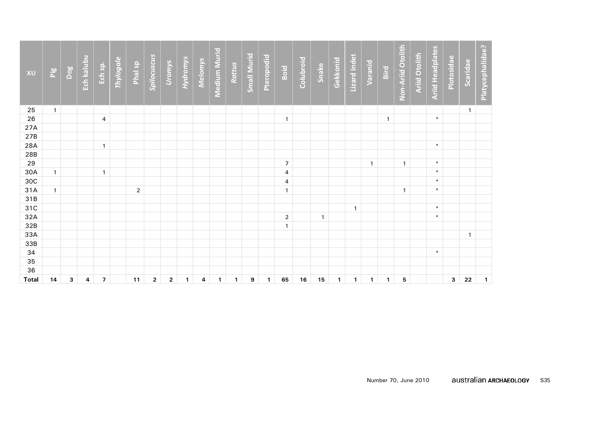| XU           | Pig          | Dog | Ech kalubu | Ech sp.        | Thylogale | Phal sp        | Spilocuscus  | Uromys       | <b>Hydromys</b> | <b>Melomys</b> | Medium Murid | Rattus       | <b>Small Murid</b> | <b>Pteropodid</b> | Boid             | Colubroid | Snake       | Gekkonid     | Lizard Indet | Varanid      | Bird         | Non-Ariid Otolith | <b>Ariid Otolith</b> | <b>Ariid Headplates</b> | Plotosidae | Scaridae     | Platycephalidae? |
|--------------|--------------|-----|------------|----------------|-----------|----------------|--------------|--------------|-----------------|----------------|--------------|--------------|--------------------|-------------------|------------------|-----------|-------------|--------------|--------------|--------------|--------------|-------------------|----------------------|-------------------------|------------|--------------|------------------|
| 25           | $\mathbf{1}$ |     |            |                |           |                |              |              |                 |                |              |              |                    |                   |                  |           |             |              |              |              |              |                   |                      |                         |            | $\mathbf{1}$ |                  |
| 26           |              |     |            | 4              |           |                |              |              |                 |                |              |              |                    |                   | $\mathbf{1}$     |           |             |              |              |              | $\mathbf{1}$ |                   |                      | $\ast$                  |            |              |                  |
| 27A          |              |     |            |                |           |                |              |              |                 |                |              |              |                    |                   |                  |           |             |              |              |              |              |                   |                      |                         |            |              |                  |
| 27B          |              |     |            |                |           |                |              |              |                 |                |              |              |                    |                   |                  |           |             |              |              |              |              |                   |                      |                         |            |              |                  |
| 28A          |              |     |            | $\mathbf{1}$   |           |                |              |              |                 |                |              |              |                    |                   |                  |           |             |              |              |              |              |                   |                      | $\ast$                  |            |              |                  |
| 28B          |              |     |            |                |           |                |              |              |                 |                |              |              |                    |                   |                  |           |             |              |              |              |              |                   |                      |                         |            |              |                  |
| 29           |              |     |            |                |           |                |              |              |                 |                |              |              |                    |                   | $\boldsymbol{7}$ |           |             |              |              | $\mathbf{1}$ |              | $\mathbf{1}$      |                      | $\ast$                  |            |              |                  |
| 30A          | $\mathbf{1}$ |     |            | $\mathbf{1}$   |           |                |              |              |                 |                |              |              |                    |                   | 4                |           |             |              |              |              |              |                   |                      | $\ast$                  |            |              |                  |
| 30C          |              |     |            |                |           |                |              |              |                 |                |              |              |                    |                   | 4                |           |             |              |              |              |              |                   |                      | $\ast$                  |            |              |                  |
| 31A          | $\mathbf{1}$ |     |            |                |           | $\overline{2}$ |              |              |                 |                |              |              |                    |                   | $\mathbf{1}$     |           |             |              |              |              |              | $\mathbf{1}$      |                      | $\ast$                  |            |              |                  |
| 31B          |              |     |            |                |           |                |              |              |                 |                |              |              |                    |                   |                  |           |             |              |              |              |              |                   |                      |                         |            |              |                  |
| 31C          |              |     |            |                |           |                |              |              |                 |                |              |              |                    |                   |                  |           |             |              | $\mathbf{1}$ |              |              |                   |                      | $\ast$                  |            |              |                  |
| 32A          |              |     |            |                |           |                |              |              |                 |                |              |              |                    |                   | $\overline{2}$   |           | $\mathbf 1$ |              |              |              |              |                   |                      | $\ast$                  |            |              |                  |
| 32B          |              |     |            |                |           |                |              |              |                 |                |              |              |                    |                   | $\mathbf{1}$     |           |             |              |              |              |              |                   |                      |                         |            |              |                  |
| 33A          |              |     |            |                |           |                |              |              |                 |                |              |              |                    |                   |                  |           |             |              |              |              |              |                   |                      |                         |            | $\mathbf{1}$ |                  |
| 33B          |              |     |            |                |           |                |              |              |                 |                |              |              |                    |                   |                  |           |             |              |              |              |              |                   |                      |                         |            |              |                  |
| 34           |              |     |            |                |           |                |              |              |                 |                |              |              |                    |                   |                  |           |             |              |              |              |              |                   |                      | $*$                     |            |              |                  |
| 35           |              |     |            |                |           |                |              |              |                 |                |              |              |                    |                   |                  |           |             |              |              |              |              |                   |                      |                         |            |              |                  |
| 36           |              |     |            |                |           |                |              |              |                 |                |              |              |                    |                   |                  |           |             |              |              |              |              |                   |                      |                         |            |              |                  |
| <b>Total</b> | 14           | 3   | 4          | $\overline{7}$ |           | 11             | $\mathbf{2}$ | $\mathbf{2}$ | $\mathbf{1}$    | 4              | $\mathbf{1}$ | $\mathbf{1}$ | $\boldsymbol{9}$   | $\mathbf{1}$      | 65               | 16        | 15          | $\mathbf{1}$ | $\mathbf{1}$ | 1            | $\mathbf{1}$ | 5                 |                      |                         | 3          | 22           | $\mathbf{1}$     |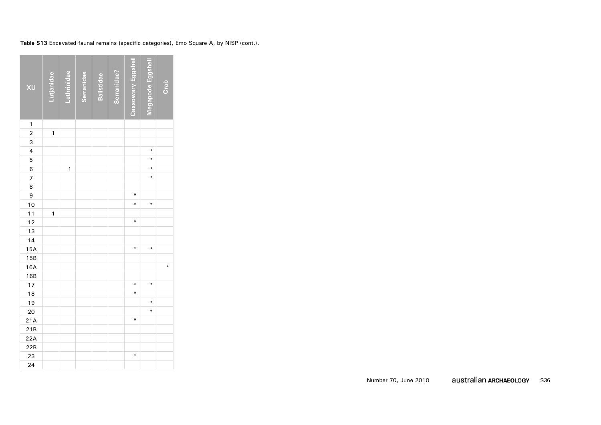| XU                       | Lutjanidae   | Lethrinidae | <b>Serranidae</b> | <b>Balistidae</b> | Serranidae? | Cassowary Eggshell | Megapode Eggshell | Crab |
|--------------------------|--------------|-------------|-------------------|-------------------|-------------|--------------------|-------------------|------|
| $\mathbf{1}$             |              |             |                   |                   |             |                    |                   |      |
| $\overline{2}$           | $\mathbf{1}$ |             |                   |                   |             |                    |                   |      |
| 3                        |              |             |                   |                   |             |                    |                   |      |
| $\overline{4}$           |              |             |                   |                   |             |                    | ∗                 |      |
| 5                        |              |             |                   |                   |             |                    | ∗                 |      |
| 6                        |              | 1           |                   |                   |             |                    | ⋇                 |      |
| $\overline{\phantom{a}}$ |              |             |                   |                   |             |                    | ∗                 |      |
| 8                        |              |             |                   |                   |             |                    |                   |      |
| 9                        |              |             |                   |                   |             | ∗                  |                   |      |
| 10                       |              |             |                   |                   |             | ¥                  | ¥                 |      |
| 11                       | 1            |             |                   |                   |             |                    |                   |      |
| 12                       |              |             |                   |                   |             | $\ast$             |                   |      |
| 13                       |              |             |                   |                   |             |                    |                   |      |
| 14                       |              |             |                   |                   |             |                    |                   |      |
| 15A                      |              |             |                   |                   |             | ¥                  | ¥                 |      |
| 15B                      |              |             |                   |                   |             |                    |                   |      |
| 16A                      |              |             |                   |                   |             |                    |                   | ∗    |
| 16B                      |              |             |                   |                   |             |                    |                   |      |
| 17                       |              |             |                   |                   |             | ∗                  | ∗                 |      |
| 18                       |              |             |                   |                   |             | ¥                  |                   |      |
| 19                       |              |             |                   |                   |             |                    | ∗                 |      |
| 20                       |              |             |                   |                   |             |                    | ¥                 |      |
| 21A                      |              |             |                   |                   |             | ∗                  |                   |      |
| 21B                      |              |             |                   |                   |             |                    |                   |      |
| 22A                      |              |             |                   |                   |             |                    |                   |      |
| 22B                      |              |             |                   |                   |             |                    |                   |      |
| 23                       |              |             |                   |                   |             | ∗                  |                   |      |
| 24                       |              |             |                   |                   |             |                    |                   |      |

**Table S13** Excavated faunal remains (specific categories), Emo Square A, by NISP (cont.).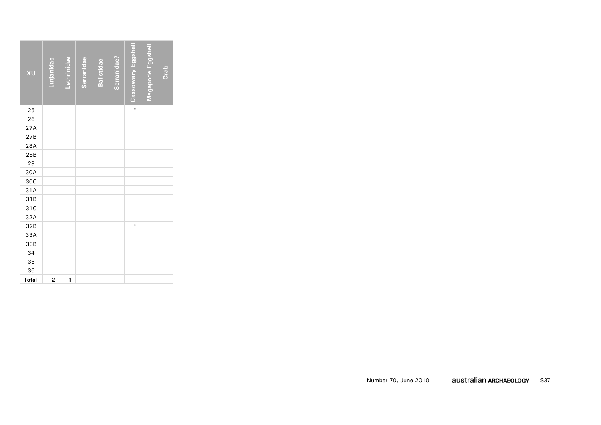| XU           | Lutjanidae     | Lethrinidae | Serranidae | <b>Balistidae</b> | Serranidae? | Cassowary Eggshell | Megapode Eggshell | Crab |
|--------------|----------------|-------------|------------|-------------------|-------------|--------------------|-------------------|------|
| 25           |                |             |            |                   |             | ∗                  |                   |      |
| 26           |                |             |            |                   |             |                    |                   |      |
| 27A          |                |             |            |                   |             |                    |                   |      |
| 27B          |                |             |            |                   |             |                    |                   |      |
| 28A          |                |             |            |                   |             |                    |                   |      |
| 28B          |                |             |            |                   |             |                    |                   |      |
| 29           |                |             |            |                   |             |                    |                   |      |
| 30A          |                |             |            |                   |             |                    |                   |      |
| 30C          |                |             |            |                   |             |                    |                   |      |
| 31A          |                |             |            |                   |             |                    |                   |      |
| 31B          |                |             |            |                   |             |                    |                   |      |
| 31C          |                |             |            |                   |             |                    |                   |      |
| 32A          |                |             |            |                   |             |                    |                   |      |
| 32B          |                |             |            |                   |             | $\ast$             |                   |      |
| 33A          |                |             |            |                   |             |                    |                   |      |
| 33B          |                |             |            |                   |             |                    |                   |      |
| 34           |                |             |            |                   |             |                    |                   |      |
| 35           |                |             |            |                   |             |                    |                   |      |
| 36           |                |             |            |                   |             |                    |                   |      |
| <b>Total</b> | $\overline{2}$ | 1           |            |                   |             |                    |                   |      |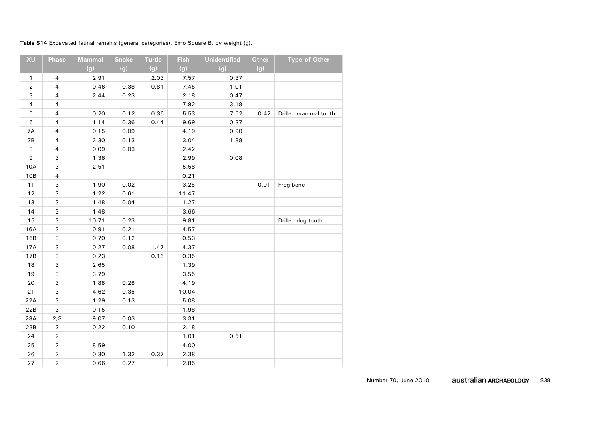**Table S14** Excavated faunal remains (general categories), Emo Square B, by weight (g).

| XU                      | Phase                   | <b>Mammal</b> | <b>Snake</b> | <b>Turtle</b> | <b>Fish</b> | <b>Unidentified</b> | <b>Other</b> | <b>Type of Other</b> |
|-------------------------|-------------------------|---------------|--------------|---------------|-------------|---------------------|--------------|----------------------|
|                         |                         | (g)           | (g)          | (g)           | (g)         | (g)                 | (g)          |                      |
| $\mathbf{1}$            | $\overline{4}$          | 2.91          |              | 2.03          | 7.57        | 0.37                |              |                      |
| $\sqrt{2}$              | $\overline{\mathbf{4}}$ | 0.46          | 0.38         | 0.81          | 7.45        | 1.01                |              |                      |
| $\mathsf 3$             | 4                       | 2.44          | 0.23         |               | 2.18        | 0.47                |              |                      |
| $\overline{\mathbf{4}}$ | $\overline{\mathbf{4}}$ |               |              |               | 7.92        | 3.18                |              |                      |
| 5                       | $\overline{\mathbf{4}}$ | 0.20          | 0.12         | 0.36          | 5.53        | 7.52                | 0.42         | Drilled mammal tooth |
| $\,6$                   | $\overline{\mathbf{4}}$ | 1.14          | 0.36         | 0.44          | 9.69        | 0.37                |              |                      |
| 7A                      | $\overline{\mathbf{4}}$ | 0.15          | 0.09         |               | 4.19        | 0.90                |              |                      |
| 7B                      | $\overline{\mathbf{4}}$ | 2.30          | 0.13         |               | 3.04        | 1.88                |              |                      |
| 8                       | $\overline{\mathbf{4}}$ | 0.09          | 0.03         |               | 2.42        |                     |              |                      |
| 9                       | 3                       | 1.36          |              |               | 2.99        | 0.08                |              |                      |
| 10A                     | 3                       | 2.51          |              |               | 5.58        |                     |              |                      |
| 10B                     | $\overline{\mathbf{4}}$ |               |              |               | 0.21        |                     |              |                      |
| $11$                    | 3                       | 1.90          | 0.02         |               | 3.25        |                     | 0.01         | Frog bone            |
| 12                      | 3                       | 1.22          | 0.61         |               | 11.47       |                     |              |                      |
| 13                      | 3                       | 1.48          | 0.04         |               | 1.27        |                     |              |                      |
| 14                      | 3                       | 1.48          |              |               | 3.66        |                     |              |                      |
| 15                      | 3                       | 10.71         | 0.23         |               | 9.81        |                     |              | Drilled dog tooth    |
| 16A                     | 3                       | 0.91          | 0.21         |               | 4.57        |                     |              |                      |
| 16B                     | 3                       | 0.70          | 0.12         |               | 0.53        |                     |              |                      |
| 17A                     | 3                       | 0.27          | 0.08         | 1.47          | 4.37        |                     |              |                      |
| 17B                     | 3                       | 0.23          |              | 0.16          | 0.35        |                     |              |                      |
| 18                      | 3                       | 2.65          |              |               | 1.39        |                     |              |                      |
| 19                      | 3                       | 3.79          |              |               | 3.55        |                     |              |                      |
| 20                      | 3                       | 1.88          | 0.28         |               | 4.19        |                     |              |                      |
| 21                      | 3                       | 4.62          | 0.35         |               | 10.04       |                     |              |                      |
| 22A                     | 3                       | 1.29          | 0.13         |               | 5.08        |                     |              |                      |
| 22B                     | 3                       | 0.15          |              |               | 1.98        |                     |              |                      |
| 23A                     | 2,3                     | 9.07          | 0.03         |               | 3.31        |                     |              |                      |
| 23B                     | $\overline{2}$          | 0.22          | 0.10         |               | 2.18        |                     |              |                      |
| 24                      | $\mathbf 2$             |               |              |               | 1.01        | 0.51                |              |                      |
| 25                      | $\mathbf 2$             | 8.59          |              |               | 4.00        |                     |              |                      |
| 26                      | $\overline{2}$          | 0.30          | 1.32         | 0.37          | 2.38        |                     |              |                      |
| 27                      | $\overline{2}$          | 0.66          | 0.27         |               | 2.85        |                     |              |                      |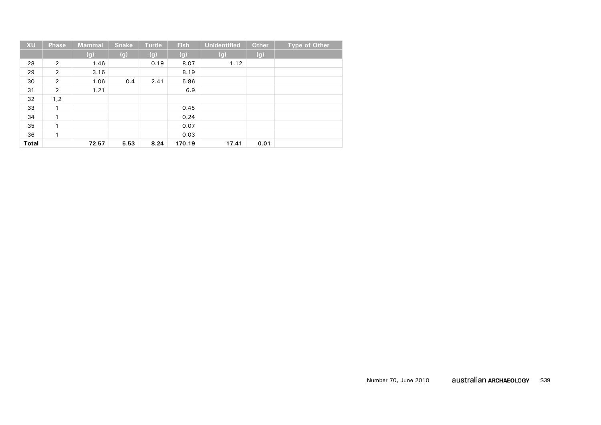| <b>XU</b>    | Phase | Mammal | <b>Snake</b> | <b>Turtle</b> | <b>Fish</b> | <b>Unidentified</b> | <b>Other</b> | <b>Type of Other</b> |
|--------------|-------|--------|--------------|---------------|-------------|---------------------|--------------|----------------------|
|              |       | (g)    | (g)          | (g)           | (g)         | (g)                 | (g)          |                      |
| 28           | 2     | 1.46   |              | 0.19          | 8.07        | 1.12                |              |                      |
| 29           | 2     | 3.16   |              |               | 8.19        |                     |              |                      |
| 30           | 2     | 1.06   | 0.4          | 2.41          | 5.86        |                     |              |                      |
| 31           | 2     | 1.21   |              |               | 6.9         |                     |              |                      |
| 32           | 1,2   |        |              |               |             |                     |              |                      |
| 33           | 1     |        |              |               | 0.45        |                     |              |                      |
| 34           |       |        |              |               | 0.24        |                     |              |                      |
| 35           | 1     |        |              |               | 0.07        |                     |              |                      |
| 36           | 1     |        |              |               | 0.03        |                     |              |                      |
| <b>Total</b> |       | 72.57  | 5.53         | 8.24          | 170.19      | 17.41               | 0.01         |                      |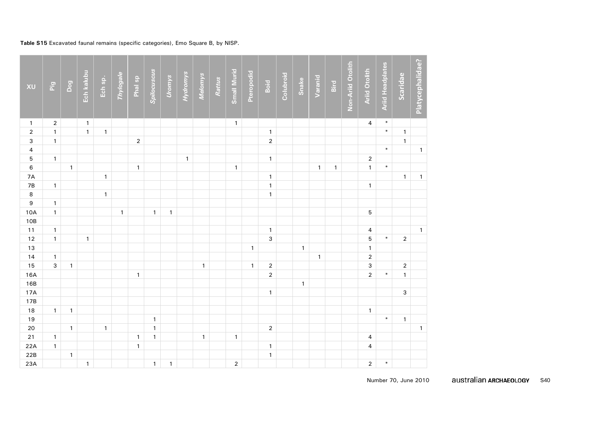# **Table S15** Excavated faunal remains (specific categories), Emo Square B, by NISP.

| XU                      | Pig                     | Dog          | Ech kalubu   | Ech sp.      | Thylogale    | Phal sp        | Spilocuscus  | Uromys       | Hydromys     | Melomys      | Rattus | <b>Small Murid</b> | Pteropodid   | Boid           | Colubroid | Snake        | Varanid      | Bird         | Non-Ariid Otolith | <b>Ariid Otolith</b>    | <b>Ariid Headplates</b> | Scaridae       | Platycephalidae? |
|-------------------------|-------------------------|--------------|--------------|--------------|--------------|----------------|--------------|--------------|--------------|--------------|--------|--------------------|--------------|----------------|-----------|--------------|--------------|--------------|-------------------|-------------------------|-------------------------|----------------|------------------|
| $\mathbf{1}$            | $\overline{\mathbf{c}}$ |              | $\mathbf{1}$ |              |              |                |              |              |              |              |        | $\mathbf{1}$       |              |                |           |              |              |              |                   | 4                       | $\ast$                  |                |                  |
| $\mathbf 2$             | $\overline{1}$          |              | $\mathbf{1}$ | $\mathbf{1}$ |              |                |              |              |              |              |        |                    |              | $\mathbf{1}$   |           |              |              |              |                   |                         | $\ast$                  | $\mathbf{1}$   |                  |
| 3                       | $\overline{1}$          |              |              |              |              | $\overline{2}$ |              |              |              |              |        |                    |              | $\sqrt{2}$     |           |              |              |              |                   |                         |                         | $\mathbf{1}$   |                  |
| $\overline{\mathbf{4}}$ |                         |              |              |              |              |                |              |              |              |              |        |                    |              |                |           |              |              |              |                   |                         | $\ast$                  |                | $\mathbf{1}$     |
| 5                       | $\mathbf{1}$            |              |              |              |              |                |              |              | $\mathbf{1}$ |              |        |                    |              | $\mathbf{1}$   |           |              |              |              |                   | $\overline{2}$          |                         |                |                  |
| $\boldsymbol{6}$        |                         | $\mathbf{1}$ |              |              |              | $\mathbf{1}$   |              |              |              |              |        | $\mathbf{1}$       |              |                |           |              | $\mathbf{1}$ | $\mathbf{1}$ |                   | $\mathbf{1}$            | $\ast$                  |                |                  |
| 7A                      |                         |              |              | $\mathbf{1}$ |              |                |              |              |              |              |        |                    |              | $\mathbf{1}$   |           |              |              |              |                   |                         |                         | $\mathbf{1}$   | $\mathbf{1}$     |
| 7B                      | $\mathbf{1}$            |              |              |              |              |                |              |              |              |              |        |                    |              | $\mathbf{1}$   |           |              |              |              |                   | $\mathbf{1}$            |                         |                |                  |
| $\bf{8}$                |                         |              |              | $\mathbf{1}$ |              |                |              |              |              |              |        |                    |              | $\mathbf{1}$   |           |              |              |              |                   |                         |                         |                |                  |
| $\overline{9}$          | $\mathbf{1}$            |              |              |              |              |                |              |              |              |              |        |                    |              |                |           |              |              |              |                   |                         |                         |                |                  |
| 10A                     | $\mathbf{1}$            |              |              |              | $\mathbf{1}$ |                | $\mathbf{1}$ | $\mathbf{1}$ |              |              |        |                    |              |                |           |              |              |              |                   | 5                       |                         |                |                  |
| 10B                     |                         |              |              |              |              |                |              |              |              |              |        |                    |              |                |           |              |              |              |                   |                         |                         |                |                  |
| $11$                    | $\mathbf{1}$            |              |              |              |              |                |              |              |              |              |        |                    |              | $\mathbf{1}$   |           |              |              |              |                   | 4                       |                         |                | $\mathbf{1}$     |
| $12$                    | $\mathbf{1}$            |              | $\mathbf{1}$ |              |              |                |              |              |              |              |        |                    |              | $\mathsf 3$    |           |              |              |              |                   | 5                       | $\ast$                  | $\overline{2}$ |                  |
| $\frac{1}{3}$           |                         |              |              |              |              |                |              |              |              |              |        |                    | $\mathbf{1}$ |                |           | $\mathbf{1}$ |              |              |                   | $\mathbf{1}$            |                         |                |                  |
| 14                      | $\mathbf{1}$            |              |              |              |              |                |              |              |              |              |        |                    |              |                |           |              | $\mathbf{1}$ |              |                   | $\overline{\mathbf{c}}$ |                         |                |                  |
| 15                      | $\overline{3}$          | $\mathbf{1}$ |              |              |              |                |              |              |              | $\mathbf{1}$ |        |                    | $\mathbf{1}$ | $\sqrt{2}$     |           |              |              |              |                   | 3                       |                         | $\overline{2}$ |                  |
| 16A                     |                         |              |              |              |              | $\mathbf{1}$   |              |              |              |              |        |                    |              | $\overline{2}$ |           |              |              |              |                   | $\overline{2}$          | $\ast$                  | $\mathbf{1}$   |                  |
| 16B                     |                         |              |              |              |              |                |              |              |              |              |        |                    |              |                |           | $\mathbf{1}$ |              |              |                   |                         |                         |                |                  |
| 17A                     |                         |              |              |              |              |                |              |              |              |              |        |                    |              | $\mathbf{1}$   |           |              |              |              |                   |                         |                         | $\mathsf 3$    |                  |
| 17B                     |                         |              |              |              |              |                |              |              |              |              |        |                    |              |                |           |              |              |              |                   |                         |                         |                |                  |
| 18                      | $\mathbf{1}$            | $\mathbf{1}$ |              |              |              |                |              |              |              |              |        |                    |              |                |           |              |              |              |                   | $\mathbf{1}$            |                         |                |                  |
| 19                      |                         |              |              |              |              |                | $\mathbf{1}$ |              |              |              |        |                    |              |                |           |              |              |              |                   |                         | $\ast$                  | $\mathbf{1}$   |                  |
| $20\,$                  |                         | $\mathbf{1}$ |              | $\mathbf{1}$ |              |                | $\mathbf{1}$ |              |              |              |        |                    |              | $\sqrt{2}$     |           |              |              |              |                   |                         |                         |                | $\mathbf{1}$     |
| $21$                    | $\mathbf{1}$            |              |              |              |              | $\mathbf{1}$   | $\mathbf{1}$ |              |              | $\mathbf{1}$ |        | $\mathbf{1}$       |              |                |           |              |              |              |                   | $\overline{\mathbf{4}}$ |                         |                |                  |
| 22A                     | $\mathbf{1}$            |              |              |              |              | $\mathbf{1}$   |              |              |              |              |        |                    |              | $\mathbf{1}$   |           |              |              |              |                   | $\overline{4}$          |                         |                |                  |
| 22B                     |                         | $\mathbf{1}$ |              |              |              |                |              |              |              |              |        |                    |              | $\mathbf{1}$   |           |              |              |              |                   |                         |                         |                |                  |
| 23A                     |                         |              | $\mathbf{1}$ |              |              |                | $\mathbf{1}$ | $\mathbf{1}$ |              |              |        | $\mathbf 2$        |              |                |           |              |              |              |                   | $\overline{\mathbf{c}}$ | $\ast$                  |                |                  |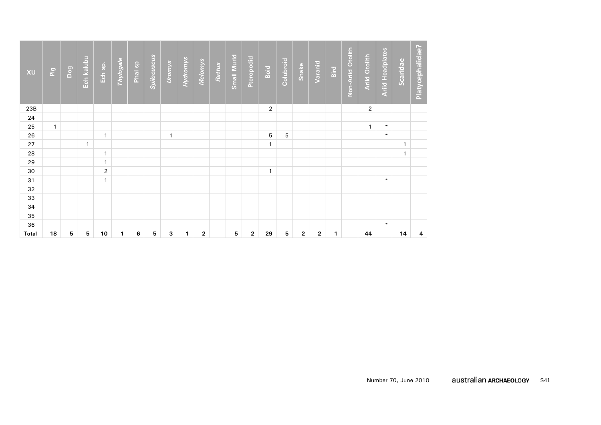| XU           | Pig          | Dog | Ech kalubu   | Ech sp.        | Thylogale    | Phal sp | Spilocuscus | Uromys       | Hydromys     | <b>Melomys</b> | Rattus | <b>Small Murid</b> | Pteropodid              | Boid         | Colubroid | Snake        | Varanid      | Bird         | Non-Ariid Otolith | <b>Ariid Otolith</b> | <b>Ariid Headplates</b> | Scaridae     | Platycephalidae? |
|--------------|--------------|-----|--------------|----------------|--------------|---------|-------------|--------------|--------------|----------------|--------|--------------------|-------------------------|--------------|-----------|--------------|--------------|--------------|-------------------|----------------------|-------------------------|--------------|------------------|
| 23B          |              |     |              |                |              |         |             |              |              |                |        |                    |                         | 2            |           |              |              |              |                   | 2                    |                         |              |                  |
| 24           |              |     |              |                |              |         |             |              |              |                |        |                    |                         |              |           |              |              |              |                   |                      |                         |              |                  |
| 25           | $\mathbf{1}$ |     |              |                |              |         |             |              |              |                |        |                    |                         |              |           |              |              |              |                   | 1                    | $\ast$                  |              |                  |
| 26           |              |     |              | $\mathbf{1}$   |              |         |             | $\mathbf{1}$ |              |                |        |                    |                         | 5            | 5         |              |              |              |                   |                      | $*$                     |              |                  |
| 27           |              |     | $\mathbf{1}$ |                |              |         |             |              |              |                |        |                    |                         | $\mathbf{1}$ |           |              |              |              |                   |                      |                         | $\mathbf{1}$ |                  |
| 28           |              |     |              | $\mathbf{1}$   |              |         |             |              |              |                |        |                    |                         |              |           |              |              |              |                   |                      |                         | 1            |                  |
| 29           |              |     |              | $\mathbf{1}$   |              |         |             |              |              |                |        |                    |                         |              |           |              |              |              |                   |                      |                         |              |                  |
| 30           |              |     |              | $\overline{2}$ |              |         |             |              |              |                |        |                    |                         | $\mathbf{1}$ |           |              |              |              |                   |                      |                         |              |                  |
| 31           |              |     |              | $\mathbf{1}$   |              |         |             |              |              |                |        |                    |                         |              |           |              |              |              |                   |                      | $\ast$                  |              |                  |
| 32           |              |     |              |                |              |         |             |              |              |                |        |                    |                         |              |           |              |              |              |                   |                      |                         |              |                  |
| 33           |              |     |              |                |              |         |             |              |              |                |        |                    |                         |              |           |              |              |              |                   |                      |                         |              |                  |
| 34           |              |     |              |                |              |         |             |              |              |                |        |                    |                         |              |           |              |              |              |                   |                      |                         |              |                  |
| 35           |              |     |              |                |              |         |             |              |              |                |        |                    |                         |              |           |              |              |              |                   |                      |                         |              |                  |
| 36           |              |     |              |                |              |         |             |              |              |                |        |                    |                         |              |           |              |              |              |                   |                      | $\ast$                  |              |                  |
| <b>Total</b> | 18           | 5   | 5            | 10             | $\mathbf{1}$ | 6       | 5           | 3            | $\mathbf{1}$ | $\mathbf 2$    |        | 5                  | $\overline{\mathbf{2}}$ | 29           | 5         | $\mathbf{2}$ | $\mathbf{2}$ | $\mathbf{1}$ |                   | 44                   |                         | 14           | 4                |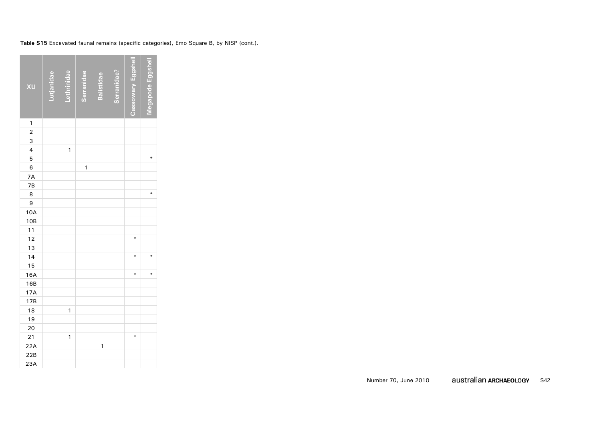| XU                      | utjanidae | <b>Triae</b> | Serranidae | <b>Balistidae</b> | Serranidae? | Cassowary Eggshell | gapode Eggshel |
|-------------------------|-----------|--------------|------------|-------------------|-------------|--------------------|----------------|
| 1                       |           |              |            |                   |             |                    |                |
| $\overline{2}$          |           |              |            |                   |             |                    |                |
| 3                       |           |              |            |                   |             |                    |                |
| $\overline{\mathbf{4}}$ |           | $\mathbf{1}$ |            |                   |             |                    |                |
| 5                       |           |              |            |                   |             |                    | ∗              |
| 6                       |           |              | 1          |                   |             |                    |                |
| 7A                      |           |              |            |                   |             |                    |                |
| 7B                      |           |              |            |                   |             |                    |                |
| 8                       |           |              |            |                   |             |                    | ∗              |
| 9                       |           |              |            |                   |             |                    |                |
| 10A                     |           |              |            |                   |             |                    |                |
| 10B                     |           |              |            |                   |             |                    |                |
| 11                      |           |              |            |                   |             |                    |                |
| 12                      |           |              |            |                   |             | ∗                  |                |
| 13                      |           |              |            |                   |             |                    |                |
| 14                      |           |              |            |                   |             | $\ast$             | ¥              |
| 15                      |           |              |            |                   |             |                    |                |
| 16A                     |           |              |            |                   |             | ∗                  | ∗              |
| 16B                     |           |              |            |                   |             |                    |                |
| 17A                     |           |              |            |                   |             |                    |                |
| 17B                     |           |              |            |                   |             |                    |                |
| 18                      |           | 1            |            |                   |             |                    |                |
| 19                      |           |              |            |                   |             |                    |                |
| 20                      |           |              |            |                   |             |                    |                |
| 21                      |           | 1            |            |                   |             | ¥                  |                |
| 22A                     |           |              |            | 1                 |             |                    |                |
| 22B                     |           |              |            |                   |             |                    |                |
| 23A                     |           |              |            |                   |             |                    |                |

**Table S15** Excavated faunal remains (specific categories), Emo Square B, by NISP (cont.).